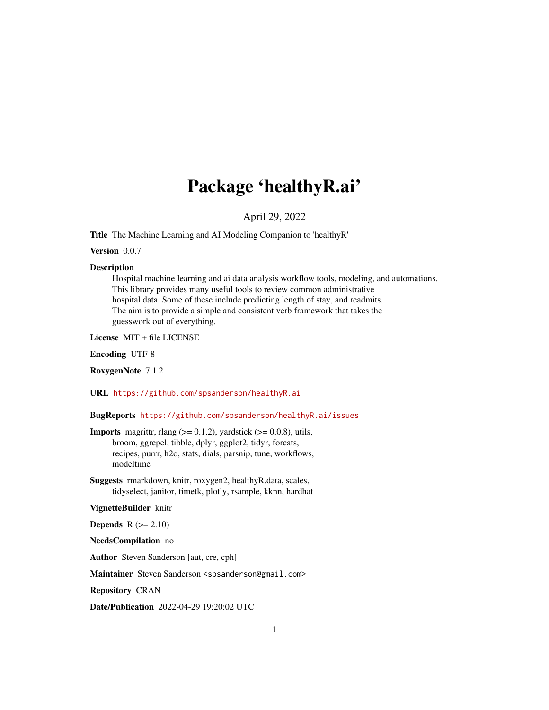# Package 'healthyR.ai'

April 29, 2022

<span id="page-0-0"></span>Title The Machine Learning and AI Modeling Companion to 'healthyR'

Version 0.0.7

#### Description

Hospital machine learning and ai data analysis workflow tools, modeling, and automations. This library provides many useful tools to review common administrative hospital data. Some of these include predicting length of stay, and readmits. The aim is to provide a simple and consistent verb framework that takes the guesswork out of everything.

License MIT + file LICENSE

Encoding UTF-8

RoxygenNote 7.1.2

URL <https://github.com/spsanderson/healthyR.ai>

BugReports <https://github.com/spsanderson/healthyR.ai/issues>

- **Imports** magrittr, rlang  $(>= 0.1.2)$ , yardstick  $(>= 0.0.8)$ , utils, broom, ggrepel, tibble, dplyr, ggplot2, tidyr, forcats, recipes, purrr, h2o, stats, dials, parsnip, tune, workflows, modeltime
- Suggests rmarkdown, knitr, roxygen2, healthyR.data, scales, tidyselect, janitor, timetk, plotly, rsample, kknn, hardhat

#### VignetteBuilder knitr

Depends  $R (= 2.10)$ 

NeedsCompilation no

Author Steven Sanderson [aut, cre, cph]

Maintainer Steven Sanderson <spsanderson@gmail.com>

Repository CRAN

Date/Publication 2022-04-29 19:20:02 UTC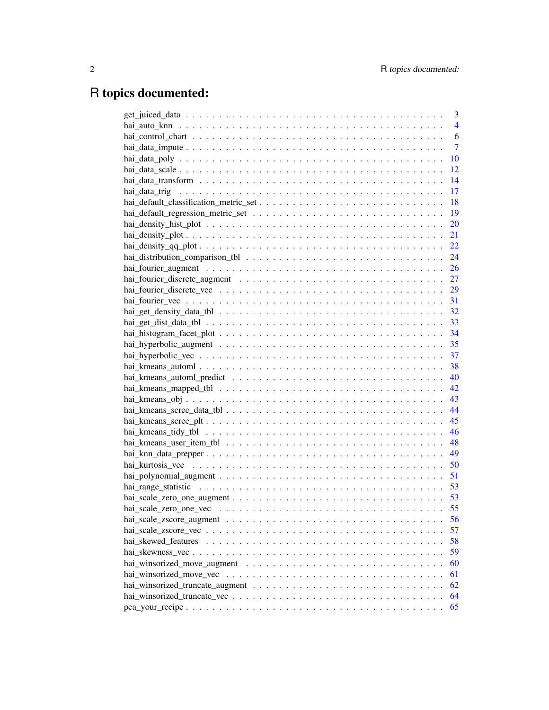# R topics documented:

| 3              |
|----------------|
| $\overline{4}$ |
| 6              |
| $\overline{7}$ |
| 10             |
| 12             |
| 14             |
| 17             |
| 18             |
| 19             |
| 20             |
| 21             |
| 22             |
| 24             |
| 26             |
|                |
|                |
|                |
|                |
|                |
|                |
|                |
|                |
|                |
| 40             |
| 42             |
| 43             |
| 44             |
| 45             |
| 46             |
|                |
|                |
| 50             |
| 51             |
| 53             |
|                |
| 55             |
| 56             |
| 57             |
| 58             |
| 59             |
| 60             |
| 61             |
| 62             |
| 64             |
| 65             |
|                |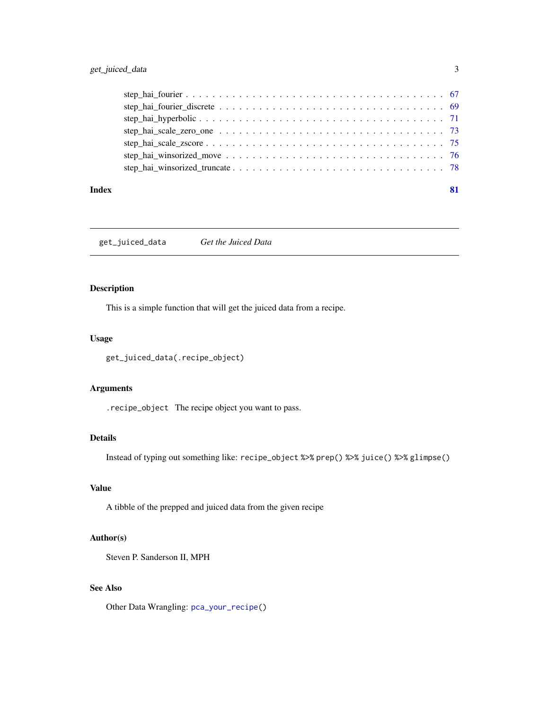# <span id="page-2-0"></span>get\_juiced\_data 3

#### **Index** [81](#page-80-0)

get\_juiced\_data *Get the Juiced Data*

# Description

This is a simple function that will get the juiced data from a recipe.

#### Usage

get\_juiced\_data(.recipe\_object)

# Arguments

.recipe\_object The recipe object you want to pass.

#### Details

Instead of typing out something like: recipe\_object %>% prep() %>% juice() %>% glimpse()

# Value

A tibble of the prepped and juiced data from the given recipe

# Author(s)

Steven P. Sanderson II, MPH

# See Also

Other Data Wrangling: [pca\\_your\\_recipe\(](#page-64-1))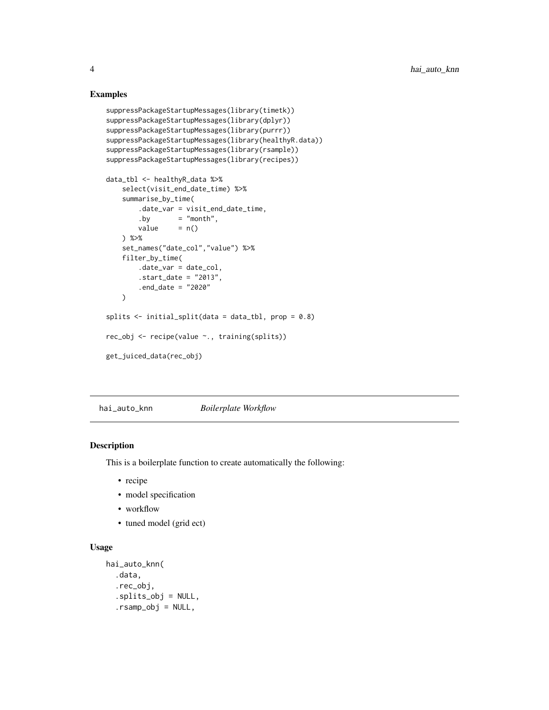#### Examples

```
suppressPackageStartupMessages(library(timetk))
suppressPackageStartupMessages(library(dplyr))
suppressPackageStartupMessages(library(purrr))
suppressPackageStartupMessages(library(healthyR.data))
suppressPackageStartupMessages(library(rsample))
suppressPackageStartupMessages(library(recipes))
data_tbl <- healthyR_data %>%
    select(visit_end_date_time) %>%
   summarise_by_time(
       .date_var = visit_end_date_time,
       .by = "month",
       value = n()) %>%
   set_names("date_col","value") %>%
    filter_by_time(
       .date_var = date_col,
       .start_date = "2013",
       .end_date = "2020"
    \mathcal{L}splits \le initial_split(data = data_tbl, prop = 0.8)
rec_obj <- recipe(value ~., training(splits))
get_juiced_data(rec_obj)
```
hai\_auto\_knn *Boilerplate Workflow*

#### Description

This is a boilerplate function to create automatically the following:

- recipe
- model specification
- workflow
- tuned model (grid ect)

# Usage

```
hai_auto_knn(
  .data,
  .rec_obj,
  .splits_obj = NULL,
  .rsamp_obj = NULL,
```
<span id="page-3-0"></span>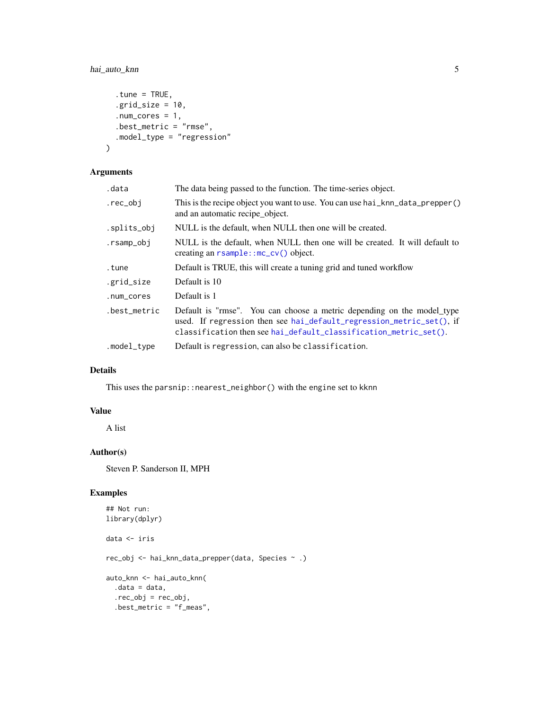# hai\_auto\_knn 5

```
.tune = TRUE,
  .grid_size = 10,
  .num_cores = 1,.best_metric = "rmse",
  .model_type = "regression"
\mathcal{L}
```
# Arguments

| .data        | The data being passed to the function. The time-series object.                                                                                                                                                     |
|--------------|--------------------------------------------------------------------------------------------------------------------------------------------------------------------------------------------------------------------|
| .rec_obj     | This is the recipe object you want to use. You can use hai_knn_data_prepper()<br>and an automatic recipe_object.                                                                                                   |
| .splits_obj  | NULL is the default, when NULL then one will be created.                                                                                                                                                           |
| .rsamp_obj   | NULL is the default, when NULL then one will be created. It will default to<br>creating an $r \cdot \text{sample}$ : $mc\_{cv}$ object.                                                                            |
| tune.        | Default is TRUE, this will create a tuning grid and tuned workflow                                                                                                                                                 |
| .grid_size   | Default is 10                                                                                                                                                                                                      |
| .num_cores   | Default is 1                                                                                                                                                                                                       |
| .best_metric | Default is "rmse". You can choose a metric depending on the model_type<br>used. If regression then see hai_default_regression_metric_set(), if<br>classification then see hai_default_classification_metric_set(). |
| .model_type  | Default is regression, can also be classification.                                                                                                                                                                 |
|              |                                                                                                                                                                                                                    |

# Details

This uses the parsnip::nearest\_neighbor() with the engine set to kknn

# Value

A list

# Author(s)

Steven P. Sanderson II, MPH

# Examples

```
## Not run:
library(dplyr)
data <- iris
rec_obj <- hai_knn_data_prepper(data, Species ~ .)
auto_knn <- hai_auto_knn(
  .data = data,
  .rec_obj = rec_obj,
  .best_metric = "f_meas",
```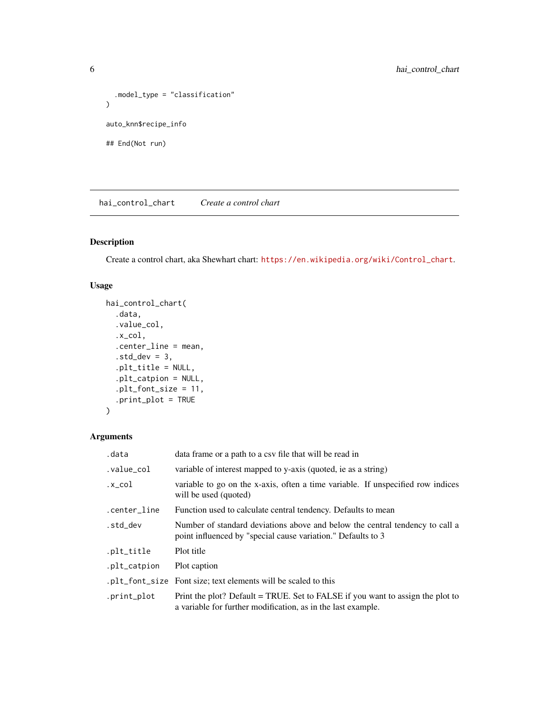```
.model_type = "classification"
\mathcal{L}auto_knn$recipe_info
## End(Not run)
```
hai\_control\_chart *Create a control chart*

# Description

Create a control chart, aka Shewhart chart: [https://en.wikipedia.org/wiki/Control\\_chart](https://en.wikipedia.org/wiki/Control_chart).

# Usage

```
hai_control_chart(
  .data,
  .value_col,
  .x_col,
  .center_line = mean,
  .std\_dev = 3,.plt_title = NULL,
  .plt_catpion = NULL,
  .plt_font_size = 11,
  .print_plot = TRUE
\mathcal{L}
```

```
Arguments
```

| .data        | data frame or a path to a csy file that will be read in                                                                                        |
|--------------|------------------------------------------------------------------------------------------------------------------------------------------------|
| .value_col   | variable of interest mapped to y-axis (quoted, ie as a string)                                                                                 |
| .x_col       | variable to go on the x-axis, often a time variable. If unspecified row indices<br>will be used (quoted)                                       |
| .center_line | Function used to calculate central tendency. Defaults to mean                                                                                  |
| .std_dev     | Number of standard deviations above and below the central tendency to call a<br>point influenced by "special cause variation." Defaults to 3   |
| .plt_title   | Plot title                                                                                                                                     |
| .plt_catpion | Plot caption                                                                                                                                   |
|              | .plt_font_size Font size; text elements will be scaled to this                                                                                 |
| .print_plot  | Print the plot? Default = TRUE. Set to FALSE if you want to assign the plot to<br>a variable for further modification, as in the last example. |

<span id="page-5-0"></span>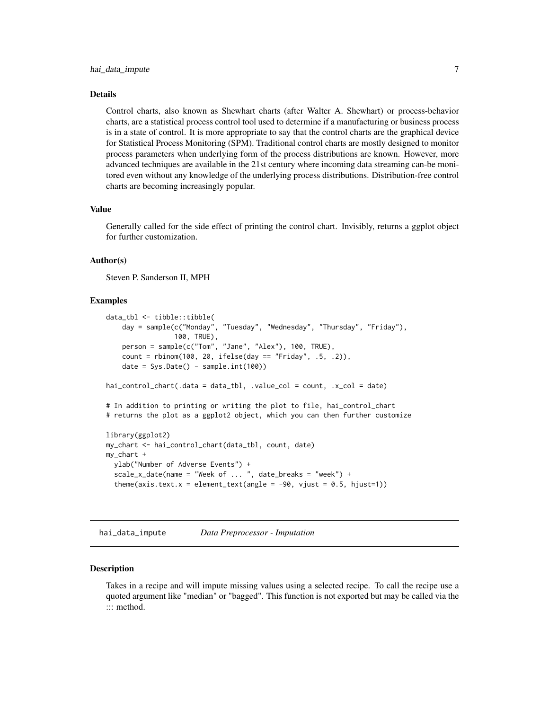#### <span id="page-6-0"></span>Details

Control charts, also known as Shewhart charts (after Walter A. Shewhart) or process-behavior charts, are a statistical process control tool used to determine if a manufacturing or business process is in a state of control. It is more appropriate to say that the control charts are the graphical device for Statistical Process Monitoring (SPM). Traditional control charts are mostly designed to monitor process parameters when underlying form of the process distributions are known. However, more advanced techniques are available in the 21st century where incoming data streaming can-be monitored even without any knowledge of the underlying process distributions. Distribution-free control charts are becoming increasingly popular.

#### Value

Generally called for the side effect of printing the control chart. Invisibly, returns a ggplot object for further customization.

#### Author(s)

Steven P. Sanderson II, MPH

#### Examples

```
data_tbl <- tibble::tibble(
   day = sample(c("Monday", "Tuesday", "Wednesday", "Thursday", "Friday"),
                 100, TRUE),
   person = sample(c("Tom", "Jane", "Alex"), 100, TRUE),
   count = rbinom(100, 20, ifelse(day == "Friday", .5, .2)),
    date = Sys.Date() - sample.int(100))hai_control_chart(.data = data_tbl, .value_col = count, .x_col = date)
# In addition to printing or writing the plot to file, hai_control_chart
# returns the plot as a ggplot2 object, which you can then further customize
library(ggplot2)
my_chart <- hai_control_chart(data_tbl, count, date)
my_chart +
 ylab("Number of Adverse Events") +
 scale_x_date(name = "Week of ... ", date_breaks = "week") +
 theme(axis.text.x = element_text(angle = -90, vjust = 0.5, hjust=1))
```
<span id="page-6-1"></span>hai\_data\_impute *Data Preprocessor - Imputation*

#### **Description**

Takes in a recipe and will impute missing values using a selected recipe. To call the recipe use a quoted argument like "median" or "bagged". This function is not exported but may be called via the ::: method.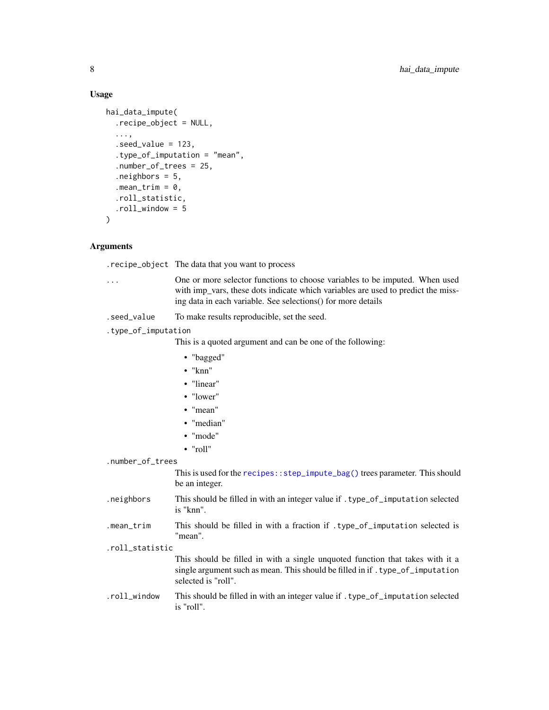#### Usage

```
hai_data_impute(
  .recipe_object = NULL,
  ...,
  seed_value = 123,
  .type_of_imputation = "mean",
  .number_of_trees = 25,
  .neighbors = 5,
  .mean_trim = 0,
  .roll_statistic,
  .roll_window = 5
\lambda
```
# Arguments

.recipe\_object The data that you want to process

- ... One or more selector functions to choose variables to be imputed. When used with imp\_vars, these dots indicate which variables are used to predict the missing data in each variable. See selections() for more details
- .seed\_value To make results reproducible, set the seed.

.type\_of\_imputation

This is a quoted argument and can be one of the following:

- "bagged"
- "knn"
- "linear"
- "lower"
- "mean"
- "median"
- "mode"
- "roll"

.number\_of\_trees

This is used for the [recipes::step\\_impute\\_bag\(\)](#page-0-0) trees parameter. This should be an integer.

- .neighbors This should be filled in with an integer value if .type\_of\_imputation selected is "knn".
- .mean\_trim This should be filled in with a fraction if .type\_of\_imputation selected is "mean".
- .roll\_statistic

This should be filled in with a single unquoted function that takes with it a single argument such as mean. This should be filled in if . type\_of\_imputation selected is "roll".

.roll\_window This should be filled in with an integer value if .type\_of\_imputation selected is "roll".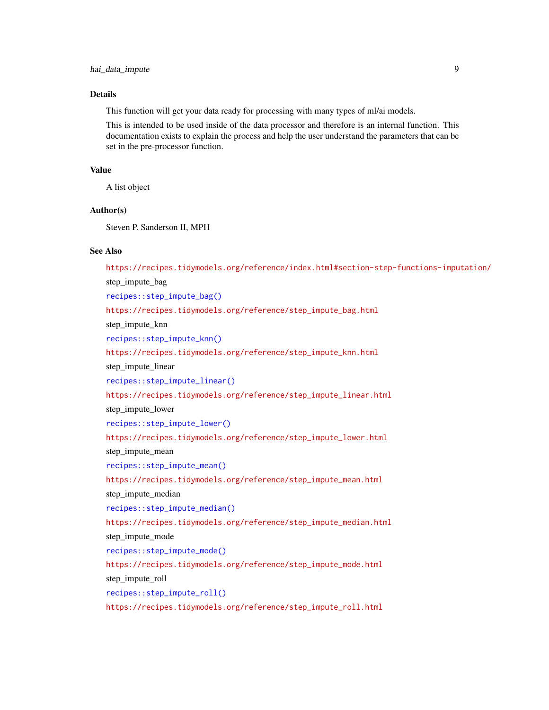# **Details**

This function will get your data ready for processing with many types of ml/ai models.

This is intended to be used inside of the data processor and therefore is an internal function. This documentation exists to explain the process and help the user understand the parameters that can be set in the pre-processor function.

# Value

A list object

#### Author(s)

Steven P. Sanderson II, MPH

#### See Also

<https://recipes.tidymodels.org/reference/index.html#section-step-functions-imputation/> step\_impute\_bag [recipes::step\\_impute\\_bag\(\)](#page-0-0) [https://recipes.tidymodels.org/reference/step\\_impute\\_bag.html](https://recipes.tidymodels.org/reference/step_impute_bag.html) step\_impute\_knn [recipes::step\\_impute\\_knn\(\)](#page-0-0) [https://recipes.tidymodels.org/reference/step\\_impute\\_knn.html](https://recipes.tidymodels.org/reference/step_impute_knn.html) step\_impute\_linear [recipes::step\\_impute\\_linear\(\)](#page-0-0) [https://recipes.tidymodels.org/reference/step\\_impute\\_linear.html](https://recipes.tidymodels.org/reference/step_impute_linear.html) step\_impute\_lower [recipes::step\\_impute\\_lower\(\)](#page-0-0) [https://recipes.tidymodels.org/reference/step\\_impute\\_lower.html](https://recipes.tidymodels.org/reference/step_impute_lower.html) step impute mean [recipes::step\\_impute\\_mean\(\)](#page-0-0) [https://recipes.tidymodels.org/reference/step\\_impute\\_mean.html](https://recipes.tidymodels.org/reference/step_impute_mean.html) step impute median [recipes::step\\_impute\\_median\(\)](#page-0-0) [https://recipes.tidymodels.org/reference/step\\_impute\\_median.html](https://recipes.tidymodels.org/reference/step_impute_median.html) step\_impute\_mode [recipes::step\\_impute\\_mode\(\)](#page-0-0) [https://recipes.tidymodels.org/reference/step\\_impute\\_mode.html](https://recipes.tidymodels.org/reference/step_impute_mode.html) step impute roll [recipes::step\\_impute\\_roll\(\)](#page-0-0) [https://recipes.tidymodels.org/reference/step\\_impute\\_roll.html](https://recipes.tidymodels.org/reference/step_impute_roll.html)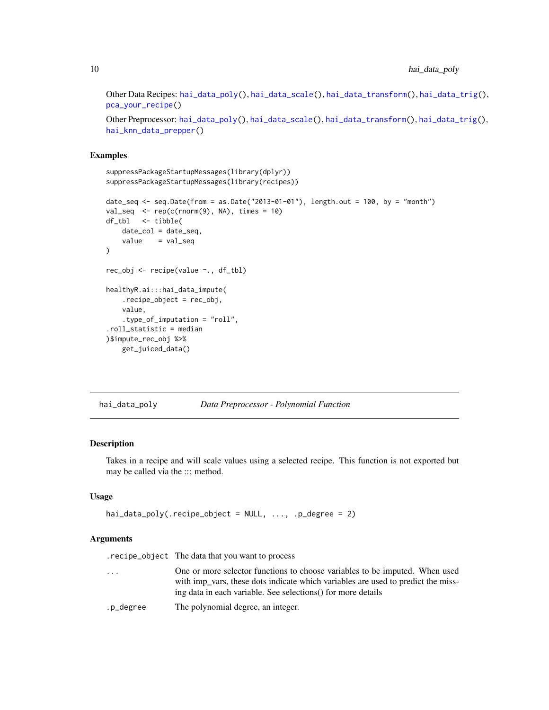<span id="page-9-0"></span>Other Data Recipes: [hai\\_data\\_poly\(](#page-9-1)), [hai\\_data\\_scale\(](#page-11-1)), [hai\\_data\\_transform\(](#page-13-1)), [hai\\_data\\_trig\(](#page-16-1)), [pca\\_your\\_recipe\(](#page-64-1))

Other Preprocessor: [hai\\_data\\_poly\(](#page-9-1)), [hai\\_data\\_scale\(](#page-11-1)), [hai\\_data\\_transform\(](#page-13-1)), [hai\\_data\\_trig\(](#page-16-1)), [hai\\_knn\\_data\\_prepper\(](#page-48-1))

#### Examples

```
suppressPackageStartupMessages(library(dplyr))
suppressPackageStartupMessages(library(recipes))
date_seq <- seq.Date(from = as.Date("2013-01-01"), length.out = 100, by = "month")
val\_seq \le rep(c(rnorm(9), NA), times = 10)df_tbl <- tibble(
   date_col = date_seq,
   value = val_seq
)
rec_obj <- recipe(value ~., df_tbl)
healthyR.ai:::hai_data_impute(
    .recipe_object = rec_obj,
   value,
    .type_of_imputation = "roll",
.roll_statistic = median
)$impute_rec_obj %>%
   get_juiced_data()
```
<span id="page-9-1"></span>hai\_data\_poly *Data Preprocessor - Polynomial Function*

# Description

Takes in a recipe and will scale values using a selected recipe. This function is not exported but may be called via the ::: method.

#### Usage

```
hai_data_poly(.recipe_object = NULL, ..., .p_degree = 2)
```
#### Arguments

.recipe\_object The data that you want to process

- ... One or more selector functions to choose variables to be imputed. When used with imp\_vars, these dots indicate which variables are used to predict the missing data in each variable. See selections() for more details
- .p\_degree The polynomial degree, an integer.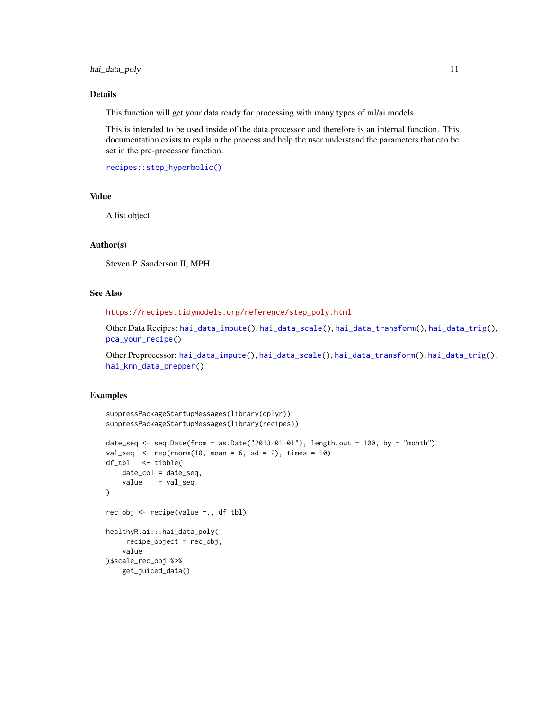hai\_data\_poly 11

#### Details

This function will get your data ready for processing with many types of ml/ai models.

This is intended to be used inside of the data processor and therefore is an internal function. This documentation exists to explain the process and help the user understand the parameters that can be set in the pre-processor function.

[recipes::step\\_hyperbolic\(\)](#page-0-0)

#### Value

A list object

#### Author(s)

Steven P. Sanderson II, MPH

# See Also

[https://recipes.tidymodels.org/reference/step\\_poly.html](https://recipes.tidymodels.org/reference/step_poly.html)

Other Data Recipes: [hai\\_data\\_impute\(](#page-6-1)), [hai\\_data\\_scale\(](#page-11-1)), [hai\\_data\\_transform\(](#page-13-1)), [hai\\_data\\_trig\(](#page-16-1)), [pca\\_your\\_recipe\(](#page-64-1))

Other Preprocessor: [hai\\_data\\_impute\(](#page-6-1)), [hai\\_data\\_scale\(](#page-11-1)), [hai\\_data\\_transform\(](#page-13-1)), [hai\\_data\\_trig\(](#page-16-1)), [hai\\_knn\\_data\\_prepper\(](#page-48-1))

## Examples

```
suppressPackageStartupMessages(library(dplyr))
suppressPackageStartupMessages(library(recipes))
date_seq <- seq.Date(from = as.Date("2013-01-01"), length.out = 100, by = "month")
val\_seq <- rep(rnorm(10, mean = 6, sd = 2), times = 10)
df_tbl <- tibble(
   date_col = date_seq,
    value = val_seq
\mathcal{L}rec_obj <- recipe(value ~., df_tbl)
healthyR.ai:::hai_data_poly(
    .recipe_object = rec_obj,
    value
)$scale_rec_obj %>%
    get_juiced_data()
```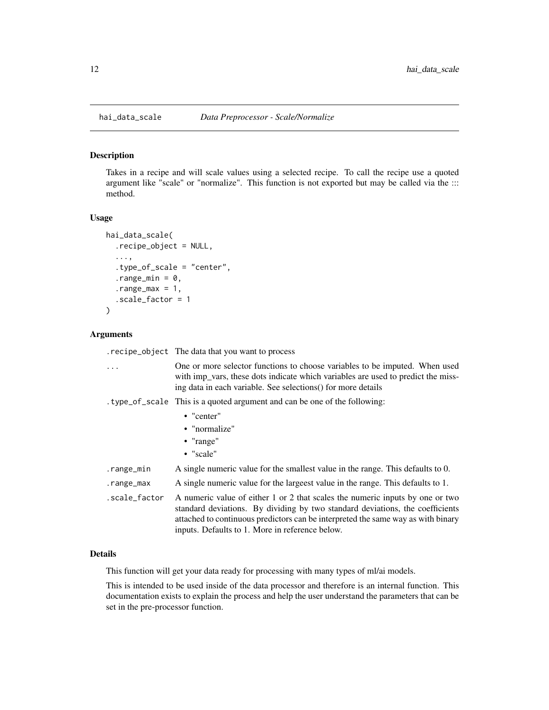<span id="page-11-1"></span><span id="page-11-0"></span>

#### Description

Takes in a recipe and will scale values using a selected recipe. To call the recipe use a quoted argument like "scale" or "normalize". This function is not exported but may be called via the ::: method.

#### Usage

```
hai_data_scale(
  .recipe_object = NULL,
  ...,
  .type_of_scale = "center",
  .range_min = 0,
  range_max = 1,
  .scale_factor = 1
)
```
## Arguments

.recipe\_object The data that you want to process

| $\ddots$      | One or more selector functions to choose variables to be imputed. When used<br>with imp <sub>ration</sub> , these dots indicate which variables are used to predict the miss-<br>ing data in each variable. See selections () for more details                                                        |
|---------------|-------------------------------------------------------------------------------------------------------------------------------------------------------------------------------------------------------------------------------------------------------------------------------------------------------|
|               | type_of_scale This is a quoted argument and can be one of the following:                                                                                                                                                                                                                              |
|               | $\bullet$ "center"                                                                                                                                                                                                                                                                                    |
|               | • "normalize"                                                                                                                                                                                                                                                                                         |
|               | • "range"                                                                                                                                                                                                                                                                                             |
|               | • "scale"                                                                                                                                                                                                                                                                                             |
| .range_min    | A single numeric value for the smallest value in the range. This defaults to 0.                                                                                                                                                                                                                       |
| .range_max    | A single numeric value for the large est value in the range. This defaults to 1.                                                                                                                                                                                                                      |
| .scale_factor | A numeric value of either 1 or 2 that scales the numeric inputs by one or two<br>standard deviations. By dividing by two standard deviations, the coefficients<br>attached to continuous predictors can be interpreted the same way as with binary<br>inputs. Defaults to 1. More in reference below. |

#### Details

This function will get your data ready for processing with many types of ml/ai models.

This is intended to be used inside of the data processor and therefore is an internal function. This documentation exists to explain the process and help the user understand the parameters that can be set in the pre-processor function.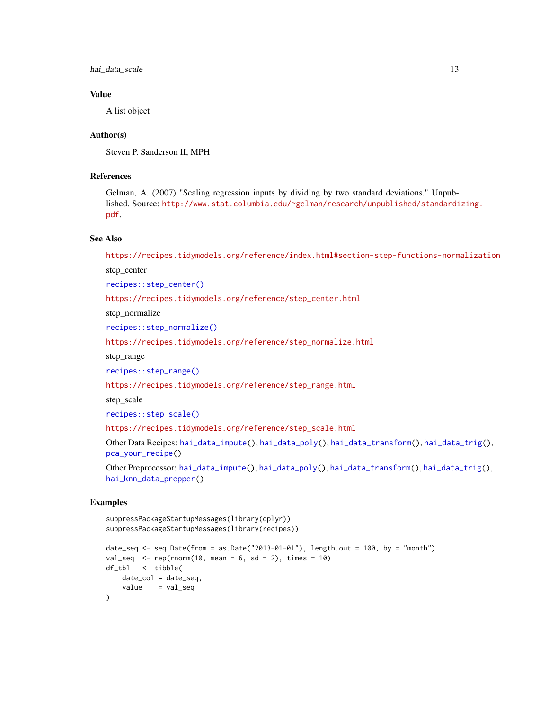hai\_data\_scale 13

# Value

A list object

#### Author(s)

Steven P. Sanderson II, MPH

# References

Gelman, A. (2007) "Scaling regression inputs by dividing by two standard deviations." Unpublished. Source: [http://www.stat.columbia.edu/~gelman/research/unpublished/standardi](http://www.stat.columbia.edu/~gelman/research/unpublished/standardizing.pdf)zing. [pdf](http://www.stat.columbia.edu/~gelman/research/unpublished/standardizing.pdf).

#### See Also

<https://recipes.tidymodels.org/reference/index.html#section-step-functions-normalization>

step\_center

[recipes::step\\_center\(\)](#page-0-0)

[https://recipes.tidymodels.org/reference/step\\_center.html](https://recipes.tidymodels.org/reference/step_center.html)

step\_normalize

[recipes::step\\_normalize\(\)](#page-0-0)

[https://recipes.tidymodels.org/reference/step\\_normalize.html](https://recipes.tidymodels.org/reference/step_normalize.html)

step\_range

[recipes::step\\_range\(\)](#page-0-0)

[https://recipes.tidymodels.org/reference/step\\_range.html](https://recipes.tidymodels.org/reference/step_range.html)

step\_scale

[recipes::step\\_scale\(\)](#page-0-0)

[https://recipes.tidymodels.org/reference/step\\_scale.html](https://recipes.tidymodels.org/reference/step_scale.html)

Other Data Recipes: [hai\\_data\\_impute\(](#page-6-1)), [hai\\_data\\_poly\(](#page-9-1)), [hai\\_data\\_transform\(](#page-13-1)), [hai\\_data\\_trig\(](#page-16-1)), [pca\\_your\\_recipe\(](#page-64-1))

```
Other Preprocessor: hai_data_impute(), hai_data_poly(), hai_data_transform(), hai_data_trig(),
hai_knn_data_prepper()
```
# Examples

```
suppressPackageStartupMessages(library(dplyr))
suppressPackageStartupMessages(library(recipes))
date_seq <- seq.Date(from = as.Date("2013-01-01"), length.out = 100, by = "month")
val_seq \leq rep(rnorm(10, mean = 6, sd = 2), times = 10)
df_tbl <- tibble(
   date_col = date_seq,
   value = val_seq
\lambda
```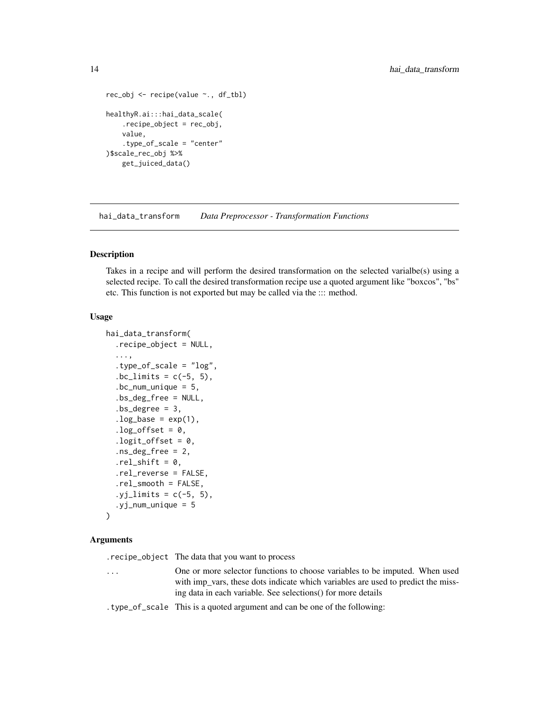```
rec_obj <- recipe(value ~., df_tbl)
healthyR.ai:::hai_data_scale(
    .recipe_object = rec_obj,
   value,
    .type_of_scale = "center"
)$scale_rec_obj %>%
   get_juiced_data()
```
<span id="page-13-1"></span>hai\_data\_transform *Data Preprocessor - Transformation Functions*

#### Description

Takes in a recipe and will perform the desired transformation on the selected varialbe(s) using a selected recipe. To call the desired transformation recipe use a quoted argument like "boxcos", "bs" etc. This function is not exported but may be called via the ::: method.

#### Usage

```
hai_data_transform(
  .recipe_object = NULL,
  ...,
  .type_of_scale = "log",
  bc\_limits = c(-5, 5),
  bc_{num\_unique} = 5,
  .bs_deg_free = NULL,
  bs\_degree = 3,
  log\_base = exp(1),
  log_{10}ffset = 0,
  .logit_offset = 0,
  ns\_deg\_free = 2,
  .rel_shift = 0,
  .rel_reverse = FALSE,
  .rel_smooth = FALSE,
  yj_limits = c(-5, 5),
  .yj_num_unique = 5
\mathcal{L}
```
#### Arguments

.recipe\_object The data that you want to process

- ... One or more selector functions to choose variables to be imputed. When used with imp\_vars, these dots indicate which variables are used to predict the missing data in each variable. See selections() for more details
- .type\_of\_scale This is a quoted argument and can be one of the following: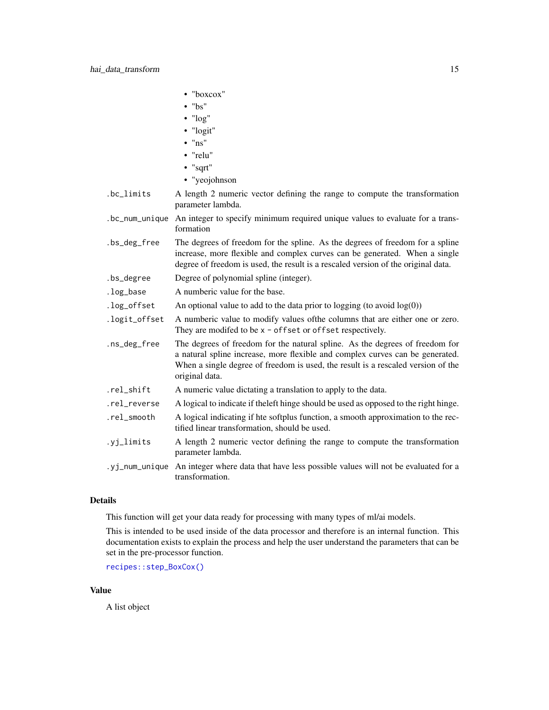|               | • "boxcox"                                                                                                                                                                                                                                                          |
|---------------|---------------------------------------------------------------------------------------------------------------------------------------------------------------------------------------------------------------------------------------------------------------------|
|               | $\cdot$ "bs"                                                                                                                                                                                                                                                        |
|               | $\cdot$ " $\log$ "                                                                                                                                                                                                                                                  |
|               | • "logit"                                                                                                                                                                                                                                                           |
|               | $\cdot$ "ns"                                                                                                                                                                                                                                                        |
|               | • "relu"                                                                                                                                                                                                                                                            |
|               | • "sqrt"                                                                                                                                                                                                                                                            |
|               | • "yeojohnson                                                                                                                                                                                                                                                       |
| .bc_limits    | A length 2 numeric vector defining the range to compute the transformation<br>parameter lambda.                                                                                                                                                                     |
|               | .bc_num_unique An integer to specify minimum required unique values to evaluate for a trans-<br>formation                                                                                                                                                           |
| .bs_deg_free  | The degrees of freedom for the spline. As the degrees of freedom for a spline<br>increase, more flexible and complex curves can be generated. When a single<br>degree of freedom is used, the result is a rescaled version of the original data.                    |
| .bs_degree    | Degree of polynomial spline (integer).                                                                                                                                                                                                                              |
| .log_base     | A numberic value for the base.                                                                                                                                                                                                                                      |
| .log_offset   | An optional value to add to the data prior to logging (to avoid $log(0)$ )                                                                                                                                                                                          |
| .logit_offset | A numberic value to modify values of the columns that are either one or zero.<br>They are modifed to be x - offset or offset respectively.                                                                                                                          |
| .ns_deg_free  | The degrees of freedom for the natural spline. As the degrees of freedom for<br>a natural spline increase, more flexible and complex curves can be generated.<br>When a single degree of freedom is used, the result is a rescaled version of the<br>original data. |
| .rel_shift    | A numeric value dictating a translation to apply to the data.                                                                                                                                                                                                       |
| .rel_reverse  | A logical to indicate if the left hinge should be used as opposed to the right hinge.                                                                                                                                                                               |
| .rel_smooth   | A logical indicating if hte softplus function, a smooth approximation to the rec-<br>tified linear transformation, should be used.                                                                                                                                  |
| .yj_limits    | A length 2 numeric vector defining the range to compute the transformation<br>parameter lambda.                                                                                                                                                                     |
|               | .yj_num_unique An integer where data that have less possible values will not be evaluated for a<br>transformation.                                                                                                                                                  |

# Details

This function will get your data ready for processing with many types of ml/ai models.

This is intended to be used inside of the data processor and therefore is an internal function. This documentation exists to explain the process and help the user understand the parameters that can be set in the pre-processor function.

[recipes::step\\_BoxCox\(\)](#page-0-0)

#### Value

A list object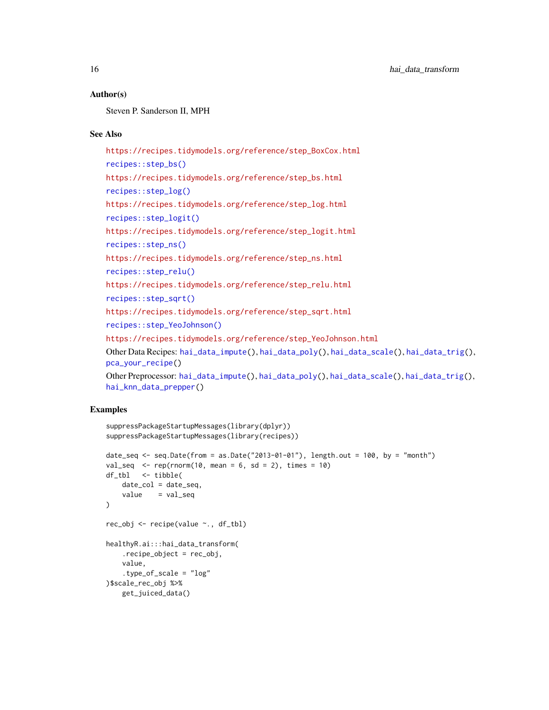#### Author(s)

Steven P. Sanderson II, MPH

#### See Also

[https://recipes.tidymodels.org/reference/step\\_BoxCox.html](https://recipes.tidymodels.org/reference/step_BoxCox.html) [recipes::step\\_bs\(\)](#page-0-0) [https://recipes.tidymodels.org/reference/step\\_bs.html](https://recipes.tidymodels.org/reference/step_bs.html) [recipes::step\\_log\(\)](#page-0-0) [https://recipes.tidymodels.org/reference/step\\_log.html](https://recipes.tidymodels.org/reference/step_log.html) [recipes::step\\_logit\(\)](#page-0-0) [https://recipes.tidymodels.org/reference/step\\_logit.html](https://recipes.tidymodels.org/reference/step_logit.html) [recipes::step\\_ns\(\)](#page-0-0) [https://recipes.tidymodels.org/reference/step\\_ns.html](https://recipes.tidymodels.org/reference/step_ns.html) [recipes::step\\_relu\(\)](#page-0-0) [https://recipes.tidymodels.org/reference/step\\_relu.html](https://recipes.tidymodels.org/reference/step_relu.html) [recipes::step\\_sqrt\(\)](#page-0-0) [https://recipes.tidymodels.org/reference/step\\_sqrt.html](https://recipes.tidymodels.org/reference/step_sqrt.html) [recipes::step\\_YeoJohnson\(\)](#page-0-0) [https://recipes.tidymodels.org/reference/step\\_YeoJohnson.html](https://recipes.tidymodels.org/reference/step_YeoJohnson.html) Other Data Recipes: [hai\\_data\\_impute\(](#page-6-1)), [hai\\_data\\_poly\(](#page-9-1)), [hai\\_data\\_scale\(](#page-11-1)), [hai\\_data\\_trig\(](#page-16-1)), [pca\\_your\\_recipe\(](#page-64-1)) Other Preprocessor: [hai\\_data\\_impute\(](#page-6-1)), [hai\\_data\\_poly\(](#page-9-1)), [hai\\_data\\_scale\(](#page-11-1)), [hai\\_data\\_trig\(](#page-16-1)), [hai\\_knn\\_data\\_prepper\(](#page-48-1))

#### Examples

```
suppressPackageStartupMessages(library(dplyr))
suppressPackageStartupMessages(library(recipes))
date_seq <- seq.Date(from = as.Date("2013-01-01"), length.out = 100, by = "month")
val_seq \leq rep(rnorm(10, mean = 6, sd = 2), times = 10)
df_tbl <- tibble(
   date\_col = date\_seq,value = val_seq
\lambdarec_obj <- recipe(value ~., df_tbl)
healthyR.ai:::hai_data_transform(
    .recipe_object = rec_obj,
    value,
    .type_of_scale = "log"
)$scale_rec_obj %>%
    get_juiced_data()
```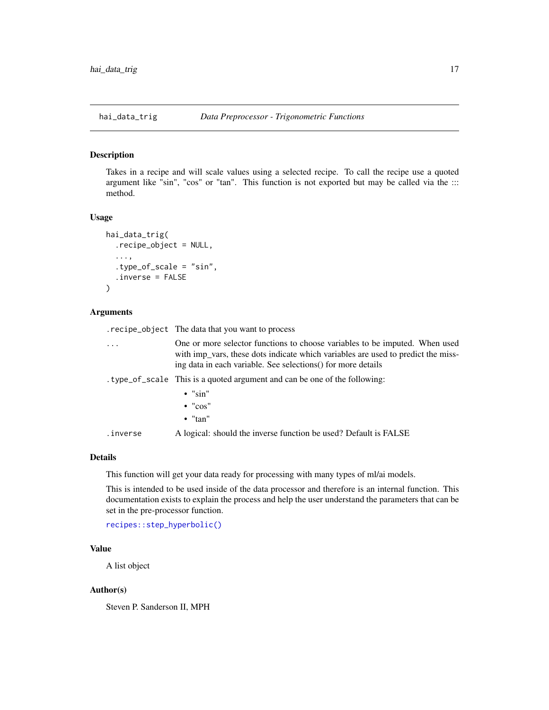<span id="page-16-1"></span><span id="page-16-0"></span>

#### Description

Takes in a recipe and will scale values using a selected recipe. To call the recipe use a quoted argument like "sin", "cos" or "tan". This function is not exported but may be called via the ::: method.

#### Usage

```
hai_data_trig(
  .recipe_object = NULL,
  ...,
  .type_of_scale = "sin",
  .inverse = FALSE
)
```
#### Arguments

.recipe\_object The data that you want to process ... One or more selector functions to choose variables to be imputed. When used with imp\_vars, these dots indicate which variables are used to predict the missing data in each variable. See selections() for more details .type\_of\_scale This is a quoted argument and can be one of the following:  $\bullet$  " $\sin$ " • "cos" • "tan" .inverse A logical: should the inverse function be used? Default is FALSE

#### Details

This function will get your data ready for processing with many types of ml/ai models.

This is intended to be used inside of the data processor and therefore is an internal function. This documentation exists to explain the process and help the user understand the parameters that can be set in the pre-processor function.

[recipes::step\\_hyperbolic\(\)](#page-0-0)

#### Value

A list object

#### Author(s)

Steven P. Sanderson II, MPH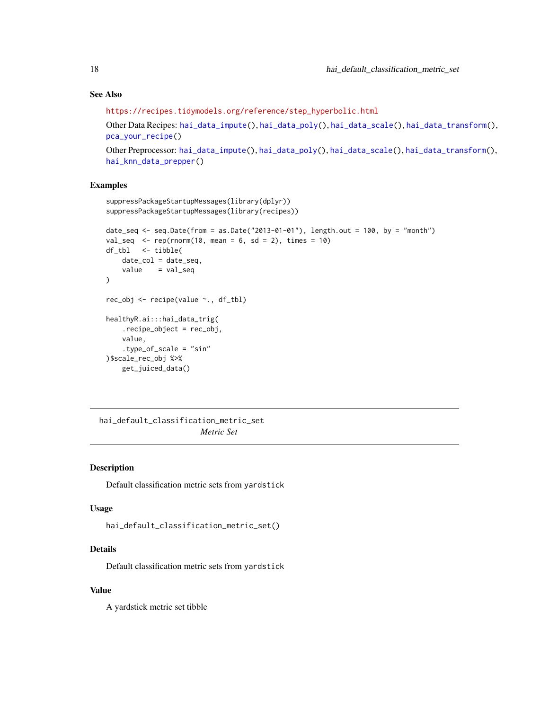# <span id="page-17-0"></span>See Also

[https://recipes.tidymodels.org/reference/step\\_hyperbolic.html](https://recipes.tidymodels.org/reference/step_hyperbolic.html)

```
Other Data Recipes: hai_data_impute(), hai_data_poly(), hai_data_scale(), hai_data_transform(),
pca_your_recipe()
```

```
Other Preprocessor: hai_data_impute(), hai_data_poly(), hai_data_scale(), hai_data_transform(),
hai_knn_data_prepper()
```
#### Examples

```
suppressPackageStartupMessages(library(dplyr))
suppressPackageStartupMessages(library(recipes))
date_seq <- seq.Date(from = as.Date("2013-01-01"), length.out = 100, by = "month")
val\_seq <- rep(rnorm(10, mean = 6, sd = 2), times = 10)
df_tbl <- tibble(
    date_col = date_seq,
    value = val\_seq\mathcal{L}rec_obj <- recipe(value ~., df_tbl)
healthyR.ai:::hai_data_trig(
    .recipe_object = rec_obj,
   value,
    .type_of_scale = "sin"
)$scale_rec_obj %>%
    get_juiced_data()
```
<span id="page-17-1"></span>hai\_default\_classification\_metric\_set *Metric Set*

# Description

Default classification metric sets from yardstick

#### Usage

```
hai_default_classification_metric_set()
```
# Details

Default classification metric sets from yardstick

# Value

A yardstick metric set tibble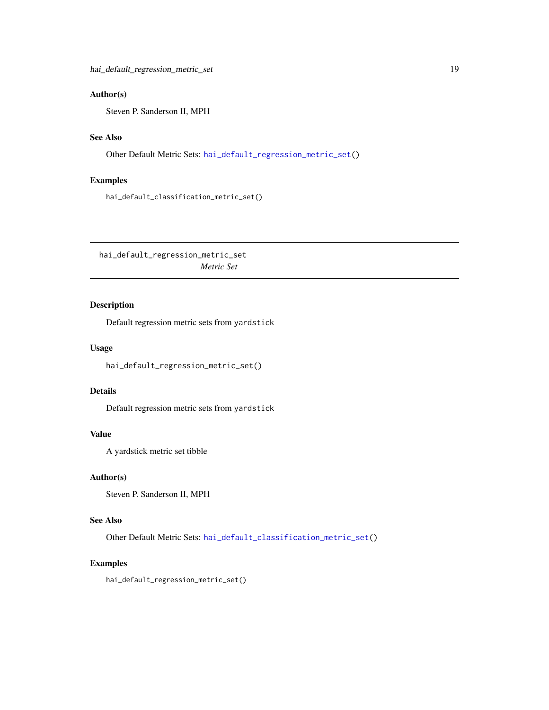# <span id="page-18-0"></span>Author(s)

Steven P. Sanderson II, MPH

# See Also

Other Default Metric Sets: [hai\\_default\\_regression\\_metric\\_set\(](#page-18-1))

# Examples

hai\_default\_classification\_metric\_set()

<span id="page-18-1"></span>hai\_default\_regression\_metric\_set *Metric Set*

# Description

Default regression metric sets from yardstick

#### Usage

hai\_default\_regression\_metric\_set()

# Details

Default regression metric sets from yardstick

# Value

A yardstick metric set tibble

#### Author(s)

Steven P. Sanderson II, MPH

# See Also

Other Default Metric Sets: [hai\\_default\\_classification\\_metric\\_set\(](#page-17-1))

#### Examples

hai\_default\_regression\_metric\_set()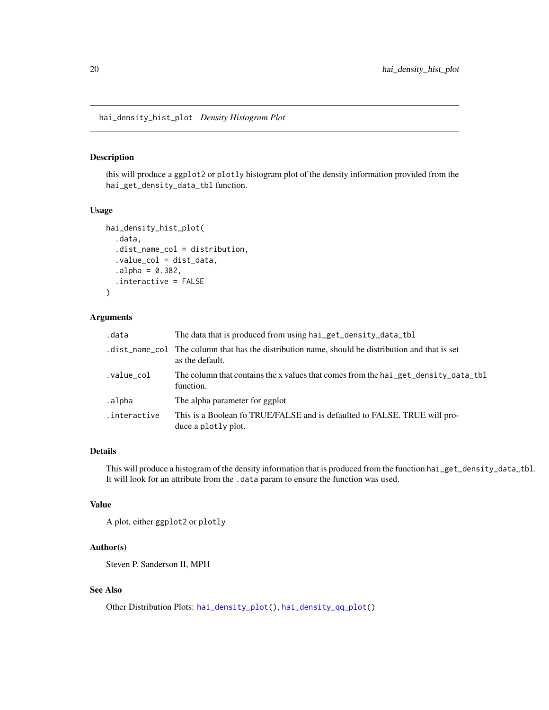<span id="page-19-1"></span><span id="page-19-0"></span>hai\_density\_hist\_plot *Density Histogram Plot*

# Description

this will produce a ggplot2 or plotly histogram plot of the density information provided from the hai\_get\_density\_data\_tbl function.

#### Usage

```
hai_density_hist_plot(
  .data,
  .dist_name_col = distribution,
  .value_col = dist_data,
  a1pha = 0.382,
  .interactive = FALSE
)
```
#### Arguments

| .data        | The data that is produced from using hai_get_density_data_tbl                                                      |
|--------------|--------------------------------------------------------------------------------------------------------------------|
|              | dist_name_col The column that has the distribution name, should be distribution and that is set<br>as the default. |
| .value_col   | The column that contains the x values that comes from the hai_get_density_data_tbl<br>function.                    |
| .alpha       | The alpha parameter for ggplot                                                                                     |
| .interactive | This is a Boolean fo TRUE/FALSE and is defaulted to FALSE. TRUE will pro-<br>duce a plotly plot.                   |

#### Details

This will produce a histogram of the density information that is produced from the function hai\_get\_density\_data\_tbl. It will look for an attribute from the .data param to ensure the function was used.

# Value

A plot, either ggplot2 or plotly

# Author(s)

Steven P. Sanderson II, MPH

# See Also

Other Distribution Plots: [hai\\_density\\_plot\(](#page-20-1)), [hai\\_density\\_qq\\_plot\(](#page-21-1))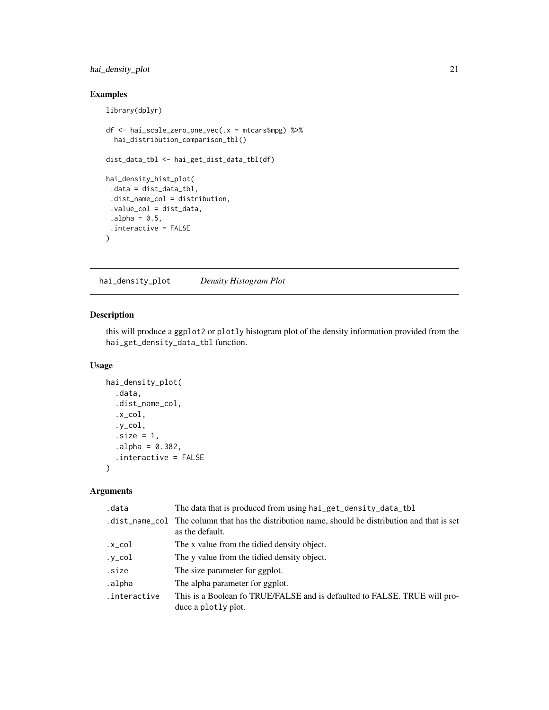# <span id="page-20-0"></span>hai\_density\_plot 21

# Examples

```
library(dplyr)
df <- hai_scale_zero_one_vec(.x = mtcars$mpg) %>%
  hai_distribution_comparison_tbl()
dist_data_tbl <- hai_get_dist_data_tbl(df)
hai_density_hist_plot(
 .data = dist_data_tbl,
 .dist_name_col = distribution,
 .value_col = dist_data,
 alpha = 0.5,
 .interactive = FALSE
\mathcal{L}
```
<span id="page-20-1"></span>hai\_density\_plot *Density Histogram Plot*

# Description

this will produce a ggplot2 or plotly histogram plot of the density information provided from the hai\_get\_density\_data\_tbl function.

# Usage

```
hai_density_plot(
  .data,
  .dist_name_col,
  .x_col,
  .y_col,
  .size = 1,
  a1pha = 0.382,.interactive = FALSE
\mathcal{L}
```
#### Arguments

| .data        | The data that is produced from using hai_get_density_data_tbl                                                       |
|--------------|---------------------------------------------------------------------------------------------------------------------|
|              | .dist_name_col The column that has the distribution name, should be distribution and that is set<br>as the default. |
| .x_col       | The x value from the tidied density object.                                                                         |
| .y_col       | The y value from the tidied density object.                                                                         |
| .size        | The size parameter for ggplot.                                                                                      |
| .alpha       | The alpha parameter for ggplot.                                                                                     |
| .interactive | This is a Boolean fo TRUE/FALSE and is defaulted to FALSE. TRUE will pro-<br>duce a plotly plot.                    |
|              |                                                                                                                     |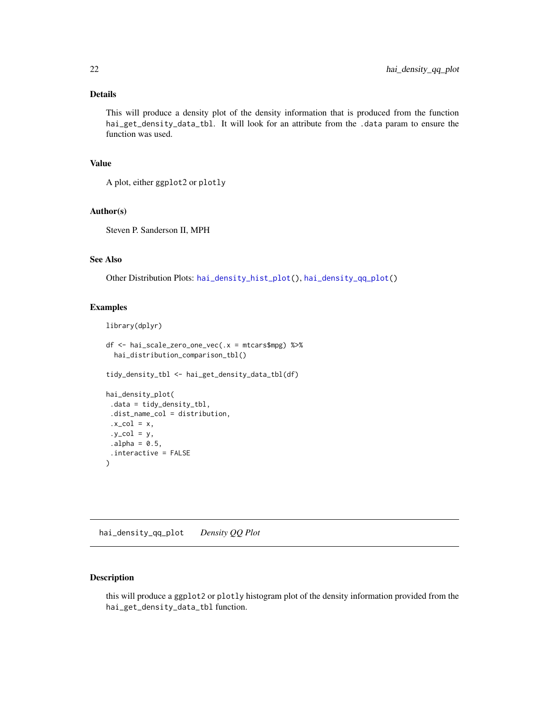# <span id="page-21-0"></span>Details

This will produce a density plot of the density information that is produced from the function hai\_get\_density\_data\_tbl. It will look for an attribute from the .data param to ensure the function was used.

# Value

A plot, either ggplot2 or plotly

# Author(s)

Steven P. Sanderson II, MPH

# See Also

Other Distribution Plots: [hai\\_density\\_hist\\_plot\(](#page-19-1)), [hai\\_density\\_qq\\_plot\(](#page-21-1))

#### Examples

```
library(dplyr)
df <- hai_scale_zero_one_vec(.x = mtcars$mpg) %>%
 hai_distribution_comparison_tbl()
tidy_density_tbl <- hai_get_density_data_tbl(df)
hai_density_plot(
.data = tidy_density_tbl,
.dist_name_col = distribution,
.x\_col = x,
 .y\_col = y,
alpha = 0.5,
 .interactive = FALSE
\lambda
```
<span id="page-21-1"></span>hai\_density\_qq\_plot *Density QQ Plot*

# Description

this will produce a ggplot2 or plotly histogram plot of the density information provided from the hai\_get\_density\_data\_tbl function.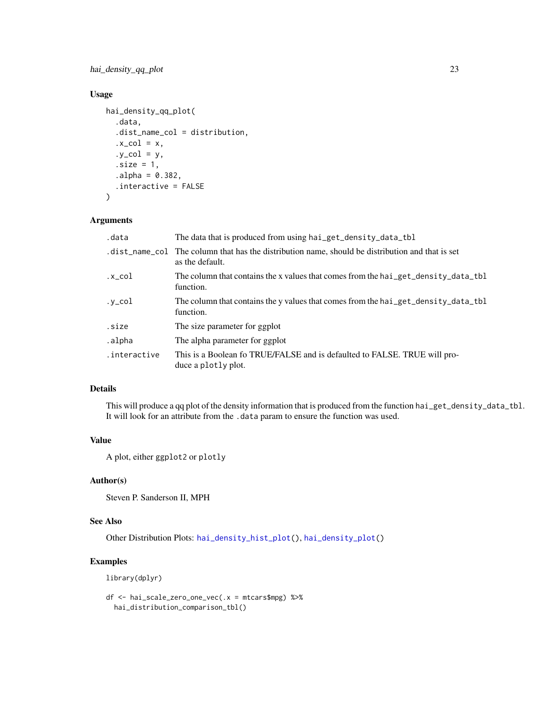# hai\_density\_qq\_plot 23

# Usage

```
hai_density_qq_plot(
  .data,
  .dist_name_col = distribution,
  .x\_col = x,
  .y\_col = y,
  .size = 1,a1pha = 0.382,.interactive = FALSE
)
```
#### Arguments

| .data        | The data that is produced from using hai_get_density_data_tbl                                                       |
|--------------|---------------------------------------------------------------------------------------------------------------------|
|              | .dist_name_col The column that has the distribution name, should be distribution and that is set<br>as the default. |
| .x_col       | The column that contains the x values that comes from the hai_get_density_data_tbl<br>function.                     |
| .y_col       | The column that contains the y values that comes from the hai_get_density_data_tbl<br>function.                     |
| .size        | The size parameter for ggplot                                                                                       |
| .alpha       | The alpha parameter for ggplot                                                                                      |
| .interactive | This is a Boolean fo TRUE/FALSE and is defaulted to FALSE. TRUE will pro-<br>duce a plotly plot.                    |
|              |                                                                                                                     |

# Details

This will produce a qq plot of the density information that is produced from the function hai\_get\_density\_data\_tbl. It will look for an attribute from the .data param to ensure the function was used.

## Value

A plot, either ggplot2 or plotly

# Author(s)

Steven P. Sanderson II, MPH

#### See Also

Other Distribution Plots: [hai\\_density\\_hist\\_plot\(](#page-19-1)), [hai\\_density\\_plot\(](#page-20-1))

# Examples

library(dplyr)

```
df <- hai_scale_zero_one_vec(.x = mtcars$mpg) %>%
 hai_distribution_comparison_tbl()
```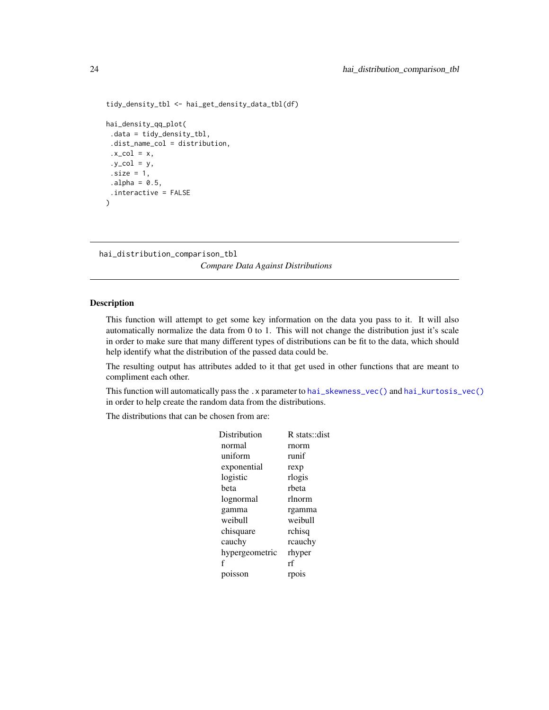```
tidy_density_tbl <- hai_get_density_data_tbl(df)
hai_density_qq_plot(
 .data = tidy_density_tbl,
 .dist_name_col = distribution,
 .x\_col = x,
 .y\_col = y,
 .size = 1,alpha = 0.5,
 .interactive = FALSE
\mathcal{L}
```
<span id="page-23-1"></span>hai\_distribution\_comparison\_tbl

*Compare Data Against Distributions*

#### Description

This function will attempt to get some key information on the data you pass to it. It will also automatically normalize the data from 0 to 1. This will not change the distribution just it's scale in order to make sure that many different types of distributions can be fit to the data, which should help identify what the distribution of the passed data could be.

The resulting output has attributes added to it that get used in other functions that are meant to compliment each other.

This function will automatically pass the .x parameter to [hai\\_skewness\\_vec\(\)](#page-58-1) and [hai\\_kurtosis\\_vec\(\)](#page-49-1) in order to help create the random data from the distributions.

The distributions that can be chosen from are:

| Distribution   | R stats::dist |
|----------------|---------------|
| normal         | rnorm         |
| uniform        | runif         |
| exponential    | rexp          |
| logistic       | rlogis        |
| heta           | rbeta         |
| lognormal      | rlnorm        |
| gamma          | rgamma        |
| weibull        | weibull       |
| chisquare      | rchisq        |
| cauchy         | rcauchy       |
| hypergeometric | rhyper        |
| f              | rf            |
| poisson        | rpois         |
|                |               |

<span id="page-23-0"></span>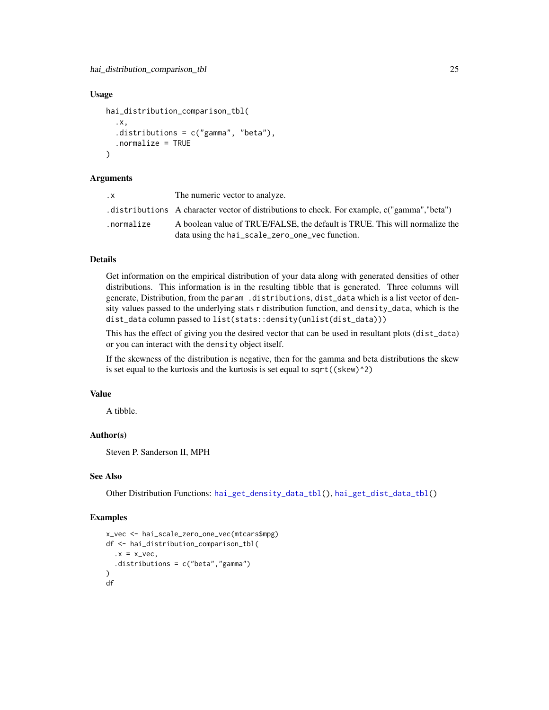#### Usage

```
hai_distribution_comparison_tbl(
  .x,
  .distributions = c("gamma", "beta"),
  .normalize = TRUE
\lambda
```
#### Arguments

| . X        | The numeric vector to analyze.                                                               |
|------------|----------------------------------------------------------------------------------------------|
|            | distributions A character vector of distributions to check. For example, c("gamma", "beta"). |
| .normalize | A boolean value of TRUE/FALSE, the default is TRUE. This will normalize the                  |
|            | data using the hai_scale_zero_one_vec function.                                              |

#### Details

Get information on the empirical distribution of your data along with generated densities of other distributions. This information is in the resulting tibble that is generated. Three columns will generate, Distribution, from the param .distributions, dist\_data which is a list vector of density values passed to the underlying stats r distribution function, and density\_data, which is the dist\_data column passed to list(stats::density(unlist(dist\_data)))

This has the effect of giving you the desired vector that can be used in resultant plots (dist\_data) or you can interact with the density object itself.

If the skewness of the distribution is negative, then for the gamma and beta distributions the skew is set equal to the kurtosis and the kurtosis is set equal to  $sqrt((skew)^2)$ 

#### Value

A tibble.

#### Author(s)

Steven P. Sanderson II, MPH

#### See Also

Other Distribution Functions: [hai\\_get\\_density\\_data\\_tbl\(](#page-31-1)), [hai\\_get\\_dist\\_data\\_tbl\(](#page-32-1))

# Examples

```
x_vec <- hai_scale_zero_one_vec(mtcars$mpg)
df <- hai_distribution_comparison_tbl(
 .x = x\_vec.distributions = c("beta","gamma")
)
df
```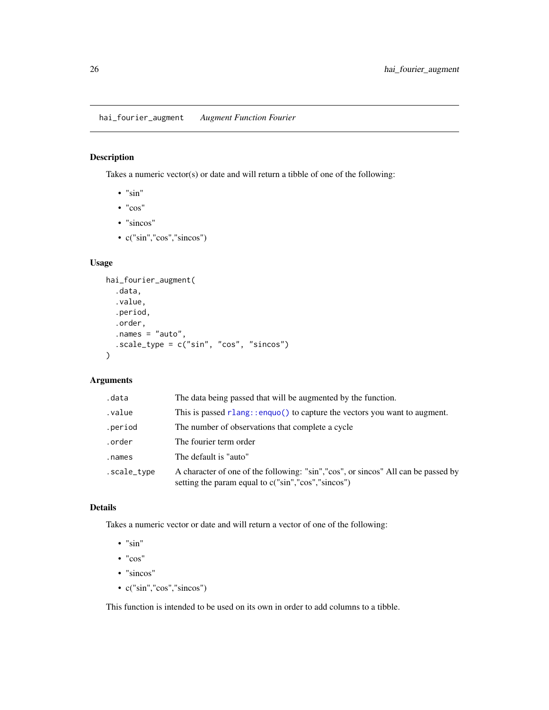<span id="page-25-1"></span><span id="page-25-0"></span>hai\_fourier\_augment *Augment Function Fourier*

# Description

Takes a numeric vector(s) or date and will return a tibble of one of the following:

- $\cdot$  "sin"
- "cos"
- "sincos"
- c("sin","cos","sincos")

# Usage

```
hai_fourier_augment(
  .data,
  .value,
  .period,
  .order,
  .names = "auto",
  .scale_type = c("sin", "cos", "sincos")
)
```
# Arguments

| .data       | The data being passed that will be augmented by the function.                                                                           |
|-------------|-----------------------------------------------------------------------------------------------------------------------------------------|
| .value      | This is passed $r$ lang::enquo() to capture the vectors you want to augment.                                                            |
| .period     | The number of observations that complete a cycle                                                                                        |
| .order      | The fourier term order                                                                                                                  |
| .names      | The default is "auto"                                                                                                                   |
| .scale_type | A character of one of the following: "sin","cos", or sincos" All can be passed by<br>setting the param equal to c("sin","cos","sincos") |

# Details

Takes a numeric vector or date and will return a vector of one of the following:

- $\bullet$  "sin"
- "cos"
- "sincos"
- c("sin","cos","sincos")

This function is intended to be used on its own in order to add columns to a tibble.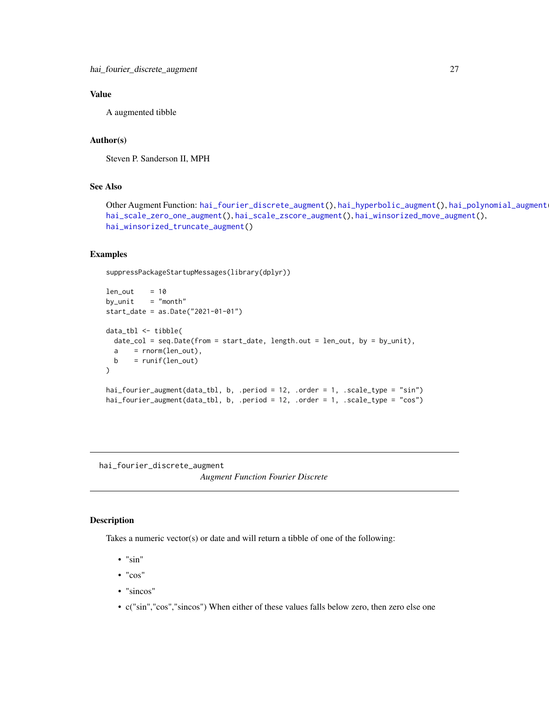# <span id="page-26-0"></span>Value

A augmented tibble

#### Author(s)

Steven P. Sanderson II, MPH

# See Also

Other Augment Function: [hai\\_fourier\\_discrete\\_augment\(](#page-26-1)), [hai\\_hyperbolic\\_augment\(](#page-34-1)), [hai\\_polynomial\\_augment\(](#page-50-1)), [hai\\_scale\\_zero\\_one\\_augment\(](#page-52-1)), [hai\\_scale\\_zscore\\_augment\(](#page-55-1)), [hai\\_winsorized\\_move\\_augment\(](#page-59-1)), [hai\\_winsorized\\_truncate\\_augment\(](#page-61-1))

# Examples

suppressPackageStartupMessages(library(dplyr))

```
len\_out = 10
by\_unit = "month"
start_date = as.Date("2021-01-01")
data_tbl <- tibble(
 date_col = seq.Date(from = start_date, length.out = len_out, by = by_unit),
 a = rnorm(len_out),b = runif(len_out))
hai_fourier_augment(data_tbl, b, .period = 12, .order = 1, .scale_type = "sin")
hai_fourier_augment(data_tbl, b, .period = 12, .order = 1, .scale_type = "cos")
```
<span id="page-26-1"></span>hai\_fourier\_discrete\_augment

*Augment Function Fourier Discrete*

#### Description

Takes a numeric vector(s) or date and will return a tibble of one of the following:

- $\bullet$  "sin"
- "cos"
- "sincos"
- c("sin","cos","sincos") When either of these values falls below zero, then zero else one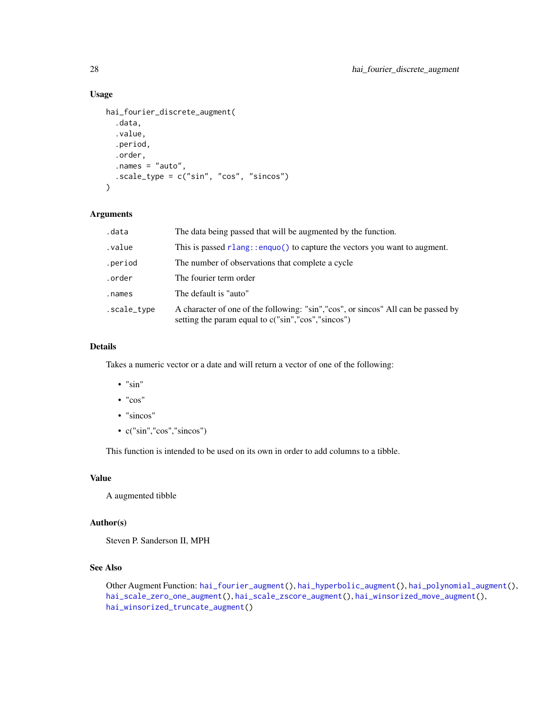# Usage

```
hai_fourier_discrete_augment(
  .data,
  .value,
  .period,
  .order,
  .names = "auto",
 .scale_type = c("sin", "cos", "sincos")
)
```
#### Arguments

| .data       | The data being passed that will be augmented by the function.                                                                            |
|-------------|------------------------------------------------------------------------------------------------------------------------------------------|
| .value      | This is passed $r$ lang: : enquo() to capture the vectors you want to augment.                                                           |
| .period     | The number of observations that complete a cycle.                                                                                        |
| .order      | The fourier term order                                                                                                                   |
| .names      | The default is "auto"                                                                                                                    |
| .scale_type | A character of one of the following: "sin", "cos", or sincos" All can be passed by<br>setting the param equal to c("sin","cos","sincos") |

# Details

Takes a numeric vector or a date and will return a vector of one of the following:

- "sin"
- "cos"
- "sincos"
- c("sin","cos","sincos")

This function is intended to be used on its own in order to add columns to a tibble.

# Value

A augmented tibble

#### Author(s)

Steven P. Sanderson II, MPH

# See Also

Other Augment Function: [hai\\_fourier\\_augment\(](#page-25-1)), [hai\\_hyperbolic\\_augment\(](#page-34-1)), [hai\\_polynomial\\_augment\(](#page-50-1)), [hai\\_scale\\_zero\\_one\\_augment\(](#page-52-1)), [hai\\_scale\\_zscore\\_augment\(](#page-55-1)), [hai\\_winsorized\\_move\\_augment\(](#page-59-1)), [hai\\_winsorized\\_truncate\\_augment\(](#page-61-1))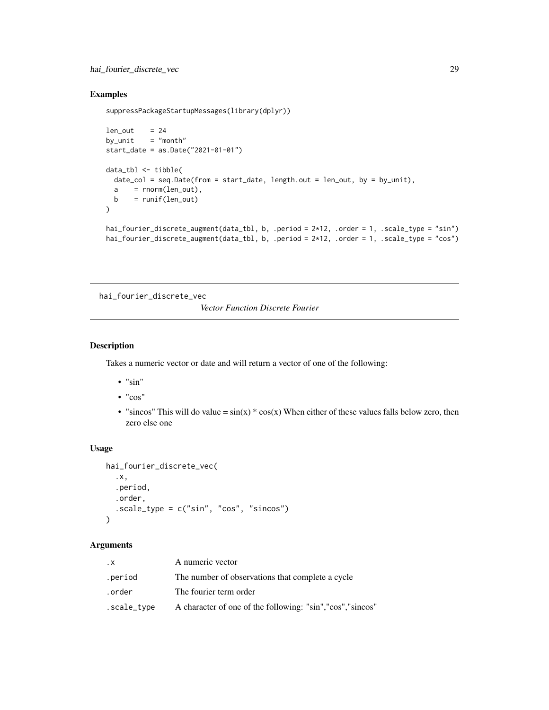# <span id="page-28-0"></span>hai\_fourier\_discrete\_vec 29

# Examples

```
suppressPackageStartupMessages(library(dplyr))
```

```
len\_out = 24
by_unit = "month"start_date = as.Date("2021-01-01")
data_tbl <- tibble(
 date_col = seq.Date(from = start_date, length.out = len_out, by = by_unit),
 a = rnorm(len_out),b = runif(len_out))
hai_fourier_discrete_augment(data_tbl, b, .period = 2*12, .order = 1, .scale_type = "sin")
```

```
hai_fourier_discrete_augment(data_tbl, b, .period = 2*12, .order = 1, .scale_type = "cos")
```
<span id="page-28-1"></span>hai\_fourier\_discrete\_vec

*Vector Function Discrete Fourier*

# Description

Takes a numeric vector or date and will return a vector of one of the following:

- $\bullet$  "sin"
- "cos"
- "sincos" This will do value =  $sin(x) * cos(x)$  When either of these values falls below zero, then zero else one

# Usage

```
hai_fourier_discrete_vec(
  .x,
  .period,
  .order,
  .scale_type = c("sin", "cos", "sincos")
)
```
#### Arguments

| $\cdot$ X   | A numeric vector                                            |
|-------------|-------------------------------------------------------------|
| .period     | The number of observations that complete a cycle            |
| .order      | The fourier term order                                      |
| .scale_type | A character of one of the following: "sin", "cos", "sincos" |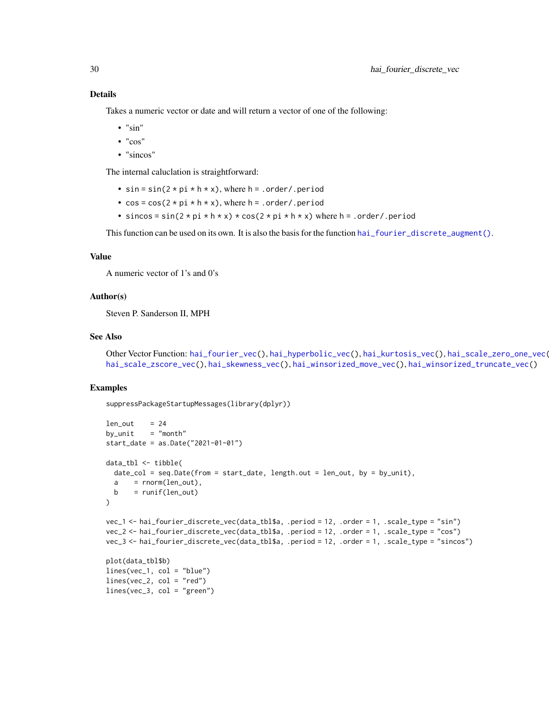Takes a numeric vector or date and will return a vector of one of the following:

- "sin"
- "cos"
- "sincos"

The internal caluclation is straightforward:

- $sin = sin(2 * pi * h * x)$ , where h = .order/.period
- $\cos = \cos(2 \times \pi) \times h \times x$ , where  $h = .\text{order}$ , period
- sincos = sin( $2 * pi * h * x$ )  $* cos(2 * pi * h * x)$  where h = .order/.period

This function can be used on its own. It is also the basis for the function [hai\\_fourier\\_discrete\\_augment\(\)](#page-26-1).

### Value

A numeric vector of 1's and 0's

#### Author(s)

Steven P. Sanderson II, MPH

lines(vec\_3, col = "green")

#### See Also

Other Vector Function: [hai\\_fourier\\_vec\(](#page-30-1)), [hai\\_hyperbolic\\_vec\(](#page-36-1)), [hai\\_kurtosis\\_vec\(](#page-49-1)), [hai\\_scale\\_zero\\_one\\_vec\(](#page-54-1)), [hai\\_scale\\_zscore\\_vec\(](#page-56-1)), [hai\\_skewness\\_vec\(](#page-58-1)), [hai\\_winsorized\\_move\\_vec\(](#page-60-1)), [hai\\_winsorized\\_truncate\\_vec\(](#page-63-1))

#### Examples

suppressPackageStartupMessages(library(dplyr))

```
len\_out = 24
by\_unit = "month"
start_date = as.Date("2021-01-01")
data_tbl <- tibble(
  date_col = seq.Date(from = start_date, length.out = len_out, by = by_unit),
  a = rnorm(len_out),b = runif(len_out)\mathcal{L}vec_1 <- hai_fourier_discrete_vec(data_tbl$a, .period = 12, .order = 1, .scale_type = "sin")
vec_2 <- hai_fourier_discrete_vec(data_tbl$a, .period = 12, .order = 1, .scale_type = "cos")
vec_3 <- hai_fourier_discrete_vec(data_tbl$a, .period = 12, .order = 1, .scale_type = "sincos")
plot(data_tbl$b)
lines(vec_1, col = "blue")
lines(vec_2, col = "red")
```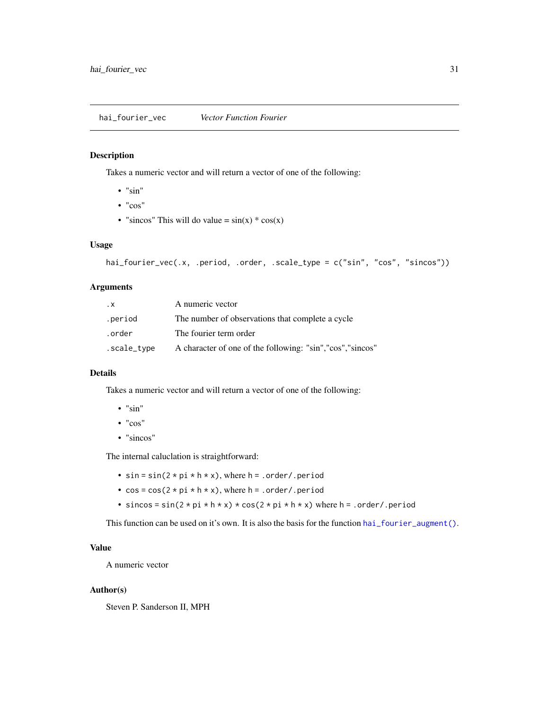# <span id="page-30-1"></span><span id="page-30-0"></span>Description

Takes a numeric vector and will return a vector of one of the following:

- $\bullet$  " $\sin$ "
- "cos"
- "sincos" This will do value =  $sin(x) * cos(x)$

#### Usage

```
hai_fourier_vec(.x, .period, .order, .scale_type = c("sin", "cos", "sincos"))
```
# Arguments

| $\cdot$ X   | A numeric vector                                            |
|-------------|-------------------------------------------------------------|
| .period     | The number of observations that complete a cycle            |
| .order      | The fourier term order                                      |
| .scale_type | A character of one of the following: "sin", "cos", "sincos" |

#### Details

Takes a numeric vector and will return a vector of one of the following:

- "sin"
- "cos"
- "sincos"

The internal caluclation is straightforward:

- $sin = sin(2 * pi * h * x)$ , where  $h = .order/ .period$
- $\cos = \cos(2 \times \pi \times h \times x)$ , where  $h = .\text{order}$ , period
- sincos = sin( $2 * pi * h * x$ ) \* cos( $2 * pi * h * x$ ) where h = .order/.period

This function can be used on it's own. It is also the basis for the function [hai\\_fourier\\_augment\(\)](#page-25-1).

# Value

A numeric vector

#### Author(s)

Steven P. Sanderson II, MPH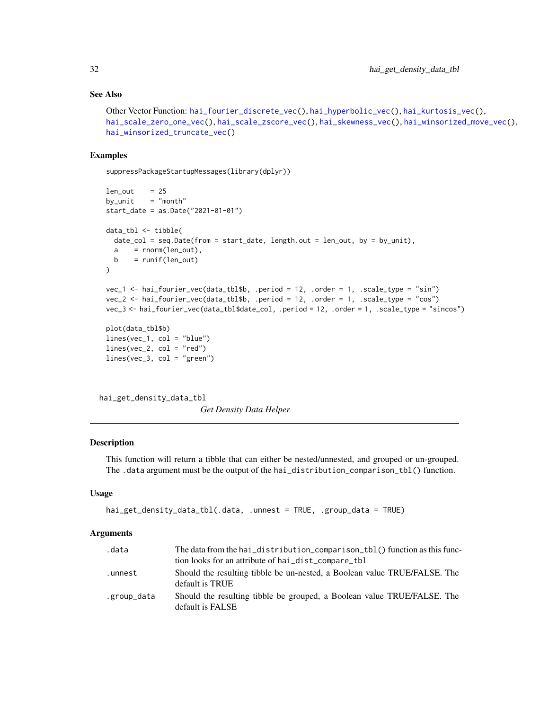#### See Also

```
Other Vector Function: hai_fourier_discrete_vec(), hai_hyperbolic_vec(), hai_kurtosis_vec(),
hai_scale_zero_one_vec(), hai_scale_zscore_vec(), hai_skewness_vec(), hai_winsorized_move_vec(),
hai_winsorized_truncate_vec()
```
#### Examples

suppressPackageStartupMessages(library(dplyr))

```
len\_out = 25
by\_unit = "month"
start_date = as.Date("2021-01-01")
data_tbl <- tibble(
  date_col = seq.Date(from = start_date, length.out = len_out, by = by_unit),
  a = rnorm(len_out),b = runif(len_out))
vec_1 <- hai_fourier_vec(data_tbl$b, .period = 12, .order = 1, .scale_type = "sin")
vec_2 <- hai_fourier_vec(data_tbl$b, .period = 12, .order = 1, .scale_type = "cos")
vec_3 <- hai_fourier_vec(data_tbl$date_col, .period = 12, .order = 1, .scale_type = "sincos")
plot(data_tbl$b)
lines(vec_1, col = "blue")lines(vec_2, col = "red")
lines(vec_3, col = "green")
```
<span id="page-31-1"></span>hai\_get\_density\_data\_tbl *Get Density Data Helper*

# Description

This function will return a tibble that can either be nested/unnested, and grouped or un-grouped. The .data argument must be the output of the hai\_distribution\_comparison\_tbl() function.

#### Usage

```
hai_get_density_data_tbl(.data, .unnest = TRUE, .group_data = TRUE)
```
#### Arguments

| .data       | The data from the hai_distribution_comparison_tbl() function as this func-                   |
|-------------|----------------------------------------------------------------------------------------------|
|             | tion looks for an attribute of hai_dist_compare_tbl                                          |
| .unnest     | Should the resulting tibble be un-nested, a Boolean value TRUE/FALSE. The<br>default is TRUE |
| .group_data | Should the resulting tibble be grouped, a Boolean value TRUE/FALSE. The<br>default is FALSE  |

<span id="page-31-0"></span>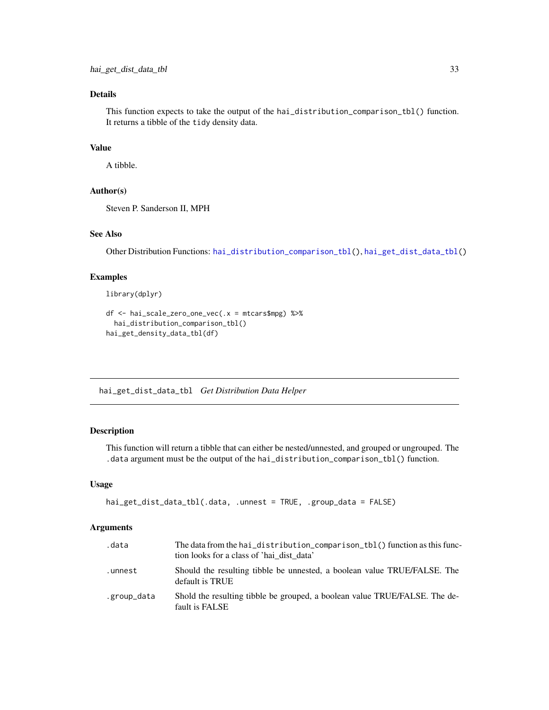# <span id="page-32-0"></span>Details

This function expects to take the output of the hai\_distribution\_comparison\_tbl() function. It returns a tibble of the tidy density data.

# Value

A tibble.

#### Author(s)

Steven P. Sanderson II, MPH

# See Also

Other Distribution Functions: [hai\\_distribution\\_comparison\\_tbl\(](#page-23-1)), [hai\\_get\\_dist\\_data\\_tbl\(](#page-32-1))

# Examples

library(dplyr)

```
df <- hai_scale_zero_one_vec(.x = mtcars$mpg) %>%
 hai_distribution_comparison_tbl()
hai_get_density_data_tbl(df)
```
<span id="page-32-1"></span>hai\_get\_dist\_data\_tbl *Get Distribution Data Helper*

# Description

This function will return a tibble that can either be nested/unnested, and grouped or ungrouped. The .data argument must be the output of the hai\_distribution\_comparison\_tbl() function.

# Usage

```
hai_get_dist_data_tbl(.data, .unnest = TRUE, .group_data = FALSE)
```
# Arguments

| .data       | The data from the hai_distribution_comparison_tbl() function as this func-<br>tion looks for a class of 'hai dist data' |
|-------------|-------------------------------------------------------------------------------------------------------------------------|
| .unnest     | Should the resulting tibble be unnested, a boolean value TRUE/FALSE. The<br>default is TRUE                             |
| .group_data | Shold the resulting tibble be grouped, a boolean value TRUE/FALSE. The de-<br>fault is FALSE                            |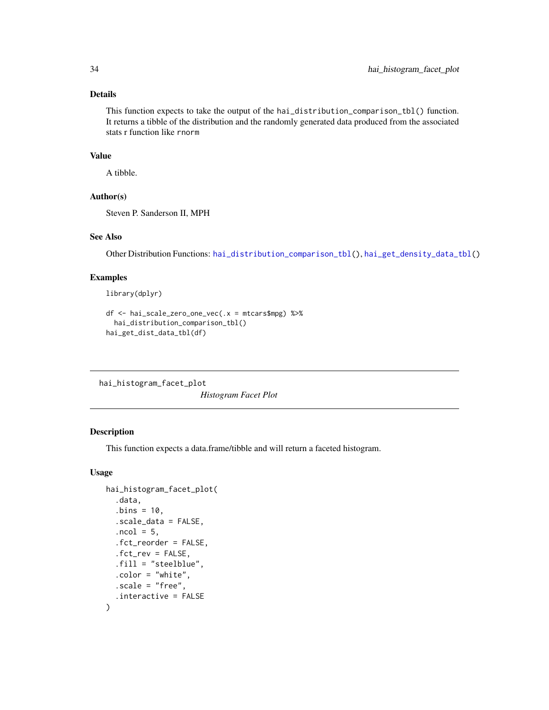#### <span id="page-33-0"></span>Details

This function expects to take the output of the hai\_distribution\_comparison\_tbl() function. It returns a tibble of the distribution and the randomly generated data produced from the associated stats r function like rnorm

#### Value

A tibble.

# Author(s)

Steven P. Sanderson II, MPH

#### See Also

Other Distribution Functions: [hai\\_distribution\\_comparison\\_tbl\(](#page-23-1)), [hai\\_get\\_density\\_data\\_tbl\(](#page-31-1))

# Examples

library(dplyr)

```
df <- hai_scale_zero_one_vec(.x = mtcars$mpg) %>%
  hai_distribution_comparison_tbl()
hai_get_dist_data_tbl(df)
```
hai\_histogram\_facet\_plot

*Histogram Facet Plot*

#### Description

This function expects a data.frame/tibble and will return a faceted histogram.

### Usage

```
hai_histogram_facet_plot(
  .data,
  . \text{bins} = 10,.scale_data = FALSE,
  .ncol = 5,
  .fct_reorder = FALSE,
  .fct_rev = FALSE,
  .fill = "steelblue",
  .color = "white",
  -scale = "free",.interactive = FALSE
\mathcal{E}
```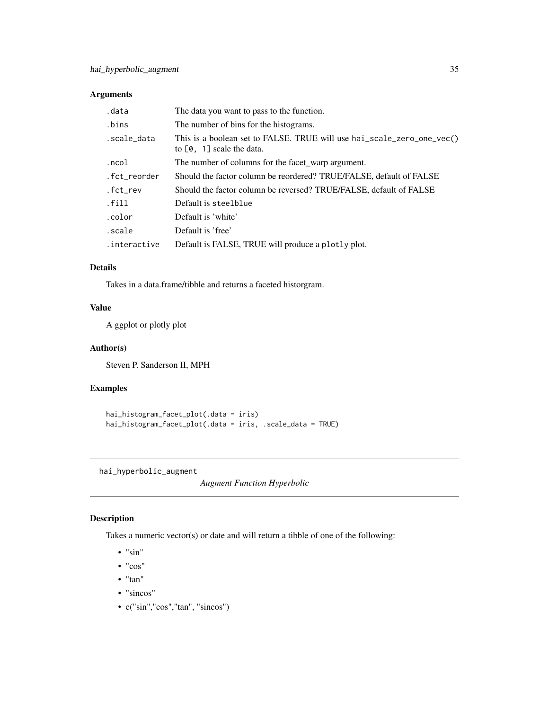# <span id="page-34-0"></span>Arguments

| .data        | The data you want to pass to the function.                                                            |
|--------------|-------------------------------------------------------------------------------------------------------|
| .bins        | The number of bins for the histograms.                                                                |
| .scale_data  | This is a boolean set to FALSE. TRUE will use hai_scale_zero_one_vec()<br>to $[0, 1]$ scale the data. |
| .ncol        | The number of columns for the facet warp argument.                                                    |
| .fct_reorder | Should the factor column be reordered? TRUE/FALSE, default of FALSE                                   |
| .fct_rev     | Should the factor column be reversed? TRUE/FALSE, default of FALSE                                    |
| .fill        | Default is steelblue                                                                                  |
| .color       | Default is 'white'                                                                                    |
| .scale       | Default is 'free'                                                                                     |
| .interactive | Default is FALSE, TRUE will produce a plotly plot.                                                    |

# Details

Takes in a data.frame/tibble and returns a faceted historgram.

# Value

A ggplot or plotly plot

#### Author(s)

Steven P. Sanderson II, MPH

# Examples

```
hai_histogram_facet_plot(.data = iris)
hai_histogram_facet_plot(.data = iris, .scale_data = TRUE)
```
<span id="page-34-1"></span>hai\_hyperbolic\_augment

*Augment Function Hyperbolic*

# Description

Takes a numeric vector(s) or date and will return a tibble of one of the following:

- "sin"
- "cos"
- "tan"
- "sincos"
- c("sin","cos","tan", "sincos")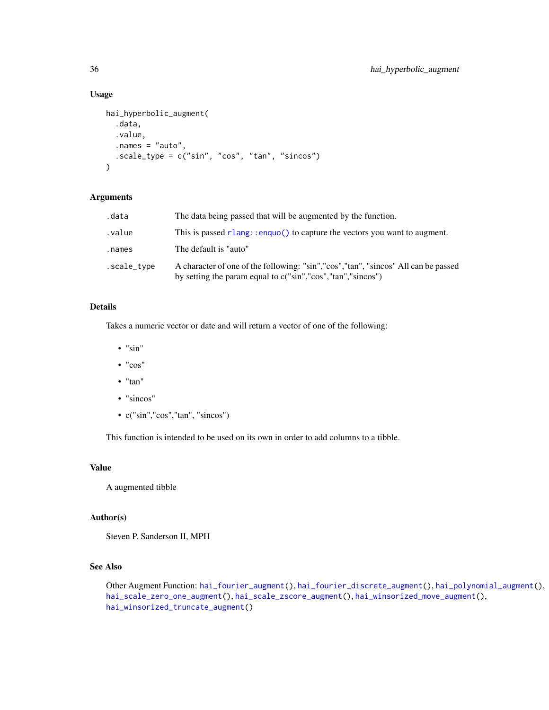#### Usage

```
hai_hyperbolic_augment(
  .data,
  .value,
  .names = "auto",
  .scale_type = c("sin", "cos", "tan", "sincos")
\mathcal{L}
```
# Arguments

| .data       | The data being passed that will be augmented by the function.                                                                                       |
|-------------|-----------------------------------------------------------------------------------------------------------------------------------------------------|
| .value      | This is passed $rlang:enquo()$ to capture the vectors you want to augment.                                                                          |
| .names      | The default is "auto"                                                                                                                               |
| .scale_type | A character of one of the following: "sin", "cos", "tan", "sincos" All can be passed<br>by setting the param equal to c("sin","cos","tan","sincos") |

# Details

Takes a numeric vector or date and will return a vector of one of the following:

- "sin"
- "cos"
- "tan"
- "sincos"
- c("sin","cos","tan", "sincos")

This function is intended to be used on its own in order to add columns to a tibble.

#### Value

A augmented tibble

## Author(s)

Steven P. Sanderson II, MPH

# See Also

Other Augment Function: [hai\\_fourier\\_augment\(](#page-25-1)), [hai\\_fourier\\_discrete\\_augment\(](#page-26-1)), [hai\\_polynomial\\_augment\(](#page-50-1)), [hai\\_scale\\_zero\\_one\\_augment\(](#page-52-1)), [hai\\_scale\\_zscore\\_augment\(](#page-55-1)), [hai\\_winsorized\\_move\\_augment\(](#page-59-1)), [hai\\_winsorized\\_truncate\\_augment\(](#page-61-1))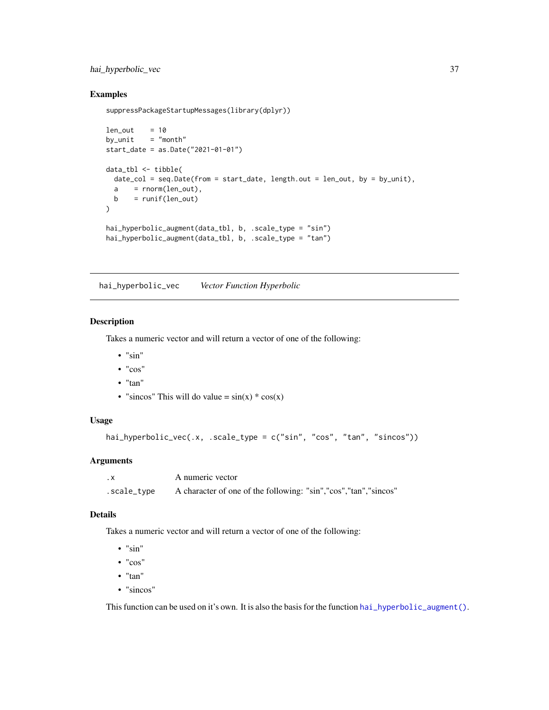# hai\_hyperbolic\_vec 37

## Examples

```
suppressPackageStartupMessages(library(dplyr))
```

```
len\_out = 10
by unit = "month"start_date = as.Date("2021-01-01")
data_tbl <- tibble(
  date\_col = seq.DataFrame(from = start_data, length.out = len_out, by = by_unit),a = rnorm(len_out),b = runif(len_out)\mathcal{L}hai_hyperbolic_augment(data_tbl, b, .scale_type = "sin")
hai_hyperbolic_augment(data_tbl, b, .scale_type = "tan")
```
<span id="page-36-0"></span>hai\_hyperbolic\_vec *Vector Function Hyperbolic*

#### Description

Takes a numeric vector and will return a vector of one of the following:

- $\bullet$  "sin"
- "cos"
- "tan"
- "sincos" This will do value =  $sin(x) * cos(x)$

## Usage

```
hai_hyperbolic_vec(.x, .scale_type = c("sin", "cos", "tan", "sincos"))
```
# Arguments

| . х         | A numeric vector                                                |
|-------------|-----------------------------------------------------------------|
| .scale_type | A character of one of the following: "sin","cos","tan","sincos" |

#### Details

Takes a numeric vector and will return a vector of one of the following:

- $\bullet$  "sin"
- "cos"
- "tan"
- "sincos"

This function can be used on it's own. It is also the basis for the function  $hai_lpyerbolic_laugment()$ .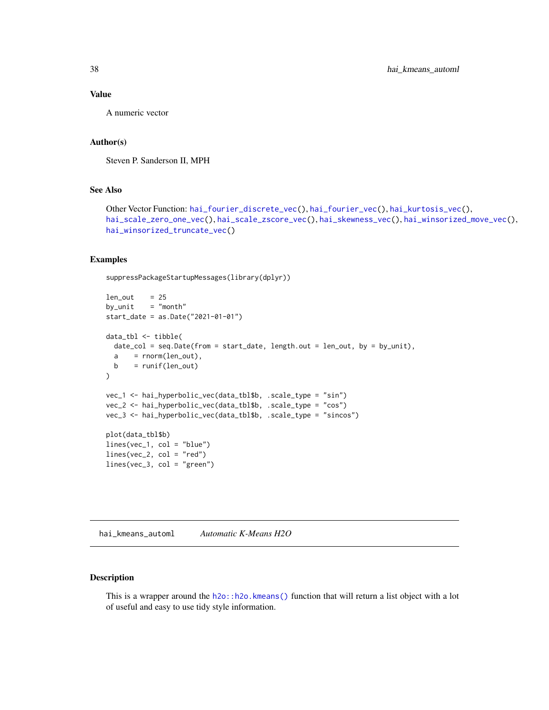# Value

A numeric vector

# Author(s)

Steven P. Sanderson II, MPH

## See Also

```
Other Vector Function: hai_fourier_discrete_vec(), hai_fourier_vec(), hai_kurtosis_vec(),
hai_scale_zero_one_vec(), hai_scale_zscore_vec(), hai_skewness_vec(), hai_winsorized_move_vec(),
hai_winsorized_truncate_vec()
```
## Examples

suppressPackageStartupMessages(library(dplyr))

```
len\_out = 25
by\_unit = "month"
start_date = as.Date("2021-01-01")
data_tbl <- tibble(
 date_col = seq.Date(from = start_date, length.out = len_out, by = by_unit),
 a = rnorm(len_out),b = runif(len_out))
vec_1 <- hai_hyperbolic_vec(data_tbl$b, .scale_type = "sin")
vec_2 <- hai_hyperbolic_vec(data_tbl$b, .scale_type = "cos")
vec_3 <- hai_hyperbolic_vec(data_tbl$b, .scale_type = "sincos")
plot(data_tbl$b)
lines(vec_1, col = "blue")
lines(vec_2, col = "red")
lines(vec_3, col = "green")
```
<span id="page-37-0"></span>hai\_kmeans\_automl *Automatic K-Means H2O*

## Description

This is a wrapper around the  $h2o$ ::h2o.kmeans() function that will return a list object with a lot of useful and easy to use tidy style information.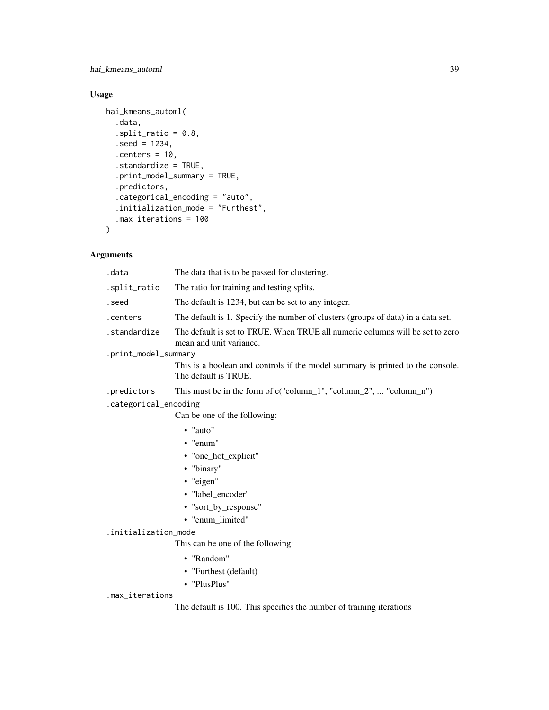hai\_kmeans\_automl 39

# Usage

```
hai_kmeans_automl(
  .data,
  .split\_ratio = 0.8,
  seed = 1234,. centers = 10,.standardize = TRUE,
  .print_model_summary = TRUE,
  .predictors,
  .categorical_encoding = "auto",
  .initialization_mode = "Furthest",
  .max_iterations = 100
)
```
# Arguments

| .data                 | The data that is to be passed for clustering.                                                            |  |
|-----------------------|----------------------------------------------------------------------------------------------------------|--|
| .split_ratio          | The ratio for training and testing splits.                                                               |  |
| .seed                 | The default is 1234, but can be set to any integer.                                                      |  |
| .centers              | The default is 1. Specify the number of clusters (groups of data) in a data set.                         |  |
| .standardize          | The default is set to TRUE. When TRUE all numeric columns will be set to zero<br>mean and unit variance. |  |
| .print_model_summary  |                                                                                                          |  |
|                       | This is a boolean and controls if the model summary is printed to the console.<br>The default is TRUE.   |  |
| .predictors           | This must be in the form of $c("column_1", "column_2",  "column_n")$                                     |  |
| .categorical_encoding |                                                                                                          |  |
|                       | Can be one of the following:                                                                             |  |
|                       | $\bullet$ "auto"                                                                                         |  |
|                       | • "enum"                                                                                                 |  |
|                       | • "one_hot_explicit"                                                                                     |  |
|                       | • "binary"                                                                                               |  |
|                       | • "eigen"                                                                                                |  |
|                       | · "label_encoder"                                                                                        |  |
|                       | • "sort_by_response"                                                                                     |  |
|                       | • "enum_limited"                                                                                         |  |
| .initialization_mode  |                                                                                                          |  |
|                       | This can be one of the following:                                                                        |  |

- "Random"
- "Furthest (default)
- "PlusPlus"

#### .max\_iterations

The default is 100. This specifies the number of training iterations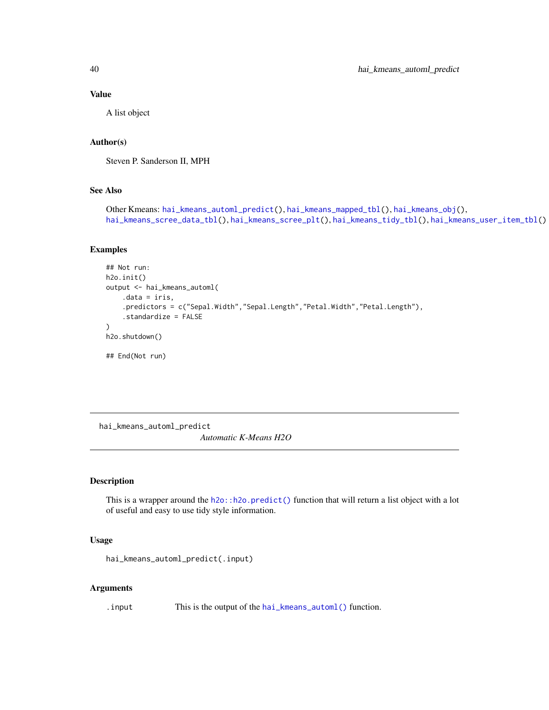#### Value

A list object

# Author(s)

Steven P. Sanderson II, MPH

## See Also

```
Other Kmeans: hai_kmeans_automl_predict(), hai_kmeans_mapped_tbl(), hai_kmeans_obj(),
hai_kmeans_scree_data_tbl(), hai_kmeans_scree_plt(), hai_kmeans_tidy_tbl(), hai_kmeans_user_item_tbl()
```
#### Examples

```
## Not run:
h2o.init()
output <- hai_kmeans_automl(
    .data = iris,
    .predictors = c("Sepal.Width","Sepal.Length","Petal.Width","Petal.Length"),
    .standardize = FALSE
)
h2o.shutdown()
## End(Not run)
```
<span id="page-39-0"></span>hai\_kmeans\_automl\_predict *Automatic K-Means H2O*

# Description

This is a wrapper around the [h2o::h2o.predict\(\)](#page-0-0) function that will return a list object with a lot of useful and easy to use tidy style information.

## Usage

```
hai_kmeans_automl_predict(.input)
```
#### Arguments

. input This is the output of the [hai\\_kmeans\\_automl\(\)](#page-37-0) function.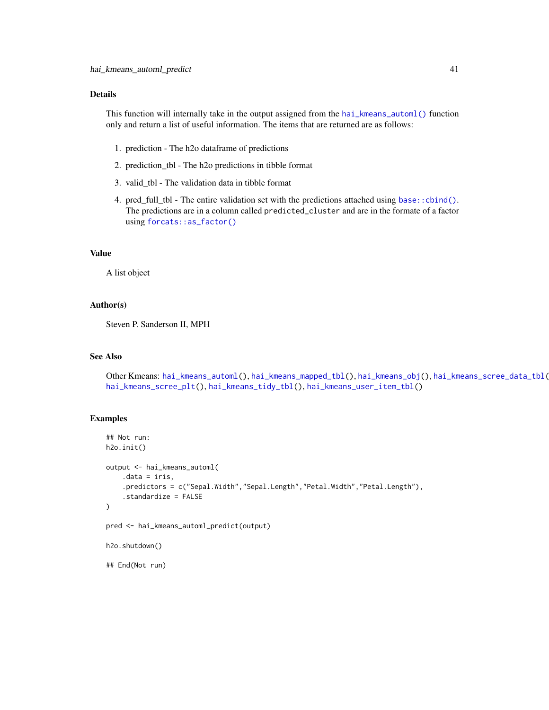## Details

This function will internally take in the output assigned from the [hai\\_kmeans\\_automl\(\)](#page-37-0) function only and return a list of useful information. The items that are returned are as follows:

- 1. prediction The h2o dataframe of predictions
- 2. prediction\_tbl The h2o predictions in tibble format
- 3. valid\_tbl The validation data in tibble format
- 4. pred\_full\_tbl The entire validation set with the predictions attached using [base::cbind\(\)](#page-0-0). The predictions are in a column called predicted\_cluster and are in the formate of a factor using [forcats::as\\_factor\(\)](#page-0-0)

#### Value

A list object

## Author(s)

Steven P. Sanderson II, MPH

## See Also

Other Kmeans: [hai\\_kmeans\\_automl\(](#page-37-0)), [hai\\_kmeans\\_mapped\\_tbl\(](#page-41-0)), [hai\\_kmeans\\_obj\(](#page-42-0)), [hai\\_kmeans\\_scree\\_data\\_tbl\(](#page-43-0)), [hai\\_kmeans\\_scree\\_plt\(](#page-44-0)), [hai\\_kmeans\\_tidy\\_tbl\(](#page-45-0)), [hai\\_kmeans\\_user\\_item\\_tbl\(](#page-47-0))

#### Examples

```
## Not run:
h2o.init()
output <- hai_kmeans_automl(
    .data = iris,
    .predictors = c("Sepal.Width","Sepal.Length","Petal.Width","Petal.Length"),
    .standardize = FALSE
)
pred <- hai_kmeans_automl_predict(output)
```
h2o.shutdown()

## End(Not run)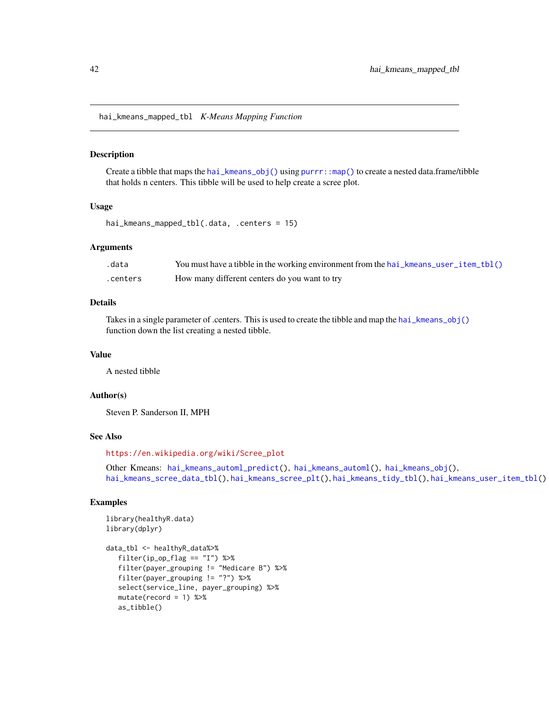<span id="page-41-0"></span>hai\_kmeans\_mapped\_tbl *K-Means Mapping Function*

#### Description

Create a tibble that maps the [hai\\_kmeans\\_obj\(\)](#page-42-0) using  $purr:map()$  to create a nested data.frame/tibble that holds n centers. This tibble will be used to help create a scree plot.

#### Usage

hai\_kmeans\_mapped\_tbl(.data, .centers = 15)

#### **Arguments**

| .data    | You must have a tibble in the working environment from the hai_kmeans_user_item_tbl() |
|----------|---------------------------------------------------------------------------------------|
| .centers | How many different centers do you want to try                                         |

## Details

Takes in a single parameter of .centers. This is used to create the tibble and map the [hai\\_kmeans\\_obj\(\)](#page-42-0) function down the list creating a nested tibble.

# Value

A nested tibble

# Author(s)

Steven P. Sanderson II, MPH

#### See Also

[https://en.wikipedia.org/wiki/Scree\\_plot](https://en.wikipedia.org/wiki/Scree_plot)

Other Kmeans: [hai\\_kmeans\\_automl\\_predict\(](#page-39-0)), [hai\\_kmeans\\_automl\(](#page-37-0)), [hai\\_kmeans\\_obj\(](#page-42-0)), [hai\\_kmeans\\_scree\\_data\\_tbl\(](#page-43-0)), [hai\\_kmeans\\_scree\\_plt\(](#page-44-0)), [hai\\_kmeans\\_tidy\\_tbl\(](#page-45-0)), [hai\\_kmeans\\_user\\_item\\_tbl\(](#page-47-0))

```
library(healthyR.data)
library(dplyr)
```

```
data_tbl <- healthyR_data%>%
  filter(ip_op_flag == "I") %>%
   filter(payer_grouping != "Medicare B") %>%
  filter(payer_grouping != "?") %>%
   select(service_line, payer_grouping) %>%
  mutate(record = 1) %>%
  as_tibble()
```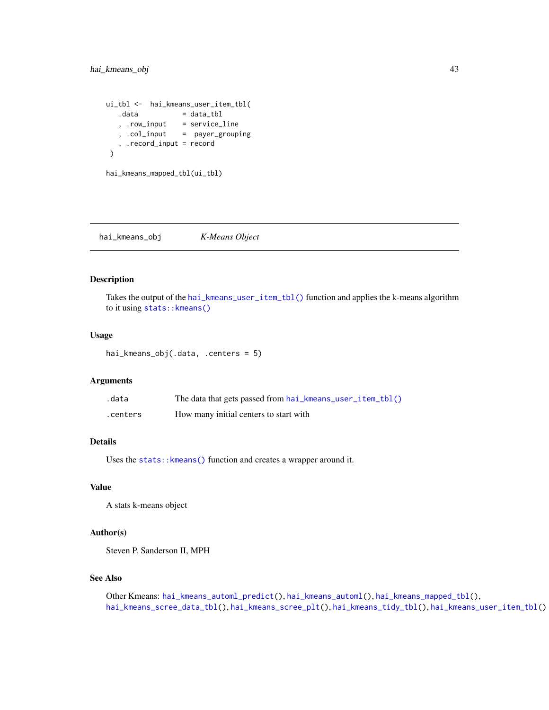```
ui_tbl <- hai_kmeans_user_item_tbl(
  data = data_tbl
   , .row_input = service_line
   , .col_input = payer_grouping
   , .record_input = record
\mathcal{L}
```

```
hai_kmeans_mapped_tbl(ui_tbl)
```
<span id="page-42-0"></span>hai\_kmeans\_obj *K-Means Object*

## Description

Takes the output of the [hai\\_kmeans\\_user\\_item\\_tbl\(\)](#page-47-0) function and applies the k-means algorithm to it using stats:: kmeans()

#### Usage

```
hai_kmeans_obj(.data, .centers = 5)
```
#### Arguments

| .data    | The data that gets passed from hai_kmeans_user_item_tbl() |
|----------|-----------------------------------------------------------|
| .centers | How many initial centers to start with                    |

# Details

Uses the stats:: kmeans() function and creates a wrapper around it.

# Value

A stats k-means object

# Author(s)

Steven P. Sanderson II, MPH

# See Also

Other Kmeans: [hai\\_kmeans\\_automl\\_predict\(](#page-39-0)), [hai\\_kmeans\\_automl\(](#page-37-0)), [hai\\_kmeans\\_mapped\\_tbl\(](#page-41-0)), [hai\\_kmeans\\_scree\\_data\\_tbl\(](#page-43-0)), [hai\\_kmeans\\_scree\\_plt\(](#page-44-0)), [hai\\_kmeans\\_tidy\\_tbl\(](#page-45-0)), [hai\\_kmeans\\_user\\_item\\_tbl\(](#page-47-0))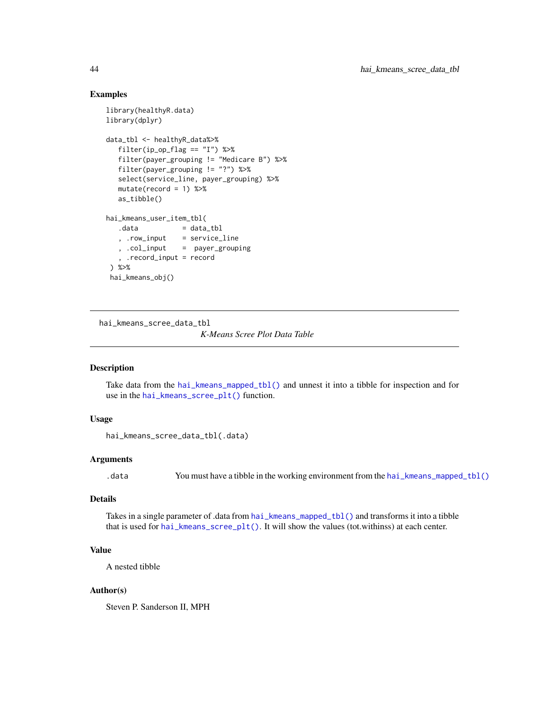# Examples

```
library(healthyR.data)
library(dplyr)
data_tbl <- healthyR_data%>%
  filter(ip_op_flag == "I") %>%
  filter(payer_grouping != "Medicare B") %>%
  filter(payer_grouping != "?") %>%
  select(service_line, payer_grouping) %>%
  mutate(record = 1) %as_tibble()
hai_kmeans_user_item_tbl(
  data = data_tbl
   , .row_input = service_line
   , .col_input = payer_grouping
   , .record_input = record
) %>%
hai_kmeans_obj()
```
<span id="page-43-0"></span>hai\_kmeans\_scree\_data\_tbl

*K-Means Scree Plot Data Table*

## Description

Take data from the [hai\\_kmeans\\_mapped\\_tbl\(\)](#page-41-0) and unnest it into a tibble for inspection and for use in the [hai\\_kmeans\\_scree\\_plt\(\)](#page-44-0) function.

# Usage

```
hai_kmeans_scree_data_tbl(.data)
```
## Arguments

.data You must have a tibble in the working environment from the [hai\\_kmeans\\_mapped\\_tbl\(\)](#page-41-0)

# Details

Takes in a single parameter of .data from [hai\\_kmeans\\_mapped\\_tbl\(\)](#page-41-0) and transforms it into a tibble that is used for [hai\\_kmeans\\_scree\\_plt\(\)](#page-44-0). It will show the values (tot.withinss) at each center.

# Value

A nested tibble

## Author(s)

Steven P. Sanderson II, MPH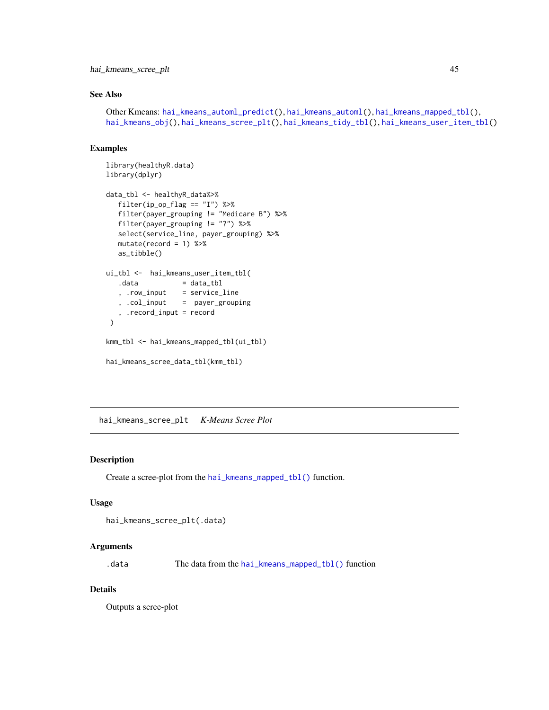hai\_kmeans\_scree\_plt 45

# See Also

```
Other Kmeans: hai_kmeans_automl_predict(), hai_kmeans_automl(), hai_kmeans_mapped_tbl(),
hai_kmeans_obj(), hai_kmeans_scree_plt(), hai_kmeans_tidy_tbl(), hai_kmeans_user_item_tbl()
```
# Examples

```
library(healthyR.data)
library(dplyr)
data_tbl <- healthyR_data%>%
  filter(ip_op_flag == "I") %>%
  filter(payer_grouping != "Medicare B") %>%
  filter(payer_grouping != "?") %>%
  select(service_line, payer_grouping) %>%
  mutate(record = 1) %>%
  as_tibble()
ui_tbl <- hai_kmeans_user_item_tbl(
  data = data_tbl
  , .row\_input = service\_line, .col_input = payer_grouping
   , .record_input = record
)
kmm_tbl <- hai_kmeans_mapped_tbl(ui_tbl)
hai_kmeans_scree_data_tbl(kmm_tbl)
```
<span id="page-44-0"></span>hai\_kmeans\_scree\_plt *K-Means Scree Plot*

# Description

Create a scree-plot from the [hai\\_kmeans\\_mapped\\_tbl\(\)](#page-41-0) function.

## Usage

```
hai_kmeans_scree_plt(.data)
```
#### Arguments

.data The data from the [hai\\_kmeans\\_mapped\\_tbl\(\)](#page-41-0) function

#### Details

Outputs a scree-plot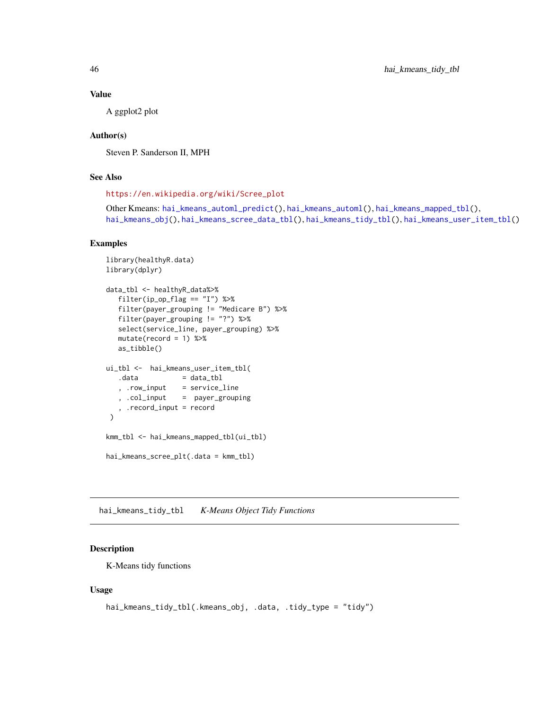## Value

A ggplot2 plot

# Author(s)

Steven P. Sanderson II, MPH

# See Also

[https://en.wikipedia.org/wiki/Scree\\_plot](https://en.wikipedia.org/wiki/Scree_plot)

```
Other Kmeans: hai_kmeans_automl_predict(), hai_kmeans_automl(), hai_kmeans_mapped_tbl(),
hai_kmeans_obj(), hai_kmeans_scree_data_tbl(), hai_kmeans_tidy_tbl(), hai_kmeans_user_item_tbl()
```
#### Examples

```
library(healthyR.data)
library(dplyr)
data_tbl <- healthyR_data%>%
  filter(ip_op_flag == "I") %>%
  filter(payer_grouping != "Medicare B") %>%
  filter(payer_grouping != "?") %>%
  select(service_line, payer_grouping) %>%
  mutate(record = 1) %as_tibble()
ui_tbl <- hai_kmeans_user_item_tbl(
  data = data_tbl
   , .row_input = service_line
   , .col_input = payer_grouping
   , .record_input = record
\lambdakmm_tbl <- hai_kmeans_mapped_tbl(ui_tbl)
hai_kmeans_scree_plt(.data = kmm_tbl)
```
<span id="page-45-0"></span>hai\_kmeans\_tidy\_tbl *K-Means Object Tidy Functions*

## Description

K-Means tidy functions

#### Usage

```
hai_kmeans_tidy_tbl(.kmeans_obj, .data, .tidy_type = "tidy")
```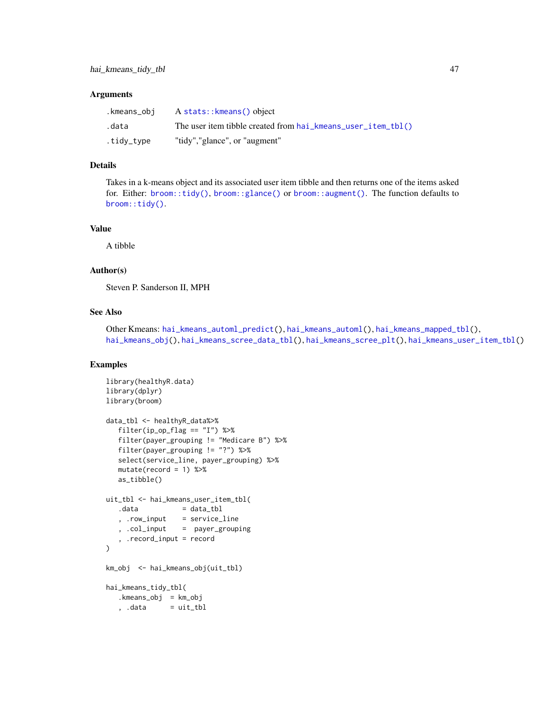#### **Arguments**

| .kmeans_obi | A stats:: kmeans() object                                      |
|-------------|----------------------------------------------------------------|
| .data       | The user item tibble created from $hai$ kmeans user item tbl() |
| .tidy_type  | "tidy","glance", or "augment"                                  |

#### Details

Takes in a k-means object and its associated user item tibble and then returns one of the items asked for. Either: [broom::tidy\(\)](#page-0-0), [broom::glance\(\)](#page-0-0) or [broom::augment\(\)](#page-0-0). The function defaults to [broom::tidy\(\)](#page-0-0).

## Value

A tibble

# Author(s)

Steven P. Sanderson II, MPH

## See Also

```
Other Kmeans: hai_kmeans_automl_predict(), hai_kmeans_automl(), hai_kmeans_mapped_tbl(),
hai_kmeans_obj(), hai_kmeans_scree_data_tbl(), hai_kmeans_scree_plt(), hai_kmeans_user_item_tbl()
```

```
library(healthyR.data)
library(dplyr)
library(broom)
data_tbl <- healthyR_data%>%
  filter(ip_op_flag == "I") %>%
   filter(payer_grouping != "Medicare B") %>%
  filter(payer_grouping != "?") %>%
  select(service_line, payer_grouping) %>%
  mutate(record = 1) %>%
  as_tibble()
uit_tbl <- hai_kmeans_user_item_tbl(
  data = data_tbl
   , .row_input = service_line
   , .col_input = payer_grouping
   , .record_input = record
\lambdakm_obj <- hai_kmeans_obj(uit_tbl)
hai_kmeans_tidy_tbl(
  .kmeans_obj = km_obj
   , .data = uit_tbl
```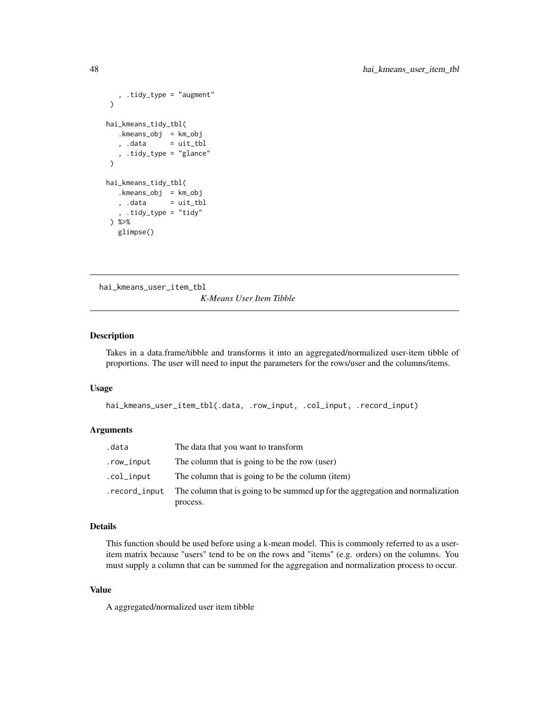```
, .tidy_type = "augment"
)
hai_kmeans_tidy_tbl(
   .kmeans_obj = km_obj
   , .data = uit_tbl
   , .tidy_type = "glance"
\mathcal{L}hai_kmeans_tidy_tbl(
   .kmeans_obj = km_obj
  , .data = uit_tbl
   , .tidy_type = "tidy"
) %>%
  glimpse()
```
<span id="page-47-0"></span>hai\_kmeans\_user\_item\_tbl *K-Means User Item Tibble*

## Description

Takes in a data.frame/tibble and transforms it into an aggregated/normalized user-item tibble of proportions. The user will need to input the parameters for the rows/user and the columns/items.

#### Usage

```
hai_kmeans_user_item_tbl(.data, .row_input, .col_input, .record_input)
```
#### Arguments

| .data         | The data that you want to transform                                                        |
|---------------|--------------------------------------------------------------------------------------------|
| .row_input    | The column that is going to be the row (user)                                              |
| .col_input    | The column that is going to be the column (item)                                           |
| .record_input | The column that is going to be summed up for the aggregation and normalization<br>process. |

## Details

This function should be used before using a k-mean model. This is commonly referred to as a useritem matrix because "users" tend to be on the rows and "items" (e.g. orders) on the columns. You must supply a column that can be summed for the aggregation and normalization process to occur.

# Value

A aggregated/normalized user item tibble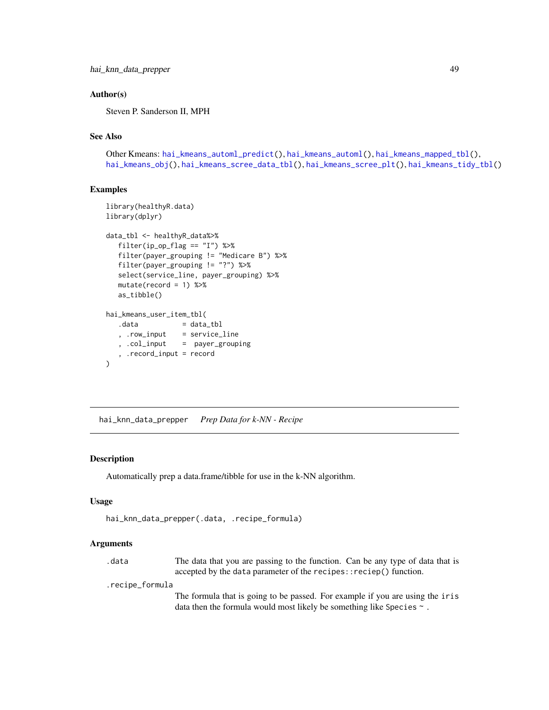## Author(s)

Steven P. Sanderson II, MPH

# See Also

```
Other Kmeans: hai_kmeans_automl_predict(), hai_kmeans_automl(), hai_kmeans_mapped_tbl(),
hai_kmeans_obj(), hai_kmeans_scree_data_tbl(), hai_kmeans_scree_plt(), hai_kmeans_tidy_tbl()
```
## Examples

```
library(healthyR.data)
library(dplyr)
data_tbl <- healthyR_data%>%
  filter(ip_op_flag == "I") %>%
  filter(payer_grouping != "Medicare B") %>%
  filter(payer_grouping != "?") %>%
  select(service_line, payer_grouping) %>%
  mutate(record = 1) %>%
  as_tibble()
hai_kmeans_user_item_tbl(
  data = data_tbl
   , .row_input = service_line
   , .col_input = payer_grouping
   , .record_input = record
\lambda
```
hai\_knn\_data\_prepper *Prep Data for k-NN - Recipe*

# Description

Automatically prep a data.frame/tibble for use in the k-NN algorithm.

#### Usage

```
hai_knn_data_prepper(.data, .recipe_formula)
```
#### Arguments

.data The data that you are passing to the function. Can be any type of data that is accepted by the data parameter of the recipes::reciep() function.

.recipe\_formula

The formula that is going to be passed. For example if you are using the iris data then the formula would most likely be something like Species  $\sim$ .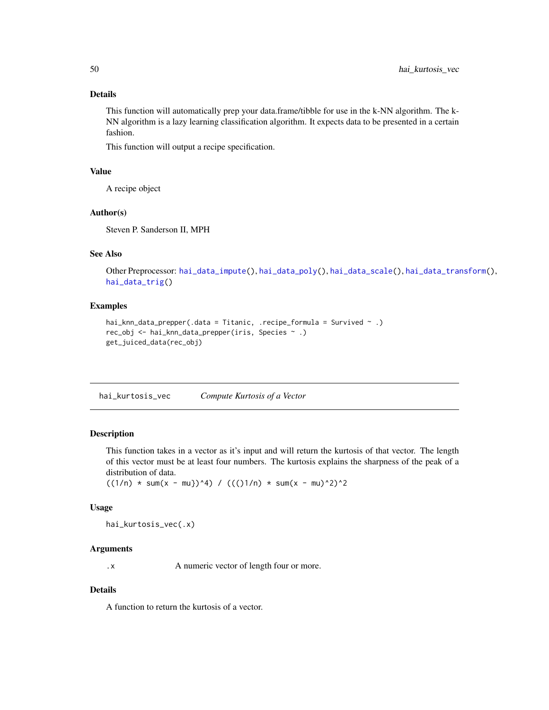# Details

This function will automatically prep your data.frame/tibble for use in the k-NN algorithm. The k-NN algorithm is a lazy learning classification algorithm. It expects data to be presented in a certain fashion.

This function will output a recipe specification.

## Value

A recipe object

#### Author(s)

Steven P. Sanderson II, MPH

# See Also

```
Other Preprocessor: hai_data_impute(), hai_data_poly(), hai_data_scale(), hai_data_transform(),
hai_data_trig()
```
#### Examples

```
hai_knn_data_prepper(.data = Titanic, .recipe_formula = Survived \sim .)
rec_obj <- hai_knn_data_prepper(iris, Species ~ .)
get_juiced_data(rec_obj)
```
<span id="page-49-0"></span>hai\_kurtosis\_vec *Compute Kurtosis of a Vector*

## Description

This function takes in a vector as it's input and will return the kurtosis of that vector. The length of this vector must be at least four numbers. The kurtosis explains the sharpness of the peak of a distribution of data.

 $((1/n) * sum(x - mu)})^4) / (()(1/n) * sum(x - mu)^2)^2$ 

## Usage

hai\_kurtosis\_vec(.x)

## Arguments

.x A numeric vector of length four or more.

## Details

A function to return the kurtosis of a vector.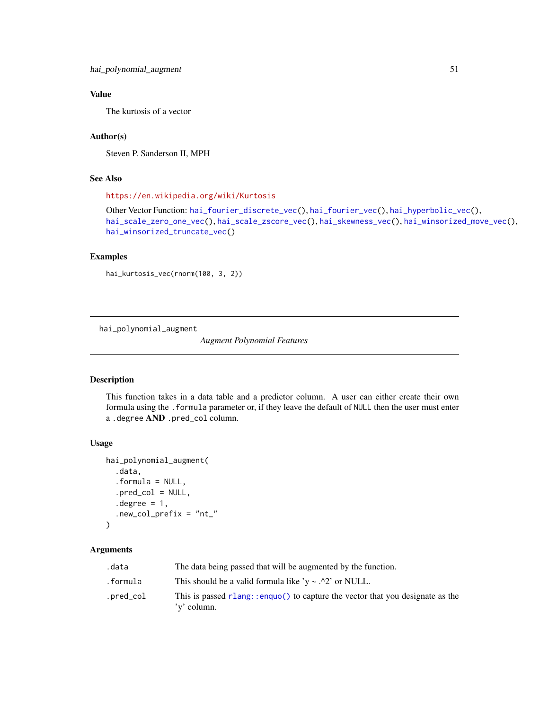# Value

The kurtosis of a vector

# Author(s)

Steven P. Sanderson II, MPH

# See Also

<https://en.wikipedia.org/wiki/Kurtosis>

```
Other Vector Function: hai_fourier_discrete_vec(), hai_fourier_vec(), hai_hyperbolic_vec(),
hai_scale_zero_one_vec(), hai_scale_zscore_vec(), hai_skewness_vec(), hai_winsorized_move_vec(),
hai_winsorized_truncate_vec()
```
# Examples

hai\_kurtosis\_vec(rnorm(100, 3, 2))

<span id="page-50-0"></span>hai\_polynomial\_augment

*Augment Polynomial Features*

# Description

This function takes in a data table and a predictor column. A user can either create their own formula using the .formula parameter or, if they leave the default of NULL then the user must enter a .degree AND .pred\_col column.

# Usage

```
hai_polynomial_augment(
  .data,
  .formula = NULL,
  .pred_col = NULL,
  degree = 1,
  .new_col_prefix = "nt_"
)
```
## Arguments

| .data     | The data being passed that will be augmented by the function.                                   |
|-----------|-------------------------------------------------------------------------------------------------|
| .formula  | This should be a valid formula like 'y $\sim$ .^2' or NULL.                                     |
| .pred_col | This is passed $r$ lang::enquo() to capture the vector that you designate as the<br>'y' column. |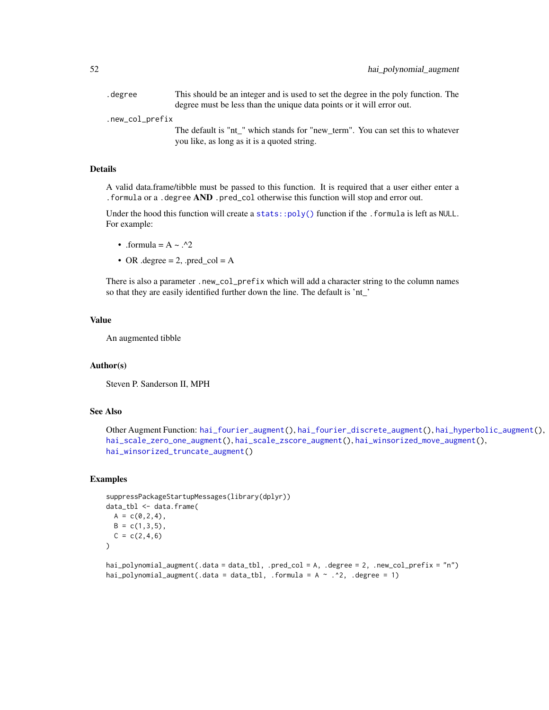.degree This should be an integer and is used to set the degree in the poly function. The degree must be less than the unique data points or it will error out.

.new\_col\_prefix

The default is "nt\_" which stands for "new\_term". You can set this to whatever you like, as long as it is a quoted string.

## Details

A valid data.frame/tibble must be passed to this function. It is required that a user either enter a .formula or a .degree AND .pred\_col otherwise this function will stop and error out.

Under the hood this function will create a [stats::poly\(\)](#page-0-0) function if the . formula is left as NULL. For example:

- .formula =  $A \sim .^2$
- OR .degree  $= 2$ , .pred\_col  $= A$

There is also a parameter .new\_col\_prefix which will add a character string to the column names so that they are easily identified further down the line. The default is 'nt\_'

## Value

An augmented tibble

#### Author(s)

Steven P. Sanderson II, MPH

#### See Also

```
Other Augment Function: hai_fourier_augment(), hai_fourier_discrete_augment(), hai_hyperbolic_augment(),
hai_scale_zero_one_augment(), hai_scale_zscore_augment(), hai_winsorized_move_augment(),
hai_winsorized_truncate_augment()
```

```
suppressPackageStartupMessages(library(dplyr))
data_tbl <- data.frame(
 A = c(0, 2, 4),B = c(1, 3, 5),C = c(2, 4, 6))
hai_polynomial_augment(.data = data_tbl, .pred_col = A, .degree = 2, .new_col_prefix = "n")
hai_polynomial_augment(.data = data_tbl, .formula = A \sim .2, .degree = 1)
```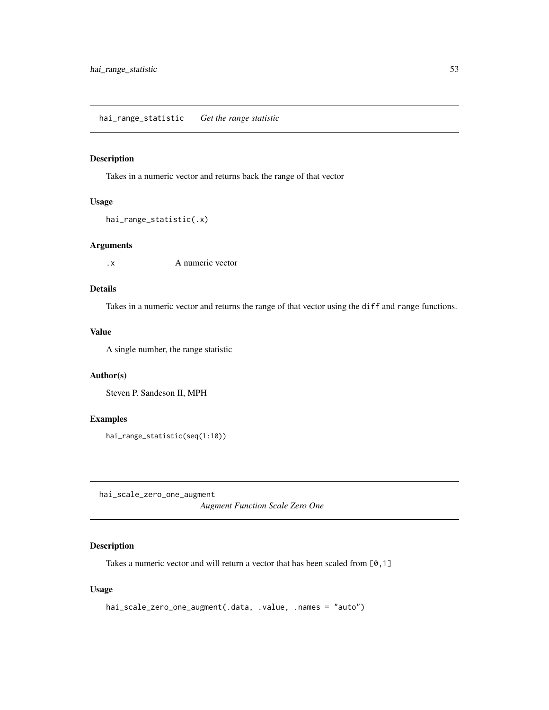## Description

Takes in a numeric vector and returns back the range of that vector

# Usage

```
hai_range_statistic(.x)
```
#### Arguments

.x A numeric vector

# Details

Takes in a numeric vector and returns the range of that vector using the diff and range functions.

## Value

A single number, the range statistic

# Author(s)

Steven P. Sandeson II, MPH

# Examples

hai\_range\_statistic(seq(1:10))

<span id="page-52-0"></span>hai\_scale\_zero\_one\_augment

*Augment Function Scale Zero One*

# Description

Takes a numeric vector and will return a vector that has been scaled from [0,1]

#### Usage

```
hai_scale_zero_one_augment(.data, .value, .names = "auto")
```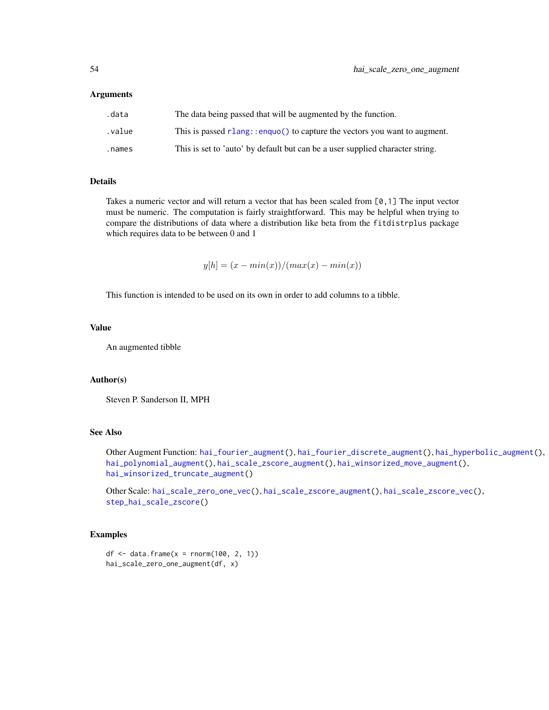#### Arguments

| .data  | The data being passed that will be augmented by the function.                 |
|--------|-------------------------------------------------------------------------------|
| .value | This is passed rlang: : enquo() to capture the vectors you want to augment.   |
| .names | This is set to 'auto' by default but can be a user supplied character string. |

# Details

Takes a numeric vector and will return a vector that has been scaled from [0,1] The input vector must be numeric. The computation is fairly straightforward. This may be helpful when trying to compare the distributions of data where a distribution like beta from the fitdistrplus package which requires data to be between 0 and 1

 $y[h] = (x - min(x))/(max(x) - min(x))$ 

This function is intended to be used on its own in order to add columns to a tibble.

## Value

An augmented tibble

# Author(s)

Steven P. Sanderson II, MPH

# See Also

Other Augment Function: [hai\\_fourier\\_augment\(](#page-25-0)), [hai\\_fourier\\_discrete\\_augment\(](#page-26-0)), [hai\\_hyperbolic\\_augment\(](#page-34-0)), [hai\\_polynomial\\_augment\(](#page-50-0)), [hai\\_scale\\_zscore\\_augment\(](#page-55-0)), [hai\\_winsorized\\_move\\_augment\(](#page-59-0)), [hai\\_winsorized\\_truncate\\_augment\(](#page-61-0))

Other Scale: [hai\\_scale\\_zero\\_one\\_vec\(](#page-54-0)), [hai\\_scale\\_zscore\\_augment\(](#page-55-0)), [hai\\_scale\\_zscore\\_vec\(](#page-56-0)), [step\\_hai\\_scale\\_zscore\(](#page-74-0))

```
df \le data.frame(x = rnorm(100, 2, 1))
hai_scale_zero_one_augment(df, x)
```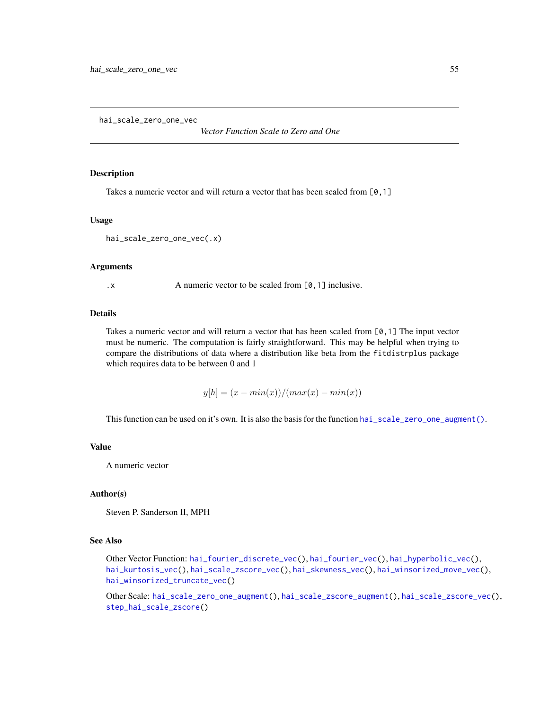<span id="page-54-0"></span>hai\_scale\_zero\_one\_vec

*Vector Function Scale to Zero and One*

## Description

Takes a numeric vector and will return a vector that has been scaled from [0,1]

#### Usage

hai\_scale\_zero\_one\_vec(.x)

#### Arguments

.x A numeric vector to be scaled from [0, 1] inclusive.

## **Details**

Takes a numeric vector and will return a vector that has been scaled from  $[0,1]$  The input vector must be numeric. The computation is fairly straightforward. This may be helpful when trying to compare the distributions of data where a distribution like beta from the fitdistrplus package which requires data to be between 0 and 1

 $y[h] = (x - min(x))/(max(x) - min(x))$ 

This function can be used on it's own. It is also the basis for the function [hai\\_scale\\_zero\\_one\\_augment\(\)](#page-52-0).

#### Value

A numeric vector

## Author(s)

Steven P. Sanderson II, MPH

#### See Also

Other Vector Function: [hai\\_fourier\\_discrete\\_vec\(](#page-28-0)), [hai\\_fourier\\_vec\(](#page-30-0)), [hai\\_hyperbolic\\_vec\(](#page-36-0)), [hai\\_kurtosis\\_vec\(](#page-49-0)), [hai\\_scale\\_zscore\\_vec\(](#page-56-0)), [hai\\_skewness\\_vec\(](#page-58-0)), [hai\\_winsorized\\_move\\_vec\(](#page-60-0)), [hai\\_winsorized\\_truncate\\_vec\(](#page-63-0))

Other Scale: [hai\\_scale\\_zero\\_one\\_augment\(](#page-52-0)), [hai\\_scale\\_zscore\\_augment\(](#page-55-0)), [hai\\_scale\\_zscore\\_vec\(](#page-56-0)), [step\\_hai\\_scale\\_zscore\(](#page-74-0))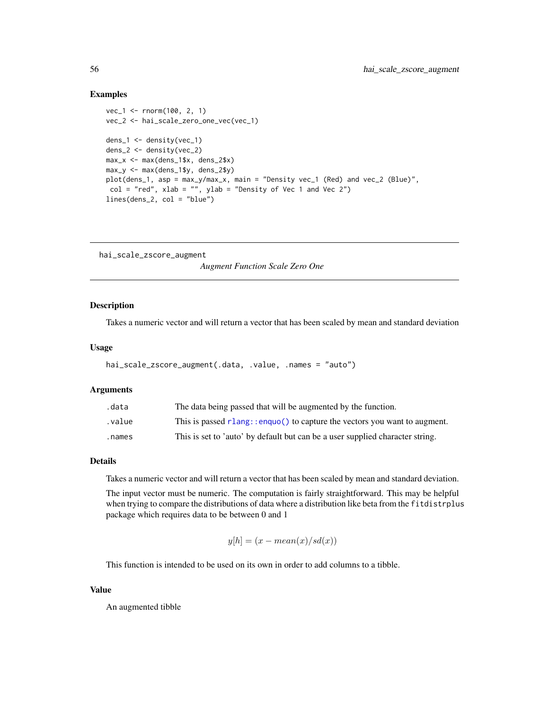#### Examples

```
vec_1 <- rnorm(100, 2, 1)
vec_2 <- hai_scale_zero_one_vec(vec_1)
dens_1 <- density(vec_1)
dens_2 <- density(vec_2)
max_x <- max(dens_1$x, dens_2$x)
max_y \le -max(dens_1\ y, dens_2\
plot(dens_1, asp = max_y/max_x, main = "Density vec_1 (Red) and vec_2 (Blue)",
col = "red", xlab = "", ylab = "Density of Vec 1 and Vec 2")lines(dens_2, col = "blue")
```
<span id="page-55-0"></span>hai\_scale\_zscore\_augment *Augment Function Scale Zero One*

# Description

Takes a numeric vector and will return a vector that has been scaled by mean and standard deviation

#### Usage

```
hai_scale_zscore_augment(.data, .value, .names = "auto")
```
#### Arguments

| .data  | The data being passed that will be augmented by the function.                 |
|--------|-------------------------------------------------------------------------------|
| value. | This is passed rlang: : enquo() to capture the vectors you want to augment.   |
| .names | This is set to 'auto' by default but can be a user supplied character string. |

# Details

Takes a numeric vector and will return a vector that has been scaled by mean and standard deviation.

The input vector must be numeric. The computation is fairly straightforward. This may be helpful when trying to compare the distributions of data where a distribution like beta from the fitdistrplus package which requires data to be between 0 and 1

$$
y[h] = (x - mean(x)/sd(x))
$$

This function is intended to be used on its own in order to add columns to a tibble.

## Value

An augmented tibble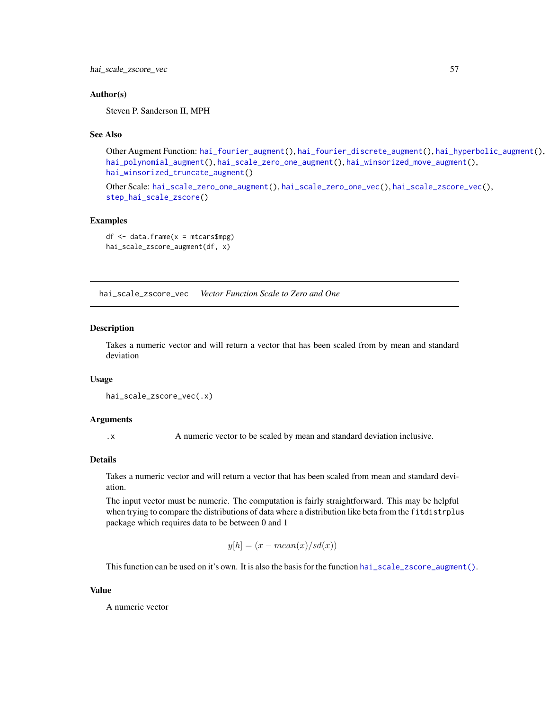hai\_scale\_zscore\_vec 57

## Author(s)

Steven P. Sanderson II, MPH

#### See Also

Other Augment Function: [hai\\_fourier\\_augment\(](#page-25-0)), [hai\\_fourier\\_discrete\\_augment\(](#page-26-0)), [hai\\_hyperbolic\\_augment\(](#page-34-0)), [hai\\_polynomial\\_augment\(](#page-50-0)), [hai\\_scale\\_zero\\_one\\_augment\(](#page-52-0)), [hai\\_winsorized\\_move\\_augment\(](#page-59-0)), [hai\\_winsorized\\_truncate\\_augment\(](#page-61-0))

Other Scale: [hai\\_scale\\_zero\\_one\\_augment\(](#page-52-0)), [hai\\_scale\\_zero\\_one\\_vec\(](#page-54-0)), [hai\\_scale\\_zscore\\_vec\(](#page-56-0)), [step\\_hai\\_scale\\_zscore\(](#page-74-0))

# Examples

```
df \leq - data.frame(x =mtcars$mpg)
hai_scale_zscore_augment(df, x)
```
<span id="page-56-0"></span>hai\_scale\_zscore\_vec *Vector Function Scale to Zero and One*

#### Description

Takes a numeric vector and will return a vector that has been scaled from by mean and standard deviation

## Usage

```
hai_scale_zscore_vec(.x)
```
## Arguments

.x A numeric vector to be scaled by mean and standard deviation inclusive.

#### Details

Takes a numeric vector and will return a vector that has been scaled from mean and standard deviation.

The input vector must be numeric. The computation is fairly straightforward. This may be helpful when trying to compare the distributions of data where a distribution like beta from the fitdistrplus package which requires data to be between 0 and 1

$$
y[h] = (x - mean(x)/sd(x))
$$

This function can be used on it's own. It is also the basis for the function [hai\\_scale\\_zscore\\_augment\(\)](#page-55-0).

#### Value

A numeric vector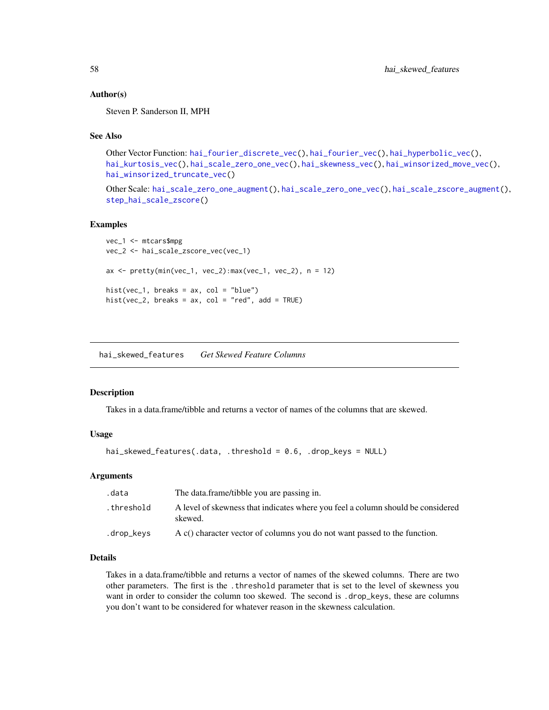## Author(s)

Steven P. Sanderson II, MPH

## See Also

```
Other Vector Function: hai_fourier_discrete_vec(), hai_fourier_vec(), hai_hyperbolic_vec(),
hai_kurtosis_vec(), hai_scale_zero_one_vec(), hai_skewness_vec(), hai_winsorized_move_vec(),
hai_winsorized_truncate_vec()
```
Other Scale: [hai\\_scale\\_zero\\_one\\_augment\(](#page-52-0)), [hai\\_scale\\_zero\\_one\\_vec\(](#page-54-0)), [hai\\_scale\\_zscore\\_augment\(](#page-55-0)), [step\\_hai\\_scale\\_zscore\(](#page-74-0))

#### Examples

```
vec_1 <- mtcars$mpg
vec_2 <- hai_scale_zscore_vec(vec_1)
ax \le pretty(min(vec_1, vec_2): max(vec_1, vec_2), n = 12)
hist(vec_1, breaks = ax, col = "blue")hist(vec_2, breaks = ax, col = "red", add = TRUE)
```
hai\_skewed\_features *Get Skewed Feature Columns*

#### **Description**

Takes in a data.frame/tibble and returns a vector of names of the columns that are skewed.

# Usage

```
hai_skewed_features(.data, .threshold = 0.6, .drop_keys = NULL)
```
#### Arguments

| .data      | The data.frame/tibble you are passing in.                                                  |
|------------|--------------------------------------------------------------------------------------------|
| .threshold | A level of skewness that indicates where you feel a column should be considered<br>skewed. |
| .drop_keys | A $c()$ character vector of columns you do not want passed to the function.                |

## Details

Takes in a data.frame/tibble and returns a vector of names of the skewed columns. There are two other parameters. The first is the .threshold parameter that is set to the level of skewness you want in order to consider the column too skewed. The second is .drop\_keys, these are columns you don't want to be considered for whatever reason in the skewness calculation.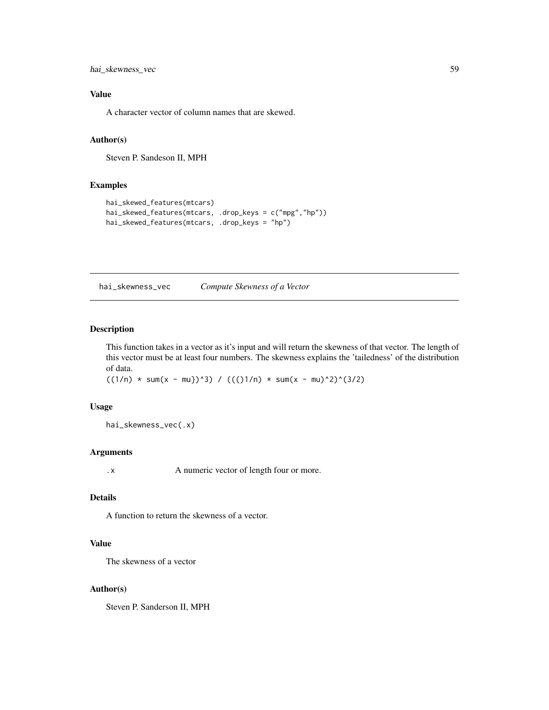hai\_skewness\_vec 59

# Value

A character vector of column names that are skewed.

## Author(s)

Steven P. Sandeson II, MPH

# Examples

```
hai_skewed_features(mtcars)
hai_skewed_features(mtcars, .drop_keys = c("mpg","hp"))
hai_skewed_features(mtcars, .drop_keys = "hp")
```
<span id="page-58-0"></span>hai\_skewness\_vec *Compute Skewness of a Vector*

# Description

This function takes in a vector as it's input and will return the skewness of that vector. The length of this vector must be at least four numbers. The skewness explains the 'tailedness' of the distribution of data.

 $((1/n) * sum(x - mu))^3) / ((1/n) * sum(x - mu)^2)(3/2)$ 

#### Usage

hai\_skewness\_vec(.x)

## Arguments

.x A numeric vector of length four or more.

# Details

A function to return the skewness of a vector.

# Value

The skewness of a vector

#### Author(s)

Steven P. Sanderson II, MPH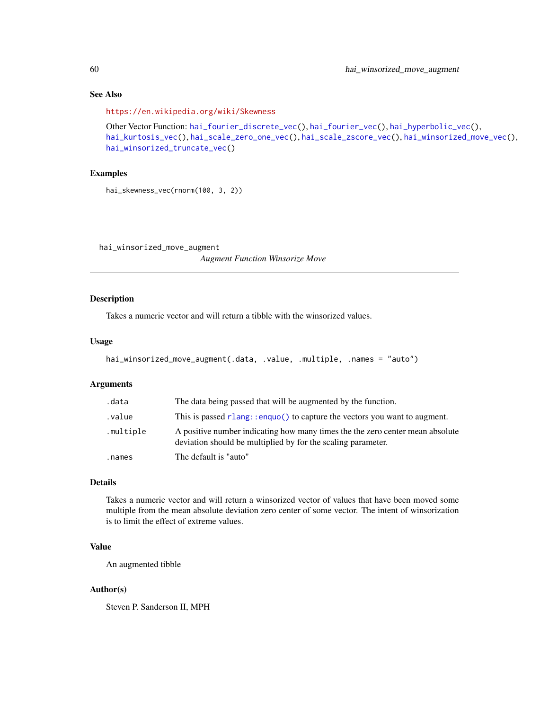# See Also

```
https://en.wikipedia.org/wiki/Skewness
Other Vector Function: hai_fourier_discrete_vec(), hai_fourier_vec(), hai_hyperbolic_vec(),
hai_kurtosis_vec(), hai_scale_zero_one_vec(), hai_scale_zscore_vec(), hai_winsorized_move_vec(),
hai_winsorized_truncate_vec()
```
# Examples

hai\_skewness\_vec(rnorm(100, 3, 2))

<span id="page-59-0"></span>hai\_winsorized\_move\_augment

*Augment Function Winsorize Move*

# Description

Takes a numeric vector and will return a tibble with the winsorized values.

# Usage

```
hai_winsorized_move_augment(.data, .value, .multiple, .names = "auto")
```
# Arguments

| .data     | The data being passed that will be augmented by the function.                                                                                 |
|-----------|-----------------------------------------------------------------------------------------------------------------------------------------------|
| value.    | This is passed rlang: :enquo() to capture the vectors you want to augment.                                                                    |
| .multiple | A positive number indicating how many times the the zero center mean absolute<br>deviation should be multiplied by for the scaling parameter. |
| .names    | The default is "auto"                                                                                                                         |

# Details

Takes a numeric vector and will return a winsorized vector of values that have been moved some multiple from the mean absolute deviation zero center of some vector. The intent of winsorization is to limit the effect of extreme values.

# Value

An augmented tibble

#### Author(s)

Steven P. Sanderson II, MPH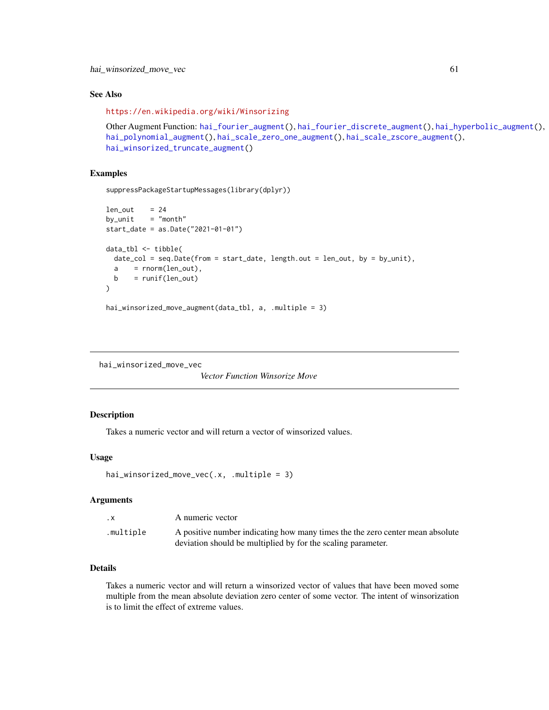# See Also

<https://en.wikipedia.org/wiki/Winsorizing>

```
Other Augment Function: hai_fourier_augment(), hai_fourier_discrete_augment(), hai_hyperbolic_augment(),
hai_polynomial_augment(), hai_scale_zero_one_augment(), hai_scale_zscore_augment(),
hai_winsorized_truncate_augment()
```
## Examples

```
suppressPackageStartupMessages(library(dplyr))
```

```
len\_out = 24
by\_unit = "month"
start_date = as.Date("2021-01-01")
data_tbl <- tibble(
 date_col = seq.Date(from = start_date, length.out = len_out, by = by_unit),
 a = rnorm(len_out),b = runif(len_out)\lambda
```

```
hai_winsorized_move_augment(data_tbl, a, .multiple = 3)
```

```
hai_winsorized_move_vec
```
*Vector Function Winsorize Move*

# Description

Takes a numeric vector and will return a vector of winsorized values.

# Usage

```
hai_winsorized_move_vec(.x, .multiple = 3)
```
## Arguments

| $\cdot$ X | A numeric vector                                                              |
|-----------|-------------------------------------------------------------------------------|
| .multiple | A positive number indicating how many times the the zero center mean absolute |
|           | deviation should be multiplied by for the scaling parameter.                  |

# Details

Takes a numeric vector and will return a winsorized vector of values that have been moved some multiple from the mean absolute deviation zero center of some vector. The intent of winsorization is to limit the effect of extreme values.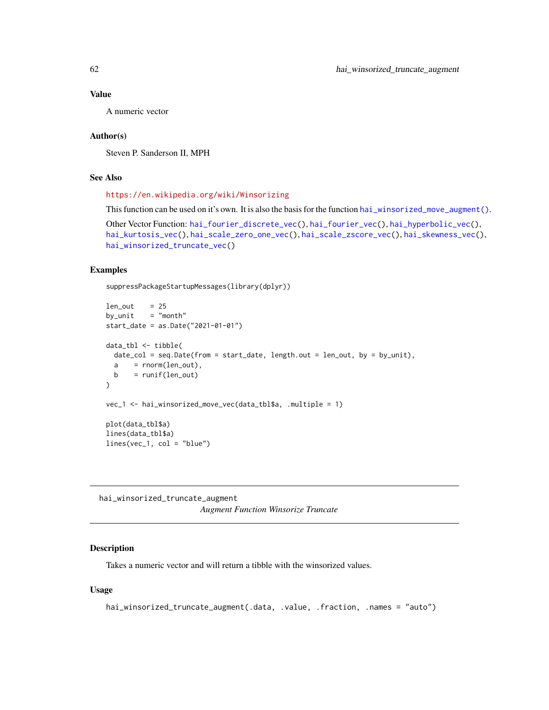## Value

A numeric vector

## Author(s)

Steven P. Sanderson II, MPH

# See Also

<https://en.wikipedia.org/wiki/Winsorizing>

This function can be used on it's own. It is also the basis for the function [hai\\_winsorized\\_move\\_augment\(\)](#page-59-0). Other Vector Function: [hai\\_fourier\\_discrete\\_vec\(](#page-28-0)), [hai\\_fourier\\_vec\(](#page-30-0)), [hai\\_hyperbolic\\_vec\(](#page-36-0)), [hai\\_kurtosis\\_vec\(](#page-49-0)), [hai\\_scale\\_zero\\_one\\_vec\(](#page-54-0)), [hai\\_scale\\_zscore\\_vec\(](#page-56-0)), [hai\\_skewness\\_vec\(](#page-58-0)),

```
hai_winsorized_truncate_vec()
```
## Examples

suppressPackageStartupMessages(library(dplyr))

```
len\_out = 25
by\_unit = "month"
start_date = as.Date("2021-01-01")
data_tbl <- tibble(
 date_col = seq.Date(from = start_date, length.out = len_out, by = by_unit),
 a = rnorm(len_out),b = runif(len_out))
vec_1 <- hai_winsorized_move_vec(data_tbl$a, .multiple = 1)
plot(data_tbl$a)
lines(data_tbl$a)
lines(vec_1, col = "blue")
```
<span id="page-61-0"></span>hai\_winsorized\_truncate\_augment *Augment Function Winsorize Truncate*

## Description

Takes a numeric vector and will return a tibble with the winsorized values.

## Usage

```
hai_winsorized_truncate_augment(.data, .value, .fraction, .names = "auto")
```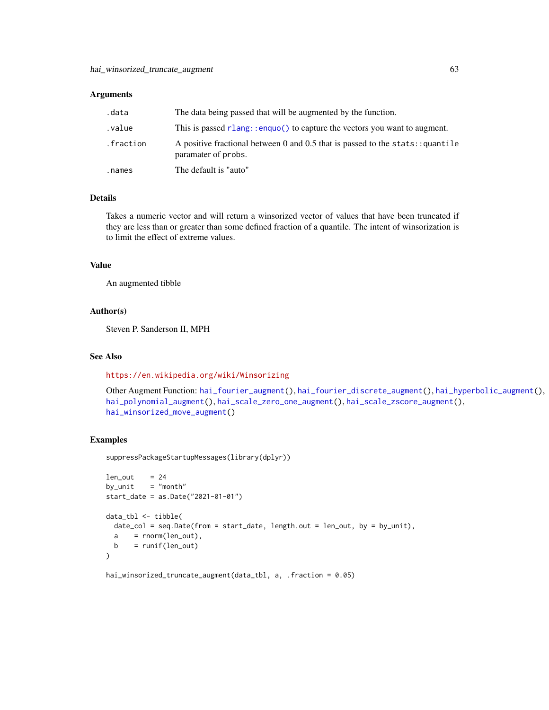#### **Arguments**

| .data     | The data being passed that will be augmented by the function.                                          |
|-----------|--------------------------------------------------------------------------------------------------------|
| .value    | This is passed $rlang$ : enguo() to capture the vectors you want to augment.                           |
| .fraction | A positive fractional between 0 and 0.5 that is passed to the stats: : quantile<br>paramater of probs. |
| .names    | The default is "auto"                                                                                  |

# Details

Takes a numeric vector and will return a winsorized vector of values that have been truncated if they are less than or greater than some defined fraction of a quantile. The intent of winsorization is to limit the effect of extreme values.

## Value

An augmented tibble

## Author(s)

Steven P. Sanderson II, MPH

#### See Also

<https://en.wikipedia.org/wiki/Winsorizing>

```
Other Augment Function: hai_fourier_augment(), hai_fourier_discrete_augment(), hai_hyperbolic_augment(),
hai_polynomial_augment(), hai_scale_zero_one_augment(), hai_scale_zscore_augment(),
hai_winsorized_move_augment()
```
#### Examples

suppressPackageStartupMessages(library(dplyr))

```
len\_out = 24
by\_unit = "month"
start_date = as.Date("2021-01-01")
data_tbl <- tibble(
 date_col = seq.Date(from = start_date, length.out = len_out, by = by_unit),
 a = rnorm(len_out),b = runif(len_out))
```
hai\_winsorized\_truncate\_augment(data\_tbl, a, .fraction = 0.05)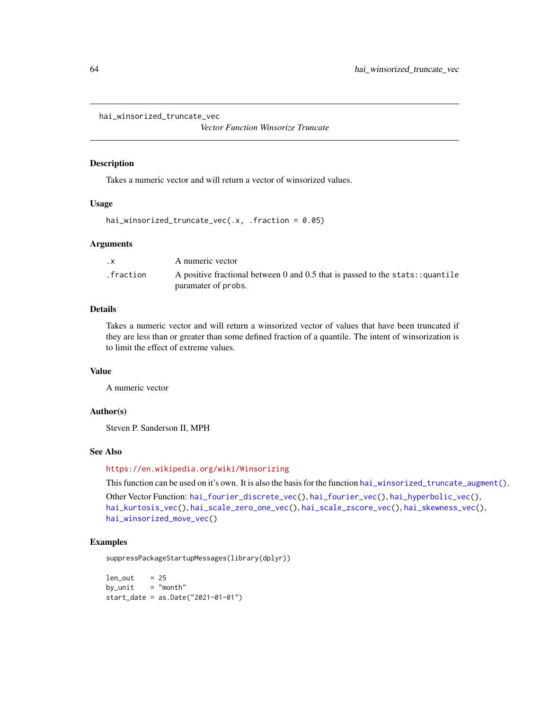<span id="page-63-0"></span>hai\_winsorized\_truncate\_vec

*Vector Function Winsorize Truncate*

#### Description

Takes a numeric vector and will return a vector of winsorized values.

#### Usage

```
hai_winsorized_truncate_vec(.x, .fraction = 0.05)
```
#### **Arguments**

| $\cdot$ X | A numeric vector                                                                                       |
|-----------|--------------------------------------------------------------------------------------------------------|
| .fraction | A positive fractional between 0 and 0.5 that is passed to the stats: : quantile<br>paramater of probs. |

# Details

Takes a numeric vector and will return a winsorized vector of values that have been truncated if they are less than or greater than some defined fraction of a quantile. The intent of winsorization is to limit the effect of extreme values.

#### Value

A numeric vector

## Author(s)

Steven P. Sanderson II, MPH

## See Also

<https://en.wikipedia.org/wiki/Winsorizing>

This function can be used on it's own. It is also the basis for the function [hai\\_winsorized\\_truncate\\_augment\(\)](#page-61-0).

```
Other Vector Function: hai_fourier_discrete_vec(), hai_fourier_vec(), hai_hyperbolic_vec(),
hai_kurtosis_vec(), hai_scale_zero_one_vec(), hai_scale_zscore_vec(), hai_skewness_vec(),
hai_winsorized_move_vec()
```
#### Examples

suppressPackageStartupMessages(library(dplyr))

 $len\_out$  = 25  $by\_unit$  = "month" start\_date = as.Date("2021-01-01")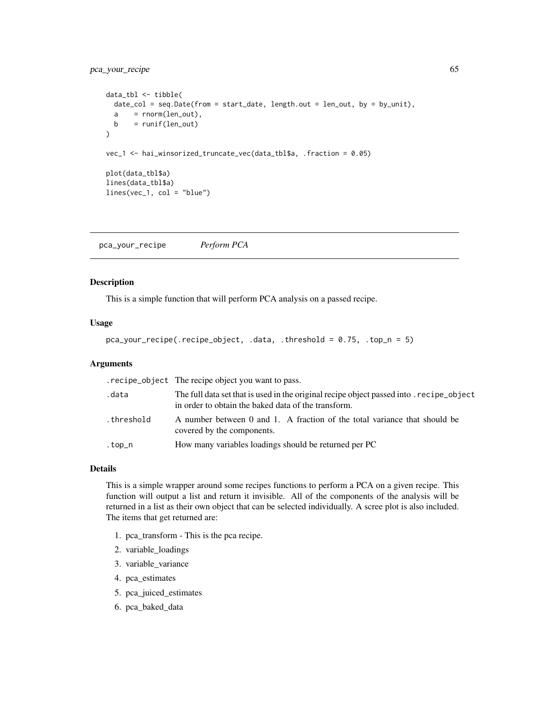# pca\_your\_recipe 65

```
data_tbl <- tibble(
 date_col = seq.Date(from = start_date, length.out = len_out, by = by_unit),
 a = rnorm(len_out),b = runif(len_out))
vec_1 <- hai_winsorized_truncate_vec(data_tbl$a, .fraction = 0.05)
plot(data_tbl$a)
lines(data_tbl$a)
lines(vec_1, col = "blue")
```
pca\_your\_recipe *Perform PCA*

#### Description

This is a simple function that will perform PCA analysis on a passed recipe.

## Usage

```
pca_your_recipe(.recipe_object, .data, .threshold = 0.75, .top_n = 5)
```
## Arguments

|            | . recipe_object The recipe object you want to pass.                                                                                           |
|------------|-----------------------------------------------------------------------------------------------------------------------------------------------|
| .data      | The full data set that is used in the original recipe object passed into recipe object<br>in order to obtain the baked data of the transform. |
| .threshold | A number between 0 and 1. A fraction of the total variance that should be<br>covered by the components.                                       |
| .top_n     | How many variables loadings should be returned per PC                                                                                         |

#### Details

This is a simple wrapper around some recipes functions to perform a PCA on a given recipe. This function will output a list and return it invisible. All of the components of the analysis will be returned in a list as their own object that can be selected individually. A scree plot is also included. The items that get returned are:

- 1. pca\_transform This is the pca recipe.
- 2. variable\_loadings
- 3. variable\_variance
- 4. pca\_estimates
- 5. pca\_juiced\_estimates
- 6. pca\_baked\_data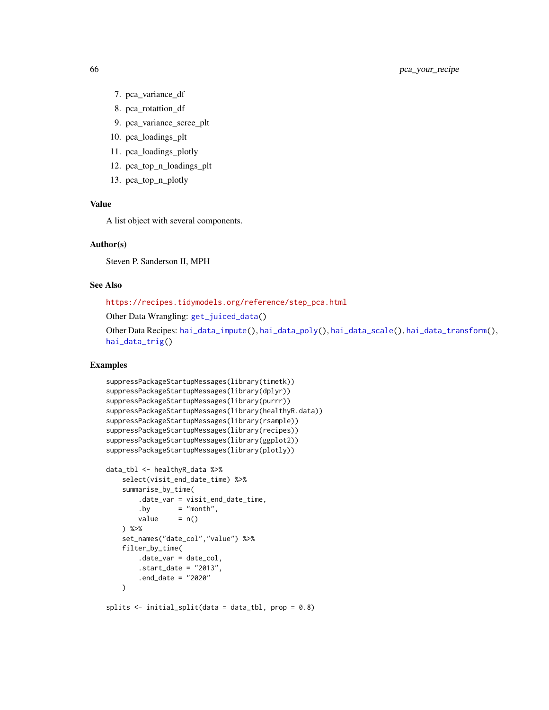- 7. pca\_variance\_df
- 8. pca\_rotattion\_df
- 9. pca\_variance\_scree\_plt
- 10. pca\_loadings\_plt
- 11. pca\_loadings\_plotly
- 12. pca\_top\_n\_loadings\_plt
- 13. pca\_top\_n\_plotly

## Value

A list object with several components.

#### Author(s)

Steven P. Sanderson II, MPH

#### See Also

[https://recipes.tidymodels.org/reference/step\\_pca.html](https://recipes.tidymodels.org/reference/step_pca.html)

Other Data Wrangling: [get\\_juiced\\_data\(](#page-2-0))

```
Other Data Recipes: hai_data_impute(), hai_data_poly(), hai_data_scale(), hai_data_transform(),
hai_data_trig()
```

```
suppressPackageStartupMessages(library(timetk))
suppressPackageStartupMessages(library(dplyr))
suppressPackageStartupMessages(library(purrr))
suppressPackageStartupMessages(library(healthyR.data))
suppressPackageStartupMessages(library(rsample))
suppressPackageStartupMessages(library(recipes))
suppressPackageStartupMessages(library(ggplot2))
suppressPackageStartupMessages(library(plotly))
data_tbl <- healthyR_data %>%
   select(visit_end_date_time) %>%
```

```
summarise_by_time(
   .date_var = visit_end_date_time,
   .by = "month",
   value = n()) %>%
set_names("date_col","value") %>%
filter_by_time(
   .date_var = date_col,
   .start_date = "2013",
    .end_date = "2020"
\lambda
```

```
splits <- initial_split(data = data_tbl, prop = 0.8)
```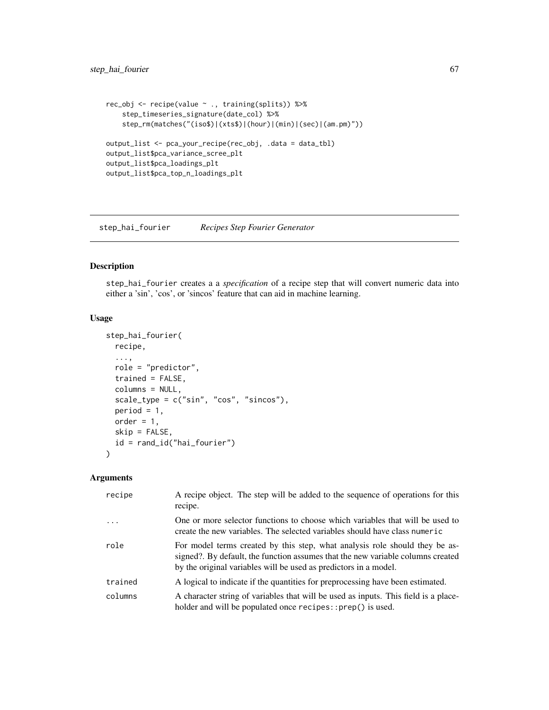```
rec_obj <- recipe(value ~ ., training(splits)) %>%
    step_timeseries_signature(date_col) %>%
    step_rm(matches("(iso$)|(xts$)|(hour)|(min)|(sec)|(am.pm)"))
output_list <- pca_your_recipe(rec_obj, .data = data_tbl)
output_list$pca_variance_scree_plt
output_list$pca_loadings_plt
output_list$pca_top_n_loadings_plt
```
<span id="page-66-0"></span>step\_hai\_fourier *Recipes Step Fourier Generator*

# Description

step\_hai\_fourier creates a a *specification* of a recipe step that will convert numeric data into either a 'sin', 'cos', or 'sincos' feature that can aid in machine learning.

#### Usage

```
step_hai_fourier(
  recipe,
  ...,
  role = "predictor",
  trained = FALSE,
  columns = NULL,
  scale_type = c("sin", "cos", "sincos"),
  period = 1,
 order = 1,
  skip = FALSE,
  id = rand_id("hai_fourier")
)
```
# Arguments

| recipe   | A recipe object. The step will be added to the sequence of operations for this<br>recipe.                                                                                                                                          |
|----------|------------------------------------------------------------------------------------------------------------------------------------------------------------------------------------------------------------------------------------|
| $\cdots$ | One or more selector functions to choose which variables that will be used to<br>create the new variables. The selected variables should have class numeric                                                                        |
| role     | For model terms created by this step, what analysis role should they be as-<br>signed?. By default, the function assumes that the new variable columns created<br>by the original variables will be used as predictors in a model. |
| trained  | A logical to indicate if the quantities for preprocessing have been estimated.                                                                                                                                                     |
| columns  | A character string of variables that will be used as inputs. This field is a place-<br>holder and will be populated once recipes::prep() is used.                                                                                  |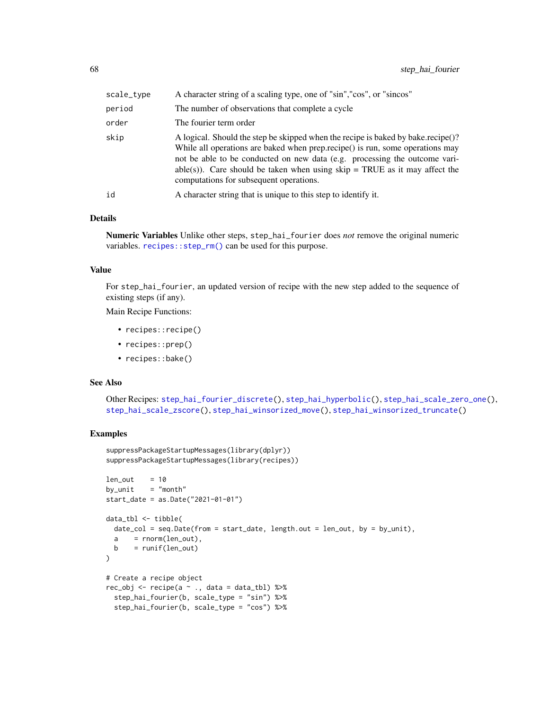| scale_type | A character string of a scaling type, one of "sin", "cos", or "sincos"                                                                                                                                                                                                                                                                                                     |
|------------|----------------------------------------------------------------------------------------------------------------------------------------------------------------------------------------------------------------------------------------------------------------------------------------------------------------------------------------------------------------------------|
| period     | The number of observations that complete a cycle                                                                                                                                                                                                                                                                                                                           |
| order      | The fourier term order                                                                                                                                                                                                                                                                                                                                                     |
| skip       | A logical. Should the step be skipped when the recipe is baked by bake.recipe()?<br>While all operations are baked when prep.recipe() is run, some operations may<br>not be able to be conducted on new data (e.g. processing the outcome vari-<br>able(s)). Care should be taken when using $skip = TRUE$ as it may affect the<br>computations for subsequent operations. |
| id         | A character string that is unique to this step to identify it.                                                                                                                                                                                                                                                                                                             |

## Details

Numeric Variables Unlike other steps, step\_hai\_fourier does *not* remove the original numeric variables. [recipes::step\\_rm\(\)](#page-0-0) can be used for this purpose.

#### Value

For step\_hai\_fourier, an updated version of recipe with the new step added to the sequence of existing steps (if any).

Main Recipe Functions:

- recipes::recipe()
- recipes::prep()
- recipes::bake()

## See Also

Other Recipes: [step\\_hai\\_fourier\\_discrete\(](#page-68-0)), [step\\_hai\\_hyperbolic\(](#page-70-0)), [step\\_hai\\_scale\\_zero\\_one\(](#page-72-0)), [step\\_hai\\_scale\\_zscore\(](#page-74-0)), [step\\_hai\\_winsorized\\_move\(](#page-75-0)), [step\\_hai\\_winsorized\\_truncate\(](#page-77-0))

```
suppressPackageStartupMessages(library(dplyr))
suppressPackageStartupMessages(library(recipes))
len\_out = 10
by\_unit = "month"
start_date = as.Date("2021-01-01")
data_tbl <- tibble(
 date_col = seq.Date(from = start_date, length.out = len_out, by = by_unit),
 a = rnorm(len_out),b = runif(len_out))
# Create a recipe object
rec_obj <- recipe(a ~ ., data = data_tbl) %>%
 step_hai_fourier(b, scale_type = "sin") %>%
 step_hai_fourier(b, scale_type = "cos") %>%
```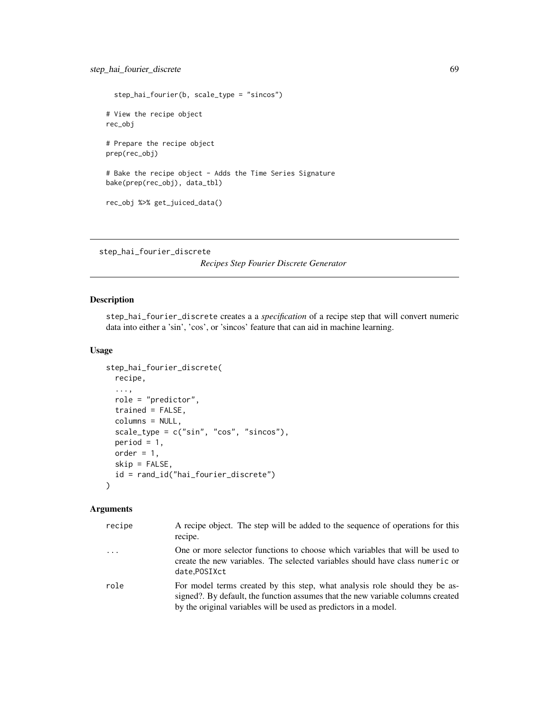```
step_hai_fourier(b, scale_type = "sincos")
# View the recipe object
rec_obj
# Prepare the recipe object
prep(rec_obj)
# Bake the recipe object - Adds the Time Series Signature
bake(prep(rec_obj), data_tbl)
rec_obj %>% get_juiced_data()
```
<span id="page-68-0"></span>step\_hai\_fourier\_discrete

*Recipes Step Fourier Discrete Generator*

# Description

step\_hai\_fourier\_discrete creates a a *specification* of a recipe step that will convert numeric data into either a 'sin', 'cos', or 'sincos' feature that can aid in machine learning.

# Usage

```
step_hai_fourier_discrete(
 recipe,
  ...,
  role = "predictor",
  trained = FALSE,
  columns = NULL,
  scale_type = c("sin", "cos", "sincos"),period = 1,
 order = 1,
  skip = FALSE,
  id = rand_id("hai_fourier_discrete")
\mathcal{L}
```
# Arguments

| recipe    | A recipe object. The step will be added to the sequence of operations for this<br>recipe.                                                                                                                                          |
|-----------|------------------------------------------------------------------------------------------------------------------------------------------------------------------------------------------------------------------------------------|
| $\ddotsc$ | One or more selector functions to choose which variables that will be used to<br>create the new variables. The selected variables should have class numeric or<br>date.POSIXct                                                     |
| role      | For model terms created by this step, what analysis role should they be as-<br>signed?. By default, the function assumes that the new variable columns created<br>by the original variables will be used as predictors in a model. |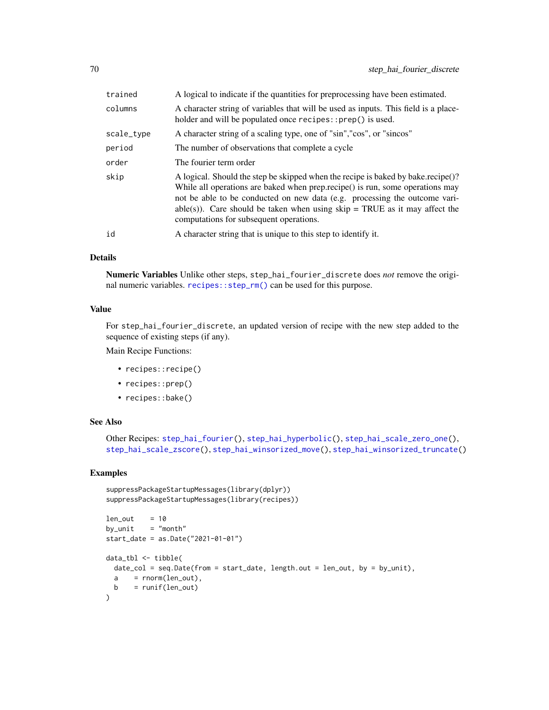| trained    | A logical to indicate if the quantities for preprocessing have been estimated.                                                                                                                                                                                                                                                                                              |
|------------|-----------------------------------------------------------------------------------------------------------------------------------------------------------------------------------------------------------------------------------------------------------------------------------------------------------------------------------------------------------------------------|
| columns    | A character string of variables that will be used as inputs. This field is a place-<br>holder and will be populated once recipes::prep() is used.                                                                                                                                                                                                                           |
| scale_type | A character string of a scaling type, one of "sin", "cos", or "sincos"                                                                                                                                                                                                                                                                                                      |
| period     | The number of observations that complete a cycle                                                                                                                                                                                                                                                                                                                            |
| order      | The fourier term order                                                                                                                                                                                                                                                                                                                                                      |
| skip       | A logical. Should the step be skipped when the recipe is baked by bake.recipe()?<br>While all operations are baked when prep. recipe() is run, some operations may<br>not be able to be conducted on new data (e.g. processing the outcome vari-<br>able(s)). Care should be taken when using $skip = TRUE$ as it may affect the<br>computations for subsequent operations. |
| id         | A character string that is unique to this step to identify it.                                                                                                                                                                                                                                                                                                              |

#### Details

Numeric Variables Unlike other steps, step\_hai\_fourier\_discrete does *not* remove the original numeric variables. [recipes::step\\_rm\(\)](#page-0-0) can be used for this purpose.

## Value

For step\_hai\_fourier\_discrete, an updated version of recipe with the new step added to the sequence of existing steps (if any).

Main Recipe Functions:

- recipes::recipe()
- recipes::prep()
- recipes::bake()

## See Also

```
Other Recipes: step_hai_fourier(), step_hai_hyperbolic(), step_hai_scale_zero_one(),
step_hai_scale_zscore(), step_hai_winsorized_move(), step_hai_winsorized_truncate()
```

```
suppressPackageStartupMessages(library(dplyr))
suppressPackageStartupMessages(library(recipes))
len\_out = 10
```

```
by\_unit = "month"
start_date = as.Date("2021-01-01")
data_tbl <- tibble(
 date_col = seq.Date(from = start_date, length.out = len_out, by = by_unit),
  a = \text{norm}(\text{len\_out}),b = runif(len_out)\lambda
```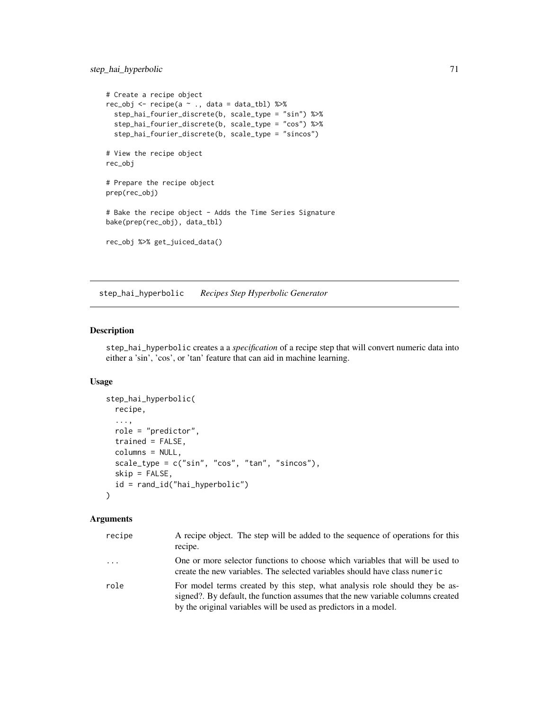# step\_hai\_hyperbolic 71

```
# Create a recipe object
rec_obj <- recipe(a ~ ., data = data_tbl) %>%
  step_hai_fourier_discrete(b, scale_type = "sin") %>%
  step_hai_fourier_discrete(b, scale_type = "cos") %>%
  step_hai_fourier_discrete(b, scale_type = "sincos")
# View the recipe object
rec_obj
# Prepare the recipe object
prep(rec_obj)
# Bake the recipe object - Adds the Time Series Signature
bake(prep(rec_obj), data_tbl)
rec_obj %>% get_juiced_data()
```
<span id="page-70-0"></span>step\_hai\_hyperbolic *Recipes Step Hyperbolic Generator*

# Description

step\_hai\_hyperbolic creates a a *specification* of a recipe step that will convert numeric data into either a 'sin', 'cos', or 'tan' feature that can aid in machine learning.

#### Usage

```
step_hai_hyperbolic(
  recipe,
  ...,
 role = "predictor",
  trained = FALSE,
 columns = NULL,
  scale_type = c("sin", "cos", "tan", "sincos"),
 skip = FALSE,
 id = rand_id("hai_hyperbolic")
\mathcal{L}
```
# Arguments

| recipe | A recipe object. The step will be added to the sequence of operations for this<br>recipe.                                                                                                                                          |
|--------|------------------------------------------------------------------------------------------------------------------------------------------------------------------------------------------------------------------------------------|
| .      | One or more selector functions to choose which variables that will be used to<br>create the new variables. The selected variables should have class numeric                                                                        |
| role   | For model terms created by this step, what analysis role should they be as-<br>signed?. By default, the function assumes that the new variable columns created<br>by the original variables will be used as predictors in a model. |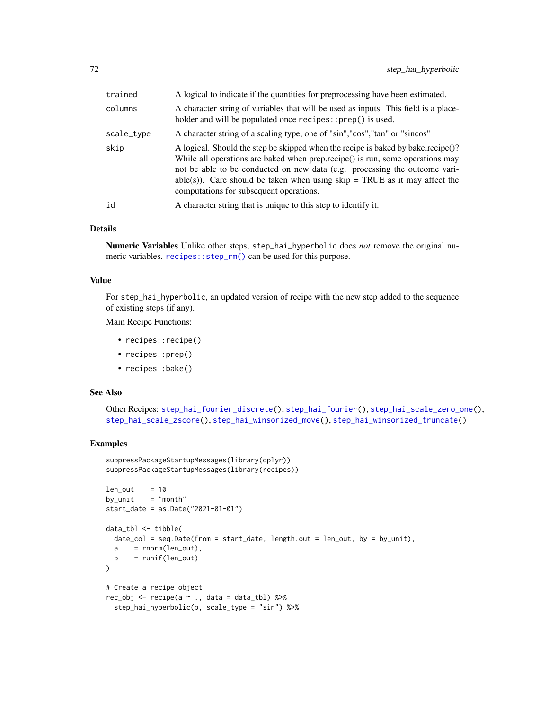| trained    | A logical to indicate if the quantities for preprocessing have been estimated.                                                                                                                                                                                                                                                                                              |
|------------|-----------------------------------------------------------------------------------------------------------------------------------------------------------------------------------------------------------------------------------------------------------------------------------------------------------------------------------------------------------------------------|
| columns    | A character string of variables that will be used as inputs. This field is a place-<br>holder and will be populated once recipes::prep() is used.                                                                                                                                                                                                                           |
| scale_type | A character string of a scaling type, one of "sin", "cos", "tan" or "sincos"                                                                                                                                                                                                                                                                                                |
| skip       | A logical. Should the step be skipped when the recipe is baked by bake.recipe()?<br>While all operations are baked when prep. recipe() is run, some operations may<br>not be able to be conducted on new data (e.g. processing the outcome vari-<br>able(s)). Care should be taken when using $skip = TRUE$ as it may affect the<br>computations for subsequent operations. |
| id         | A character string that is unique to this step to identify it.                                                                                                                                                                                                                                                                                                              |

#### Details

Numeric Variables Unlike other steps, step\_hai\_hyperbolic does *not* remove the original numeric variables. [recipes::step\\_rm\(\)](#page-0-0) can be used for this purpose.

## Value

For step\_hai\_hyperbolic, an updated version of recipe with the new step added to the sequence of existing steps (if any).

Main Recipe Functions:

- recipes::recipe()
- recipes::prep()
- recipes::bake()

#### See Also

Other Recipes: [step\\_hai\\_fourier\\_discrete\(](#page-68-0)), [step\\_hai\\_fourier\(](#page-66-0)), [step\\_hai\\_scale\\_zero\\_one\(](#page-72-0)), [step\\_hai\\_scale\\_zscore\(](#page-74-0)), [step\\_hai\\_winsorized\\_move\(](#page-75-0)), [step\\_hai\\_winsorized\\_truncate\(](#page-77-0))

```
suppressPackageStartupMessages(library(dplyr))
suppressPackageStartupMessages(library(recipes))
```

```
len\_out = 10
by\_unit = "month"
start_date = as.Date("2021-01-01")
data_tbl <- tibble(
 date_col = seq.Date(from = start_date, length.out = len_out, by = by_unit),
 a = rnorm(len_out),b = runif(len_out))
# Create a recipe object
rec_obj <- recipe(a \sim ., data = data_tbl) %>%
 step_hai_hyperbolic(b, scale_type = "sin") %>%
```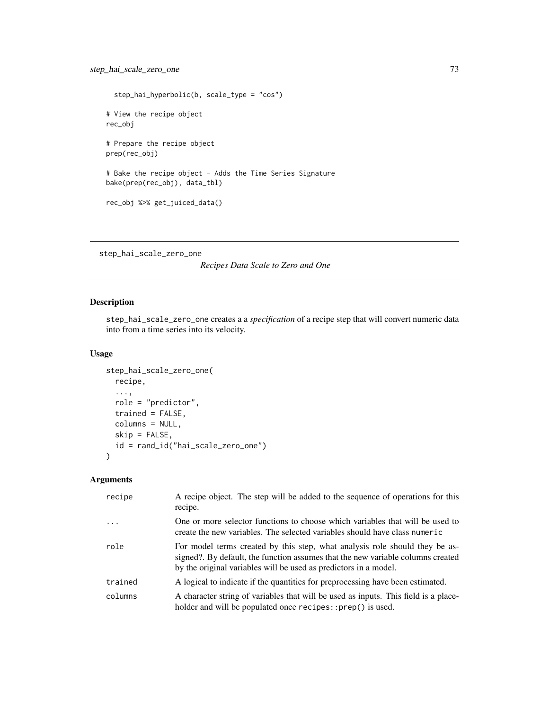```
step_hai_hyperbolic(b, scale_type = "cos")
# View the recipe object
rec_obj
# Prepare the recipe object
prep(rec_obj)
# Bake the recipe object - Adds the Time Series Signature
bake(prep(rec_obj), data_tbl)
rec_obj %>% get_juiced_data()
```
<span id="page-72-0"></span>step\_hai\_scale\_zero\_one

*Recipes Data Scale to Zero and One*

## Description

step\_hai\_scale\_zero\_one creates a a *specification* of a recipe step that will convert numeric data into from a time series into its velocity.

#### Usage

```
step_hai_scale_zero_one(
 recipe,
  ...,
 role = "predictor",
  trained = FALSE,
 columns = NULL,
 skip = FALSE,
 id = rand_id("hai_scale_zero_one")
)
```
## Arguments

| recipe   | A recipe object. The step will be added to the sequence of operations for this<br>recipe.                                                                                                                                          |
|----------|------------------------------------------------------------------------------------------------------------------------------------------------------------------------------------------------------------------------------------|
| $\cdots$ | One or more selector functions to choose which variables that will be used to<br>create the new variables. The selected variables should have class numeric                                                                        |
| role     | For model terms created by this step, what analysis role should they be as-<br>signed?. By default, the function assumes that the new variable columns created<br>by the original variables will be used as predictors in a model. |
| trained  | A logical to indicate if the quantities for preprocessing have been estimated.                                                                                                                                                     |
| columns  | A character string of variables that will be used as inputs. This field is a place-<br>holder and will be populated once recipes::prep() is used.                                                                                  |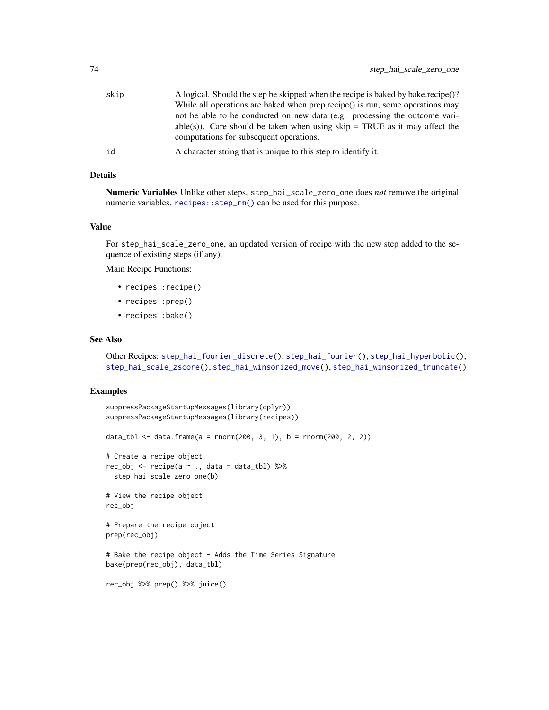<span id="page-73-0"></span>

| skip | A logical. Should the step be skipped when the recipe is baked by bake.recipe()? |
|------|----------------------------------------------------------------------------------|
|      | While all operations are baked when prep.recipe() is run, some operations may    |
|      | not be able to be conducted on new data (e.g. processing the outcome vari-       |
|      | able(s)). Care should be taken when using $skip = TRUE$ as it may affect the     |
|      | computations for subsequent operations.                                          |
| id   | A character string that is unique to this step to identify it.                   |

#### Details

Numeric Variables Unlike other steps, step\_hai\_scale\_zero\_one does *not* remove the original numeric variables. [recipes::step\\_rm\(\)](#page-0-0) can be used for this purpose.

#### Value

For step\_hai\_scale\_zero\_one, an updated version of recipe with the new step added to the sequence of existing steps (if any).

Main Recipe Functions:

- recipes::recipe()
- recipes::prep()
- recipes::bake()

## See Also

Other Recipes: [step\\_hai\\_fourier\\_discrete\(](#page-68-0)), [step\\_hai\\_fourier\(](#page-66-0)), [step\\_hai\\_hyperbolic\(](#page-70-0)), [step\\_hai\\_scale\\_zscore\(](#page-74-0)), [step\\_hai\\_winsorized\\_move\(](#page-75-0)), [step\\_hai\\_winsorized\\_truncate\(](#page-77-0))

#### Examples

```
suppressPackageStartupMessages(library(dplyr))
suppressPackageStartupMessages(library(recipes))
data_tbl <- data.frame(a = rnorm(200, 3, 1), b = rnorm(200, 2, 2))
# Create a recipe object
rec\_obj \leq recipe(a \sim ., data = data\_tb1) %>%
  step_hai_scale_zero_one(b)
# View the recipe object
rec_obj
# Prepare the recipe object
prep(rec_obj)
# Bake the recipe object - Adds the Time Series Signature
bake(prep(rec_obj), data_tbl)
rec_obj %>% prep() %>% juice()
```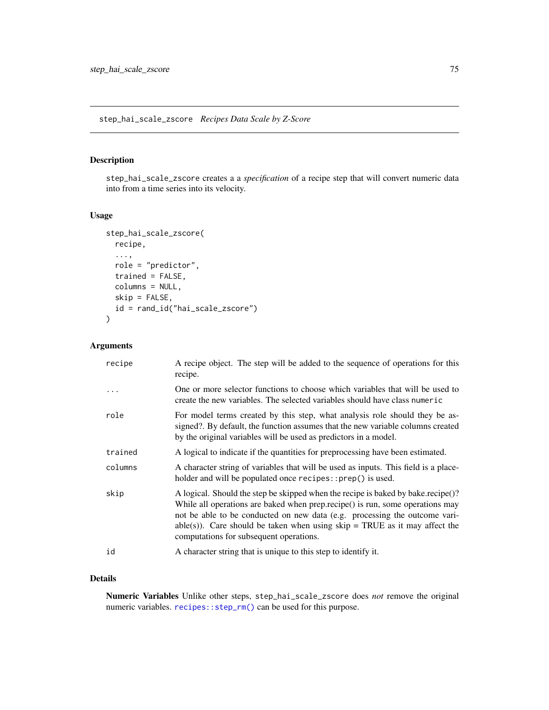# <span id="page-74-1"></span><span id="page-74-0"></span>Description

step\_hai\_scale\_zscore creates a a *specification* of a recipe step that will convert numeric data into from a time series into its velocity.

#### Usage

```
step_hai_scale_zscore(
 recipe,
  ...,
 role = "predictor",
  trained = FALSE,
 columns = NULL,
 skip = FALSE,
 id = rand_id("hai_scale_zscore")
\mathcal{L}
```
## Arguments

| recipe  | A recipe object. The step will be added to the sequence of operations for this<br>recipe.                                                                                                                                                                                                                                                                                  |
|---------|----------------------------------------------------------------------------------------------------------------------------------------------------------------------------------------------------------------------------------------------------------------------------------------------------------------------------------------------------------------------------|
| .       | One or more selector functions to choose which variables that will be used to<br>create the new variables. The selected variables should have class numer ic                                                                                                                                                                                                               |
| role    | For model terms created by this step, what analysis role should they be as-<br>signed?. By default, the function assumes that the new variable columns created<br>by the original variables will be used as predictors in a model.                                                                                                                                         |
| trained | A logical to indicate if the quantities for preprocessing have been estimated.                                                                                                                                                                                                                                                                                             |
| columns | A character string of variables that will be used as inputs. This field is a place-<br>holder and will be populated once recipes::prep() is used.                                                                                                                                                                                                                          |
| skip    | A logical. Should the step be skipped when the recipe is baked by bake.recipe()?<br>While all operations are baked when prep.recipe() is run, some operations may<br>not be able to be conducted on new data (e.g. processing the outcome vari-<br>able(s)). Care should be taken when using $skip = TRUE$ as it may affect the<br>computations for subsequent operations. |
| id      | A character string that is unique to this step to identify it.                                                                                                                                                                                                                                                                                                             |

## Details

Numeric Variables Unlike other steps, step\_hai\_scale\_zscore does *not* remove the original numeric variables. [recipes::step\\_rm\(\)](#page-0-0) can be used for this purpose.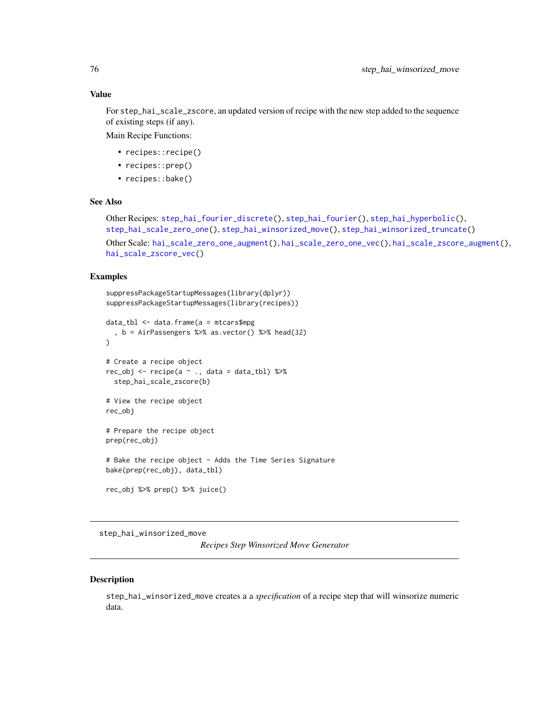## <span id="page-75-1"></span>Value

For step\_hai\_scale\_zscore, an updated version of recipe with the new step added to the sequence of existing steps (if any).

Main Recipe Functions:

- recipes::recipe()
- recipes::prep()
- recipes::bake()

## See Also

```
Other Recipes: step_hai_fourier_discrete(), step_hai_fourier(), step_hai_hyperbolic(),
step_hai_scale_zero_one(), step_hai_winsorized_move(), step_hai_winsorized_truncate()
```

```
Other Scale: hai_scale_zero_one_augment(), hai_scale_zero_one_vec(), hai_scale_zscore_augment(),
hai_scale_zscore_vec()
```
#### Examples

```
suppressPackageStartupMessages(library(dplyr))
suppressPackageStartupMessages(library(recipes))
```

```
data_tbl <- data.frame(a = mtcars$mpg
  , b = AirPassengers %>% as.vector() %>% head(32)
)
# Create a recipe object
rec_obj <- recipe(a ~ ., data = data_tbl) %>%
  step_hai_scale_zscore(b)
# View the recipe object
rec_obj
# Prepare the recipe object
prep(rec_obj)
# Bake the recipe object - Adds the Time Series Signature
bake(prep(rec_obj), data_tbl)
rec_obj %>% prep() %>% juice()
```
<span id="page-75-0"></span>step\_hai\_winsorized\_move

*Recipes Step Winsorized Move Generator*

#### **Description**

step\_hai\_winsorized\_move creates a a *specification* of a recipe step that will winsorize numeric data.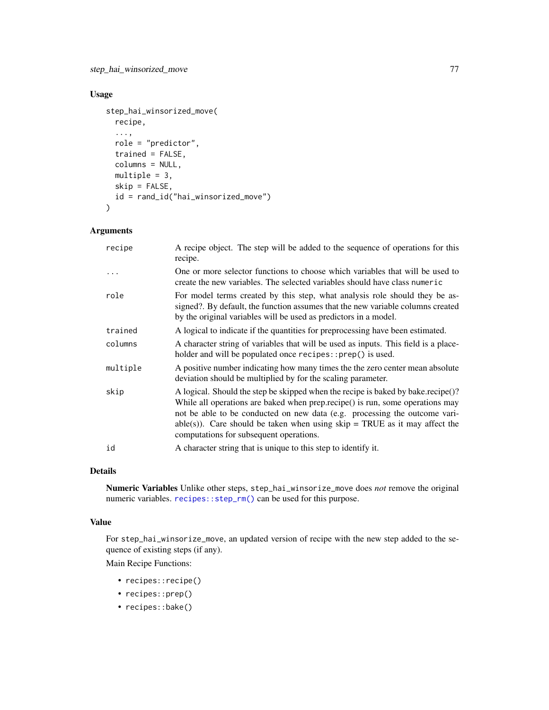## <span id="page-76-0"></span>Usage

```
step_hai_winsorized_move(
  recipe,
  ...,
 role = "predictor",
  trained = FALSE,
  columns = NULL,
 multiple = 3,
 skip = FALSE,
 id = rand_id("hai_winsorized_move")
\mathcal{L}
```
## Arguments

| recipe   | A recipe object. The step will be added to the sequence of operations for this<br>recipe.                                                                                                                                                                                                                                                                                   |
|----------|-----------------------------------------------------------------------------------------------------------------------------------------------------------------------------------------------------------------------------------------------------------------------------------------------------------------------------------------------------------------------------|
|          | One or more selector functions to choose which variables that will be used to<br>create the new variables. The selected variables should have class numer ic                                                                                                                                                                                                                |
| role     | For model terms created by this step, what analysis role should they be as-<br>signed?. By default, the function assumes that the new variable columns created<br>by the original variables will be used as predictors in a model.                                                                                                                                          |
| trained  | A logical to indicate if the quantities for preprocessing have been estimated.                                                                                                                                                                                                                                                                                              |
| columns  | A character string of variables that will be used as inputs. This field is a place-<br>holder and will be populated once recipes:: prep() is used.                                                                                                                                                                                                                          |
| multiple | A positive number indicating how many times the the zero center mean absolute<br>deviation should be multiplied by for the scaling parameter.                                                                                                                                                                                                                               |
| skip     | A logical. Should the step be skipped when the recipe is baked by bake.recipe()?<br>While all operations are baked when prep. recipe() is run, some operations may<br>not be able to be conducted on new data (e.g. processing the outcome vari-<br>able(s)). Care should be taken when using $skip = TRUE$ as it may affect the<br>computations for subsequent operations. |
| id       | A character string that is unique to this step to identify it.                                                                                                                                                                                                                                                                                                              |

#### Details

Numeric Variables Unlike other steps, step\_hai\_winsorize\_move does *not* remove the original numeric variables. [recipes::step\\_rm\(\)](#page-0-0) can be used for this purpose.

## Value

For step\_hai\_winsorize\_move, an updated version of recipe with the new step added to the sequence of existing steps (if any).

Main Recipe Functions:

- recipes::recipe()
- recipes::prep()
- recipes::bake()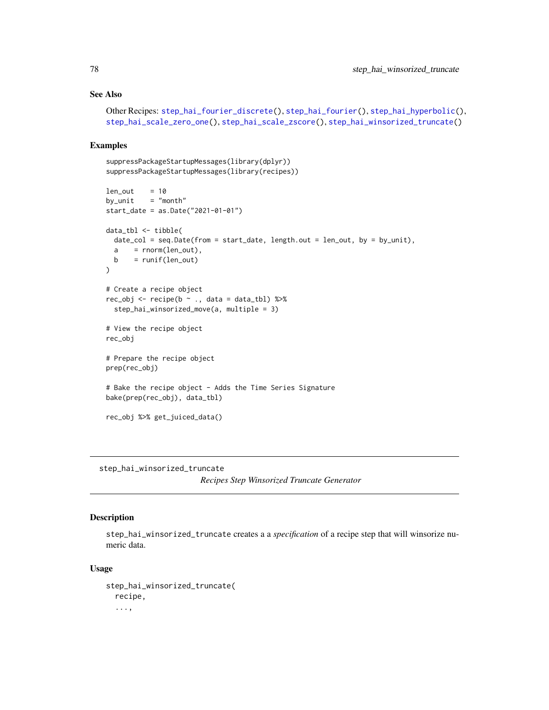## See Also

```
Other Recipes: step_hai_fourier_discrete(), step_hai_fourier(), step_hai_hyperbolic(),
step_hai_scale_zero_one(), step_hai_scale_zscore(), step_hai_winsorized_truncate()
```
#### Examples

```
suppressPackageStartupMessages(library(dplyr))
suppressPackageStartupMessages(library(recipes))
len\_out = 10
by\_unit = "month"
start_date = as.Date("2021-01-01")
data_tbl <- tibble(
  date_col = seq.Date(from = start_date, length.out = len_out, by = by_unit),
  a = rnorm(len_out),b = runif(len_out))
# Create a recipe object
rec\_obj \leq recipe(b \sim ., data = data\_tbl) %>%
  step_hai_winsorized_move(a, multiple = 3)
# View the recipe object
rec_obj
# Prepare the recipe object
prep(rec_obj)
# Bake the recipe object - Adds the Time Series Signature
bake(prep(rec_obj), data_tbl)
rec_obj %>% get_juiced_data()
```
<span id="page-77-0"></span>step\_hai\_winsorized\_truncate

*Recipes Step Winsorized Truncate Generator*

# Description

step\_hai\_winsorized\_truncate creates a a *specification* of a recipe step that will winsorize numeric data.

#### Usage

```
step_hai_winsorized_truncate(
  recipe,
  ...,
```
<span id="page-77-1"></span>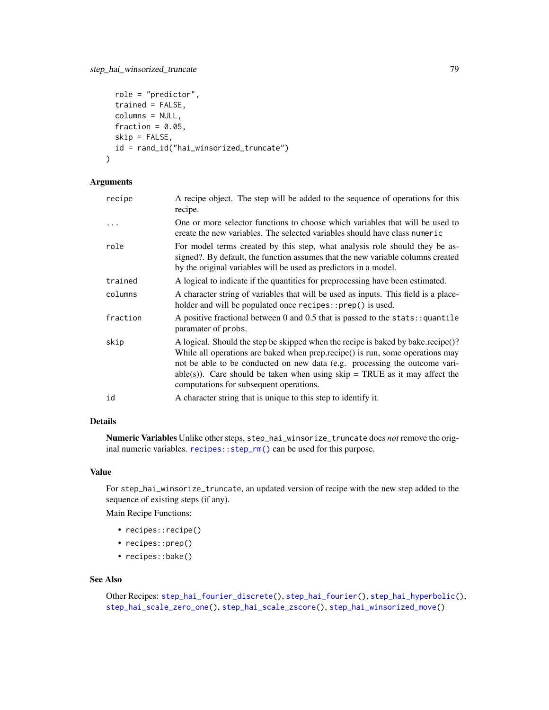```
role = "predictor",
 trained = FALSE,
 columns = NULL,
 fraction = 0.05,
 skip = FALSE,
 id = rand_id("hai_winsorized_truncate")
)
```
## Arguments

| recipe    | A recipe object. The step will be added to the sequence of operations for this<br>recipe.                                                                                                                                                                                                                                                                                  |
|-----------|----------------------------------------------------------------------------------------------------------------------------------------------------------------------------------------------------------------------------------------------------------------------------------------------------------------------------------------------------------------------------|
| $\ddotsc$ | One or more selector functions to choose which variables that will be used to<br>create the new variables. The selected variables should have class numeric                                                                                                                                                                                                                |
| role      | For model terms created by this step, what analysis role should they be as-<br>signed?. By default, the function assumes that the new variable columns created<br>by the original variables will be used as predictors in a model.                                                                                                                                         |
| trained   | A logical to indicate if the quantities for preprocessing have been estimated.                                                                                                                                                                                                                                                                                             |
| columns   | A character string of variables that will be used as inputs. This field is a place-<br>holder and will be populated once recipes::prep() is used.                                                                                                                                                                                                                          |
| fraction  | A positive fractional between 0 and 0.5 that is passed to the stats:: quantile<br>paramater of probs.                                                                                                                                                                                                                                                                      |
| skip      | A logical. Should the step be skipped when the recipe is baked by bake.recipe()?<br>While all operations are baked when prep.recipe() is run, some operations may<br>not be able to be conducted on new data (e.g. processing the outcome vari-<br>able(s)). Care should be taken when using $skip = TRUE$ as it may affect the<br>computations for subsequent operations. |
| id        | A character string that is unique to this step to identify it.                                                                                                                                                                                                                                                                                                             |

## Details

Numeric Variables Unlike other steps, step\_hai\_winsorize\_truncate does *not* remove the original numeric variables. [recipes::step\\_rm\(\)](#page-0-0) can be used for this purpose.

#### Value

For step\_hai\_winsorize\_truncate, an updated version of recipe with the new step added to the sequence of existing steps (if any).

Main Recipe Functions:

- recipes::recipe()
- recipes::prep()
- recipes::bake()

#### See Also

Other Recipes: [step\\_hai\\_fourier\\_discrete\(](#page-68-0)), [step\\_hai\\_fourier\(](#page-66-0)), [step\\_hai\\_hyperbolic\(](#page-70-0)), [step\\_hai\\_scale\\_zero\\_one\(](#page-72-0)), [step\\_hai\\_scale\\_zscore\(](#page-74-0)), [step\\_hai\\_winsorized\\_move\(](#page-75-0))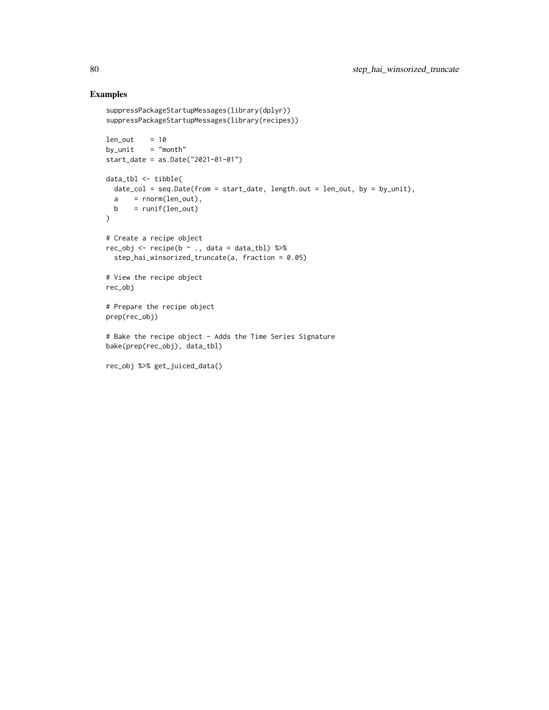## Examples

```
suppressPackageStartupMessages(library(dplyr))
suppressPackageStartupMessages(library(recipes))
len out = 10by\_unit = "month"
start_date = as.Date("2021-01-01")
data_tbl <- tibble(
 date_col = seq.Date(from = start_date, length.out = len_out, by = by_unit),
 a = rnorm(len_out),b = runif(len_out)\lambda# Create a recipe object
rec_obj <- recipe(b ~ ., data = data_tbl) %>%
  step_hai_winsorized_truncate(a, fraction = 0.05)
# View the recipe object
rec_obj
# Prepare the recipe object
prep(rec_obj)
# Bake the recipe object - Adds the Time Series Signature
bake(prep(rec_obj), data_tbl)
rec_obj %>% get_juiced_data()
```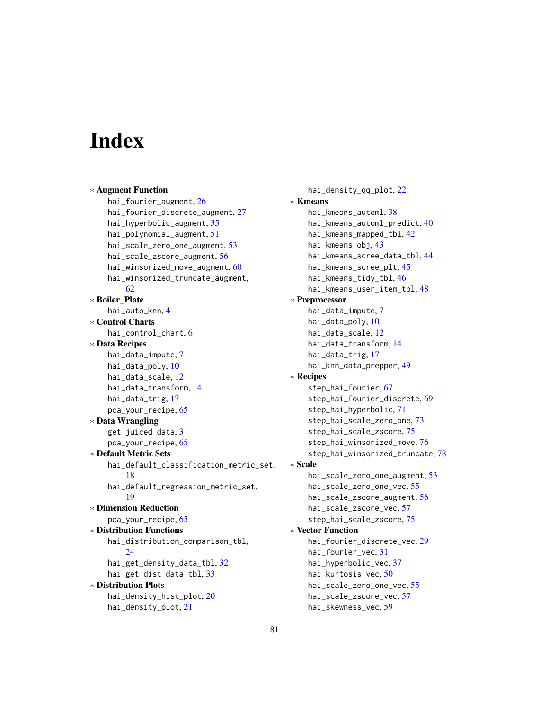# **Index**

∗ Augment Function hai\_fourier\_augment, [26](#page-25-0) hai\_fourier\_discrete\_augment, [27](#page-26-0) hai\_hyperbolic\_augment, [35](#page-34-0) hai\_polynomial\_augment, [51](#page-50-0) hai\_scale\_zero\_one\_augment, [53](#page-52-1) hai\_scale\_zscore\_augment, [56](#page-55-1) hai\_winsorized\_move\_augment, [60](#page-59-0) hai\_winsorized\_truncate\_augment, [62](#page-61-0) ∗ Boiler\_Plate hai\_auto\_knn, [4](#page-3-0) ∗ Control Charts hai\_control\_chart, [6](#page-5-0) ∗ Data Recipes hai\_data\_impute, [7](#page-6-0) hai\_data\_poly, [10](#page-9-0) hai\_data\_scale, [12](#page-11-0) hai\_data\_transform, [14](#page-13-0) hai\_data\_trig, [17](#page-16-0) pca\_your\_recipe, [65](#page-64-0) ∗ Data Wrangling get\_juiced\_data, [3](#page-2-0) pca\_your\_recipe, [65](#page-64-0) ∗ Default Metric Sets hai\_default\_classification\_metric\_set, [18](#page-17-0) hai\_default\_regression\_metric\_set, [19](#page-18-0) ∗ Dimension Reduction pca\_your\_recipe, [65](#page-64-0) ∗ Distribution Functions hai\_distribution\_comparison\_tbl, [24](#page-23-0) hai\_get\_density\_data\_tbl, [32](#page-31-0) hai\_get\_dist\_data\_tbl, [33](#page-32-0) ∗ Distribution Plots hai\_density\_hist\_plot, [20](#page-19-0) hai\_density\_plot, [21](#page-20-0)

hai\_density\_qq\_plot, [22](#page-21-0) ∗ Kmeans hai\_kmeans\_automl, [38](#page-37-0) hai\_kmeans\_automl\_predict, [40](#page-39-0) hai\_kmeans\_mapped\_tbl, [42](#page-41-0) hai\_kmeans\_obj, [43](#page-42-0) hai\_kmeans\_scree\_data\_tbl, [44](#page-43-0) hai\_kmeans\_scree\_plt, [45](#page-44-0) hai\_kmeans\_tidy\_tbl, [46](#page-45-0) hai\_kmeans\_user\_item\_tbl, [48](#page-47-0) ∗ Preprocessor hai\_data\_impute, [7](#page-6-0) hai\_data\_poly, [10](#page-9-0) hai\_data\_scale, [12](#page-11-0) hai\_data\_transform, [14](#page-13-0) hai\_data\_trig, [17](#page-16-0) hai\_knn\_data\_prepper, [49](#page-48-0) ∗ Recipes step\_hai\_fourier, [67](#page-66-1) step\_hai\_fourier\_discrete, [69](#page-68-1) step\_hai\_hyperbolic, [71](#page-70-1) step\_hai\_scale\_zero\_one, [73](#page-72-1) step\_hai\_scale\_zscore, [75](#page-74-1) step\_hai\_winsorized\_move, [76](#page-75-1) step\_hai\_winsorized\_truncate, [78](#page-77-1) ∗ Scale hai\_scale\_zero\_one\_augment, [53](#page-52-1) hai\_scale\_zero\_one\_vec, [55](#page-54-1) hai\_scale\_zscore\_augment, [56](#page-55-1) hai\_scale\_zscore\_vec, [57](#page-56-1) step\_hai\_scale\_zscore, [75](#page-74-1) ∗ Vector Function hai\_fourier\_discrete\_vec, [29](#page-28-0) hai\_fourier\_vec, [31](#page-30-0) hai\_hyperbolic\_vec, [37](#page-36-0) hai\_kurtosis\_vec, [50](#page-49-0) hai\_scale\_zero\_one\_vec, [55](#page-54-1) hai\_scale\_zscore\_vec, [57](#page-56-1) hai\_skewness\_vec, [59](#page-58-0)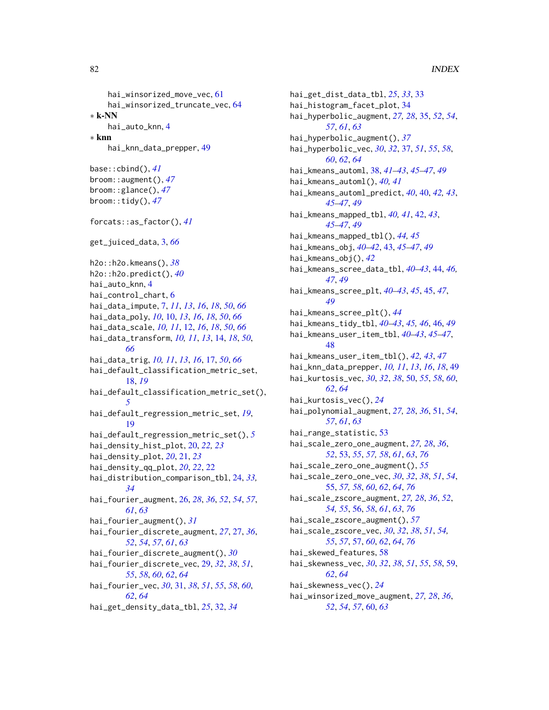```
hai_winsorized_move_vec, 61
    hai_winsorized_truncate_vec, 64
∗ k-NN
    hai_auto_knn, 4
∗ knn
    hai_knn_data_prepper, 49
base::cbind(), 41
broom::augment(), 47
broom::glance(), 47
broom::tidy(), 47
forcats::as_factor(), 41
get_juiced_data, 3, 66
h2o::h2o.kmeans(), 38
h2o::h2o.predict(), 40
hai_auto_knn, 4
hai_control_chart, 6
hai_data_impute, 7, 11, 13, 16, 18, 50, 66
hai_data_poly, 10, 10, 13, 16, 18, 50, 66
hai_data_scale, 10, 11, 12, 16, 18, 50, 66
hai_data_transform, 10, 11, 13, 14, 18, 50,
        66
hai_data_trig, 10, 11, 13, 16, 17, 50, 66
hai_default_classification_metric_set,
         18, 19
hai_default_classification_metric_set(),
        5
hai_default_regression_metric_set, 19,
        19
hai_default_regression_metric_set(), 5
hai_density_hist_plot, 20, 22, 23
hai_density_plot, 20, 21, 23
hai_density_qq_plot, 20, 22, 22
hai_distribution_comparison_tbl, 24, 33,
        34
hai_fourier_augment, 26, 28, 36, 52, 54, 57,
        61, 63
hai_fourier_augment(), 31
hai_fourier_discrete_augment, 27, 27, 36,
        52, 54, 57, 61, 63
hai_fourier_discrete_augment(), 30
hai_fourier_discrete_vec, 29, 32, 38, 51,
        55, 58, 60, 62, 64
hai_fourier_vec, 30, 31, 38, 51, 55, 58, 60,
        62, 64
```
hai\_get\_density\_data\_tbl, *[25](#page-24-0)*, [32,](#page-31-0) *[34](#page-33-0)*

hai\_get\_dist\_data\_tbl, *[25](#page-24-0)*, *[33](#page-32-0)*, [33](#page-32-0) hai\_histogram\_facet\_plot, [34](#page-33-0) hai\_hyperbolic\_augment, *[27,](#page-26-0) [28](#page-27-0)*, [35,](#page-34-0) *[52](#page-51-0)*, *[54](#page-53-0)*, *[57](#page-56-1)*, *[61](#page-60-0)*, *[63](#page-62-0)* hai\_hyperbolic\_augment(), *[37](#page-36-0)* hai\_hyperbolic\_vec, *[30](#page-29-0)*, *[32](#page-31-0)*, [37,](#page-36-0) *[51](#page-50-0)*, *[55](#page-54-1)*, *[58](#page-57-0)*, *[60](#page-59-0)*, *[62](#page-61-0)*, *[64](#page-63-0)* hai\_kmeans\_automl, [38,](#page-37-0) *[41](#page-40-0)[–43](#page-42-0)*, *[45](#page-44-0)[–47](#page-46-0)*, *[49](#page-48-0)* hai\_kmeans\_automl(), *[40,](#page-39-0) [41](#page-40-0)* hai\_kmeans\_automl\_predict, *[40](#page-39-0)*, [40,](#page-39-0) *[42,](#page-41-0) [43](#page-42-0)*, *[45](#page-44-0)[–47](#page-46-0)*, *[49](#page-48-0)* hai\_kmeans\_mapped\_tbl, *[40,](#page-39-0) [41](#page-40-0)*, [42,](#page-41-0) *[43](#page-42-0)*, *[45](#page-44-0)[–47](#page-46-0)*, *[49](#page-48-0)* hai\_kmeans\_mapped\_tbl(), *[44,](#page-43-0) [45](#page-44-0)* hai\_kmeans\_obj, *[40](#page-39-0)[–42](#page-41-0)*, [43,](#page-42-0) *[45](#page-44-0)[–47](#page-46-0)*, *[49](#page-48-0)* hai\_kmeans\_obj(), *[42](#page-41-0)* hai\_kmeans\_scree\_data\_tbl, *[40](#page-39-0)[–43](#page-42-0)*, [44,](#page-43-0) *[46,](#page-45-0) [47](#page-46-0)*, *[49](#page-48-0)* hai\_kmeans\_scree\_plt, *[40](#page-39-0)[–43](#page-42-0)*, *[45](#page-44-0)*, [45,](#page-44-0) *[47](#page-46-0)*, *[49](#page-48-0)* hai\_kmeans\_scree\_plt(), *[44](#page-43-0)* hai\_kmeans\_tidy\_tbl, *[40](#page-39-0)[–43](#page-42-0)*, *[45,](#page-44-0) [46](#page-45-0)*, [46,](#page-45-0) *[49](#page-48-0)* hai\_kmeans\_user\_item\_tbl, *[40](#page-39-0)[–43](#page-42-0)*, *[45](#page-44-0)[–47](#page-46-0)*, [48](#page-47-0) hai\_kmeans\_user\_item\_tbl(), *[42,](#page-41-0) [43](#page-42-0)*, *[47](#page-46-0)* hai\_knn\_data\_prepper, *[10,](#page-9-0) [11](#page-10-0)*, *[13](#page-12-0)*, *[16](#page-15-0)*, *[18](#page-17-0)*, [49](#page-48-0) hai\_kurtosis\_vec, *[30](#page-29-0)*, *[32](#page-31-0)*, *[38](#page-37-0)*, [50,](#page-49-0) *[55](#page-54-1)*, *[58](#page-57-0)*, *[60](#page-59-0)*, *[62](#page-61-0)*, *[64](#page-63-0)* hai\_kurtosis\_vec(), *[24](#page-23-0)* hai\_polynomial\_augment, *[27,](#page-26-0) [28](#page-27-0)*, *[36](#page-35-0)*, [51,](#page-50-0) *[54](#page-53-0)*, *[57](#page-56-1)*, *[61](#page-60-0)*, *[63](#page-62-0)* hai\_range\_statistic, [53](#page-52-1) hai\_scale\_zero\_one\_augment, *[27,](#page-26-0) [28](#page-27-0)*, *[36](#page-35-0)*, *[52](#page-51-0)*, [53,](#page-52-1) *[55](#page-54-1)*, *[57,](#page-56-1) [58](#page-57-0)*, *[61](#page-60-0)*, *[63](#page-62-0)*, *[76](#page-75-1)* hai\_scale\_zero\_one\_augment(), *[55](#page-54-1)* hai\_scale\_zero\_one\_vec, *[30](#page-29-0)*, *[32](#page-31-0)*, *[38](#page-37-0)*, *[51](#page-50-0)*, *[54](#page-53-0)*, [55,](#page-54-1) *[57,](#page-56-1) [58](#page-57-0)*, *[60](#page-59-0)*, *[62](#page-61-0)*, *[64](#page-63-0)*, *[76](#page-75-1)* hai\_scale\_zscore\_augment, *[27,](#page-26-0) [28](#page-27-0)*, *[36](#page-35-0)*, *[52](#page-51-0)*, *[54,](#page-53-0) [55](#page-54-1)*, [56,](#page-55-1) *[58](#page-57-0)*, *[61](#page-60-0)*, *[63](#page-62-0)*, *[76](#page-75-1)* hai\_scale\_zscore\_augment(), *[57](#page-56-1)* hai\_scale\_zscore\_vec, *[30](#page-29-0)*, *[32](#page-31-0)*, *[38](#page-37-0)*, *[51](#page-50-0)*, *[54,](#page-53-0) [55](#page-54-1)*, *[57](#page-56-1)*, [57,](#page-56-1) *[60](#page-59-0)*, *[62](#page-61-0)*, *[64](#page-63-0)*, *[76](#page-75-1)* hai\_skewed\_features, [58](#page-57-0) hai\_skewness\_vec, *[30](#page-29-0)*, *[32](#page-31-0)*, *[38](#page-37-0)*, *[51](#page-50-0)*, *[55](#page-54-1)*, *[58](#page-57-0)*, [59,](#page-58-0) *[62](#page-61-0)*, *[64](#page-63-0)* hai\_skewness\_vec(), *[24](#page-23-0)* hai\_winsorized\_move\_augment, *[27,](#page-26-0) [28](#page-27-0)*, *[36](#page-35-0)*, *[52](#page-51-0)*, *[54](#page-53-0)*, *[57](#page-56-1)*, [60,](#page-59-0) *[63](#page-62-0)*